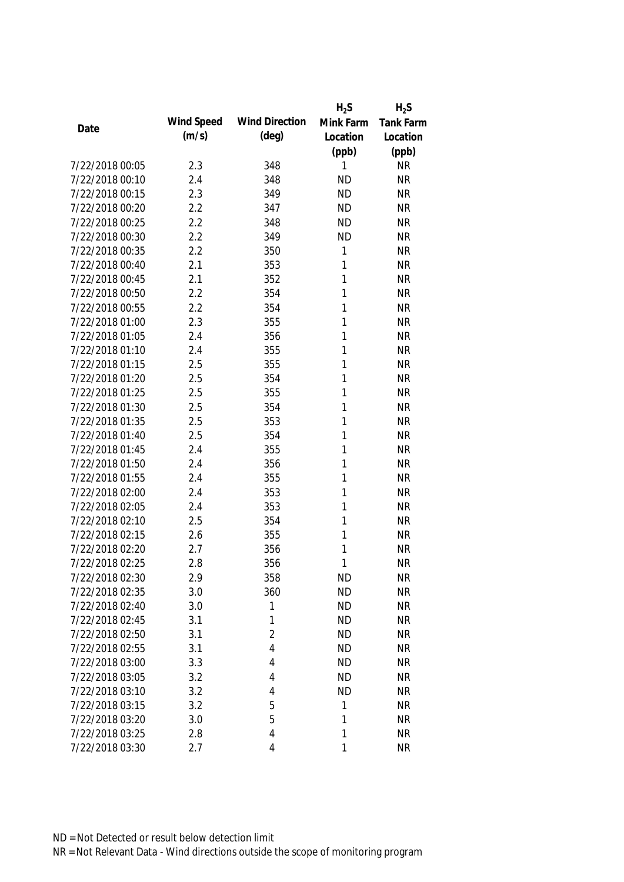|                 |            |                       | $H_2S$      | $H_2S$           |
|-----------------|------------|-----------------------|-------------|------------------|
| Date            | Wind Speed | <b>Wind Direction</b> | Mink Farm   | <b>Tank Farm</b> |
|                 | (m/s)      | $(\text{deg})$        | Location    | Location         |
|                 |            |                       | (ppb)       | (ppb)            |
| 7/22/2018 00:05 | 2.3        | 348                   | 1           | <b>NR</b>        |
| 7/22/2018 00:10 | 2.4        | 348                   | <b>ND</b>   | <b>NR</b>        |
| 7/22/2018 00:15 | 2.3        | 349                   | <b>ND</b>   | <b>NR</b>        |
| 7/22/2018 00:20 | 2.2        | 347                   | <b>ND</b>   | <b>NR</b>        |
| 7/22/2018 00:25 | 2.2        | 348                   | <b>ND</b>   | <b>NR</b>        |
| 7/22/2018 00:30 | 2.2        | 349                   | <b>ND</b>   | <b>NR</b>        |
| 7/22/2018 00:35 | 2.2        | 350                   | $\mathbf 1$ | <b>NR</b>        |
| 7/22/2018 00:40 | 2.1        | 353                   | 1           | <b>NR</b>        |
| 7/22/2018 00:45 | 2.1        | 352                   | 1           | <b>NR</b>        |
| 7/22/2018 00:50 | 2.2        | 354                   | 1           | <b>NR</b>        |
| 7/22/2018 00:55 | 2.2        | 354                   | 1           | <b>NR</b>        |
| 7/22/2018 01:00 | 2.3        | 355                   | 1           | <b>NR</b>        |
| 7/22/2018 01:05 | 2.4        | 356                   | 1           | <b>NR</b>        |
| 7/22/2018 01:10 | 2.4        | 355                   | 1           | <b>NR</b>        |
| 7/22/2018 01:15 | 2.5        | 355                   | 1           | <b>NR</b>        |
| 7/22/2018 01:20 | 2.5        | 354                   | 1           | <b>NR</b>        |
| 7/22/2018 01:25 | 2.5        | 355                   | 1           | <b>NR</b>        |
| 7/22/2018 01:30 | 2.5        | 354                   | 1           | <b>NR</b>        |
| 7/22/2018 01:35 | 2.5        | 353                   | 1           | <b>NR</b>        |
| 7/22/2018 01:40 | 2.5        | 354                   | 1           | <b>NR</b>        |
| 7/22/2018 01:45 | 2.4        | 355                   | 1           | <b>NR</b>        |
| 7/22/2018 01:50 | 2.4        | 356                   | 1           | <b>NR</b>        |
| 7/22/2018 01:55 | 2.4        | 355                   | 1           | <b>NR</b>        |
| 7/22/2018 02:00 | 2.4        | 353                   | 1           | <b>NR</b>        |
| 7/22/2018 02:05 | 2.4        | 353                   | 1           | <b>NR</b>        |
| 7/22/2018 02:10 | 2.5        | 354                   | 1           | <b>NR</b>        |
| 7/22/2018 02:15 | 2.6        | 355                   | 1           | <b>NR</b>        |
| 7/22/2018 02:20 | 2.7        | 356                   | 1           | <b>NR</b>        |
| 7/22/2018 02:25 | 2.8        | 356                   | 1           | <b>NR</b>        |
| 7/22/2018 02:30 | 2.9        | 358                   | <b>ND</b>   | NR               |
| 7/22/2018 02:35 | 3.0        | 360                   | <b>ND</b>   | <b>NR</b>        |
| 7/22/2018 02:40 | 3.0        | 1                     | <b>ND</b>   | <b>NR</b>        |
| 7/22/2018 02:45 | 3.1        | 1                     | <b>ND</b>   | <b>NR</b>        |
| 7/22/2018 02:50 | 3.1        | $\overline{2}$        | <b>ND</b>   | <b>NR</b>        |
| 7/22/2018 02:55 | 3.1        | 4                     | <b>ND</b>   | <b>NR</b>        |
| 7/22/2018 03:00 | 3.3        | 4                     | <b>ND</b>   | <b>NR</b>        |
| 7/22/2018 03:05 | 3.2        | 4                     | <b>ND</b>   | <b>NR</b>        |
| 7/22/2018 03:10 | 3.2        | 4                     | <b>ND</b>   | <b>NR</b>        |
| 7/22/2018 03:15 | 3.2        | 5                     | 1           | <b>NR</b>        |
| 7/22/2018 03:20 | 3.0        | 5                     | 1           | <b>NR</b>        |
| 7/22/2018 03:25 | 2.8        | 4                     | 1           | <b>NR</b>        |
| 7/22/2018 03:30 | 2.7        | 4                     | 1           | <b>NR</b>        |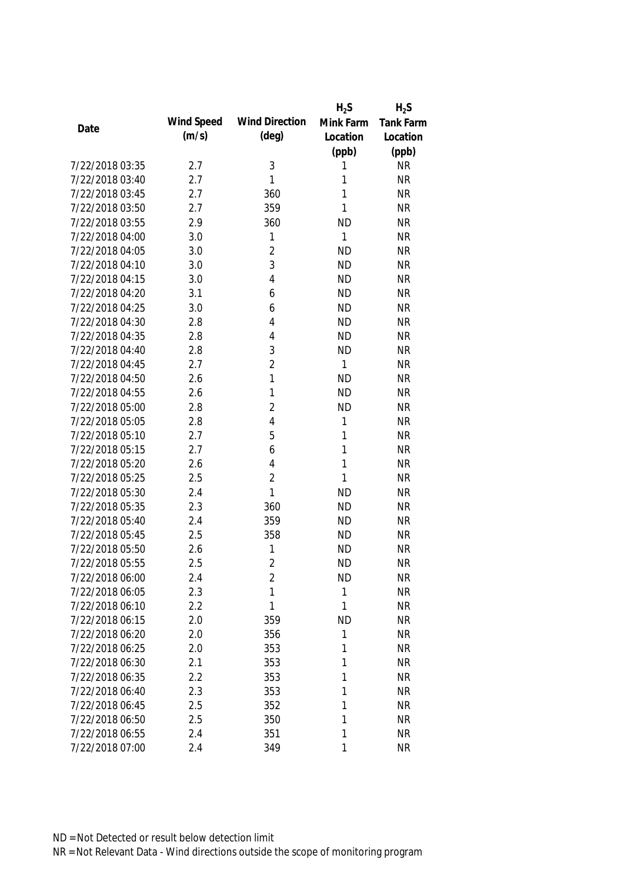|                 |            |                       | $H_2S$    | $H_2S$    |
|-----------------|------------|-----------------------|-----------|-----------|
|                 | Wind Speed | <b>Wind Direction</b> | Mink Farm | Tank Farm |
| Date            | (m/s)      | $(\text{deg})$        | Location  | Location  |
|                 |            |                       | (ppb)     | (ppb)     |
| 7/22/2018 03:35 | 2.7        | 3                     | 1         | <b>NR</b> |
| 7/22/2018 03:40 | 2.7        | 1                     | 1         | <b>NR</b> |
| 7/22/2018 03:45 | 2.7        | 360                   | 1         | <b>NR</b> |
| 7/22/2018 03:50 | 2.7        | 359                   | 1         | <b>NR</b> |
| 7/22/2018 03:55 | 2.9        | 360                   | <b>ND</b> | <b>NR</b> |
| 7/22/2018 04:00 | 3.0        | 1                     | 1         | <b>NR</b> |
| 7/22/2018 04:05 | 3.0        | $\overline{c}$        | <b>ND</b> | <b>NR</b> |
| 7/22/2018 04:10 | 3.0        | 3                     | <b>ND</b> | <b>NR</b> |
| 7/22/2018 04:15 | 3.0        | 4                     | <b>ND</b> | <b>NR</b> |
| 7/22/2018 04:20 | 3.1        | 6                     | <b>ND</b> | <b>NR</b> |
| 7/22/2018 04:25 | 3.0        | 6                     | <b>ND</b> | <b>NR</b> |
| 7/22/2018 04:30 | 2.8        | 4                     | <b>ND</b> | <b>NR</b> |
| 7/22/2018 04:35 | 2.8        | 4                     | <b>ND</b> | <b>NR</b> |
| 7/22/2018 04:40 | 2.8        | 3                     | <b>ND</b> | <b>NR</b> |
| 7/22/2018 04:45 | 2.7        | $\overline{2}$        | 1         | <b>NR</b> |
| 7/22/2018 04:50 | 2.6        | 1                     | <b>ND</b> | <b>NR</b> |
| 7/22/2018 04:55 | 2.6        | 1                     | <b>ND</b> | <b>NR</b> |
| 7/22/2018 05:00 | 2.8        | $\overline{2}$        | <b>ND</b> | <b>NR</b> |
| 7/22/2018 05:05 | 2.8        | $\overline{4}$        | 1         | <b>NR</b> |
| 7/22/2018 05:10 | 2.7        | 5                     | 1         | <b>NR</b> |
| 7/22/2018 05:15 | 2.7        | 6                     | 1         | <b>NR</b> |
| 7/22/2018 05:20 | 2.6        | 4                     | 1         | <b>NR</b> |
| 7/22/2018 05:25 | 2.5        | $\overline{2}$        | 1         | <b>NR</b> |
| 7/22/2018 05:30 | 2.4        | 1                     | <b>ND</b> | <b>NR</b> |
| 7/22/2018 05:35 | 2.3        | 360                   | <b>ND</b> | <b>NR</b> |
| 7/22/2018 05:40 | 2.4        | 359                   | <b>ND</b> | <b>NR</b> |
| 7/22/2018 05:45 | 2.5        | 358                   | <b>ND</b> | <b>NR</b> |
| 7/22/2018 05:50 | 2.6        | 1                     | <b>ND</b> | <b>NR</b> |
| 7/22/2018 05:55 | 2.5        | $\overline{2}$        | <b>ND</b> | <b>NR</b> |
| 7/22/2018 06:00 | 2.4        | 2                     | <b>ND</b> | <b>NR</b> |
| 7/22/2018 06:05 | 2.3        | 1                     | 1         | <b>NR</b> |
| 7/22/2018 06:10 | 2.2        | 1                     | 1         | <b>NR</b> |
| 7/22/2018 06:15 | 2.0        | 359                   | <b>ND</b> | <b>NR</b> |
| 7/22/2018 06:20 | 2.0        | 356                   | 1         | <b>NR</b> |
| 7/22/2018 06:25 | 2.0        | 353                   | 1         | <b>NR</b> |
| 7/22/2018 06:30 | 2.1        | 353                   | 1         | <b>NR</b> |
| 7/22/2018 06:35 | 2.2        | 353                   | 1         | <b>NR</b> |
| 7/22/2018 06:40 | 2.3        | 353                   | 1         | <b>NR</b> |
| 7/22/2018 06:45 | 2.5        | 352                   | 1         | <b>NR</b> |
| 7/22/2018 06:50 | 2.5        | 350                   | 1         | <b>NR</b> |
| 7/22/2018 06:55 | 2.4        | 351                   | 1         | <b>NR</b> |
| 7/22/2018 07:00 | 2.4        | 349                   | 1         | <b>NR</b> |
|                 |            |                       |           |           |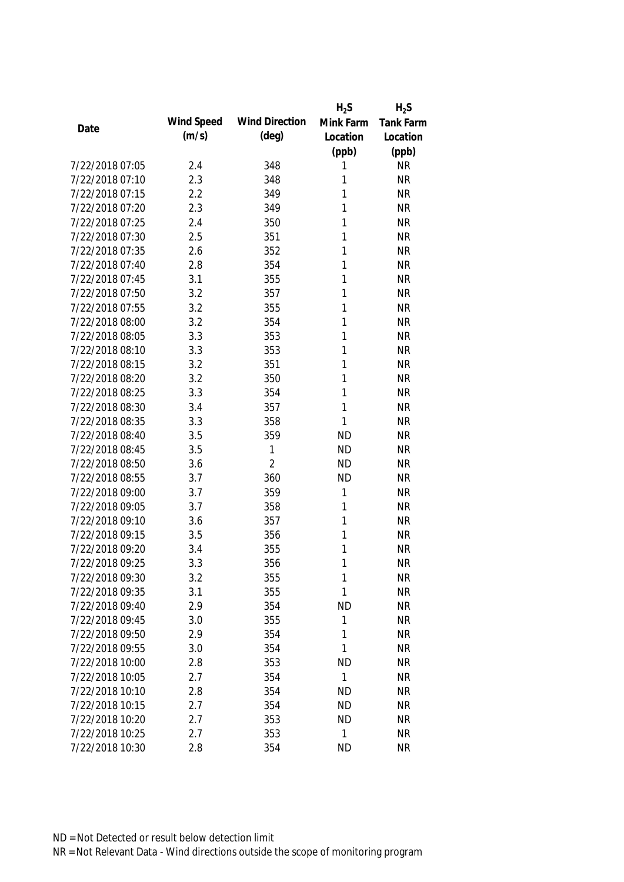|                 |            |                       | $H_2S$    | $H_2S$           |
|-----------------|------------|-----------------------|-----------|------------------|
| Date            | Wind Speed | <b>Wind Direction</b> | Mink Farm | <b>Tank Farm</b> |
|                 | (m/s)      | $(\text{deg})$        | Location  | Location         |
|                 |            |                       | (ppb)     | (ppb)            |
| 7/22/2018 07:05 | 2.4        | 348                   | 1         | <b>NR</b>        |
| 7/22/2018 07:10 | 2.3        | 348                   | 1         | <b>NR</b>        |
| 7/22/2018 07:15 | 2.2        | 349                   | 1         | <b>NR</b>        |
| 7/22/2018 07:20 | 2.3        | 349                   | 1         | <b>NR</b>        |
| 7/22/2018 07:25 | 2.4        | 350                   | 1         | <b>NR</b>        |
| 7/22/2018 07:30 | 2.5        | 351                   | 1         | <b>NR</b>        |
| 7/22/2018 07:35 | 2.6        | 352                   | 1         | <b>NR</b>        |
| 7/22/2018 07:40 | 2.8        | 354                   | 1         | <b>NR</b>        |
| 7/22/2018 07:45 | 3.1        | 355                   | 1         | <b>NR</b>        |
| 7/22/2018 07:50 | 3.2        | 357                   | 1         | <b>NR</b>        |
| 7/22/2018 07:55 | 3.2        | 355                   | 1         | <b>NR</b>        |
| 7/22/2018 08:00 | 3.2        | 354                   | 1         | <b>NR</b>        |
| 7/22/2018 08:05 | 3.3        | 353                   | 1         | <b>NR</b>        |
| 7/22/2018 08:10 | 3.3        | 353                   | 1         | <b>NR</b>        |
| 7/22/2018 08:15 | 3.2        | 351                   | 1         | <b>NR</b>        |
| 7/22/2018 08:20 | 3.2        | 350                   | 1         | <b>NR</b>        |
| 7/22/2018 08:25 | 3.3        | 354                   | 1         | <b>NR</b>        |
| 7/22/2018 08:30 | 3.4        | 357                   | 1         | <b>NR</b>        |
| 7/22/2018 08:35 | 3.3        | 358                   | 1         | <b>NR</b>        |
| 7/22/2018 08:40 | 3.5        | 359                   | <b>ND</b> | <b>NR</b>        |
| 7/22/2018 08:45 | 3.5        | 1                     | <b>ND</b> | <b>NR</b>        |
| 7/22/2018 08:50 | 3.6        | $\overline{2}$        | <b>ND</b> | <b>NR</b>        |
| 7/22/2018 08:55 | 3.7        | 360                   | <b>ND</b> | <b>NR</b>        |
| 7/22/2018 09:00 | 3.7        | 359                   | 1         | <b>NR</b>        |
| 7/22/2018 09:05 | 3.7        | 358                   | 1         | <b>NR</b>        |
| 7/22/2018 09:10 | 3.6        | 357                   | 1         | <b>NR</b>        |
| 7/22/2018 09:15 | 3.5        | 356                   | 1         | <b>NR</b>        |
| 7/22/2018 09:20 | 3.4        | 355                   | 1         | <b>NR</b>        |
| 7/22/2018 09:25 | 3.3        | 356                   | 1         | <b>NR</b>        |
| 7/22/2018 09:30 | 3.2        | 355                   | 1         | <b>NR</b>        |
| 7/22/2018 09:35 | 3.1        | 355                   | 1         | <b>NR</b>        |
| 7/22/2018 09:40 | 2.9        | 354                   | <b>ND</b> | <b>NR</b>        |
| 7/22/2018 09:45 | 3.0        | 355                   | 1         | <b>NR</b>        |
| 7/22/2018 09:50 | 2.9        | 354                   | 1         | <b>NR</b>        |
| 7/22/2018 09:55 | 3.0        | 354                   | 1         | <b>NR</b>        |
| 7/22/2018 10:00 | 2.8        | 353                   | <b>ND</b> | <b>NR</b>        |
| 7/22/2018 10:05 | 2.7        | 354                   | 1         | <b>NR</b>        |
| 7/22/2018 10:10 | 2.8        | 354                   | <b>ND</b> | <b>NR</b>        |
| 7/22/2018 10:15 | 2.7        | 354                   | <b>ND</b> | <b>NR</b>        |
| 7/22/2018 10:20 | 2.7        | 353                   | <b>ND</b> | <b>NR</b>        |
| 7/22/2018 10:25 | 2.7        | 353                   | 1         | <b>NR</b>        |
| 7/22/2018 10:30 | 2.8        | 354                   | <b>ND</b> | <b>NR</b>        |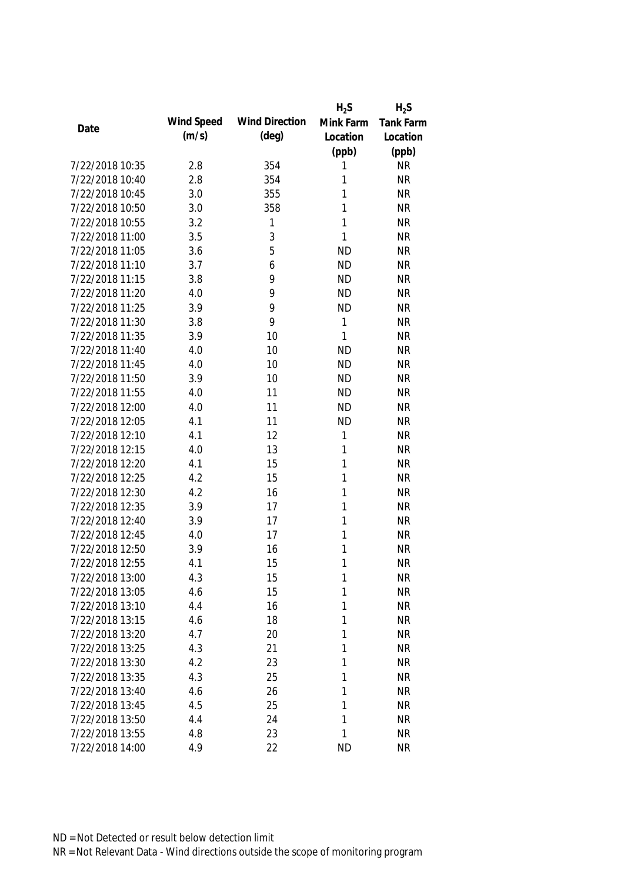|                 |            |                       | $H_2S$    | $H_2S$    |
|-----------------|------------|-----------------------|-----------|-----------|
|                 | Wind Speed | <b>Wind Direction</b> | Mink Farm | Tank Farm |
| Date            | (m/s)      | $(\text{deg})$        | Location  | Location  |
|                 |            |                       | (ppb)     | (ppb)     |
| 7/22/2018 10:35 | 2.8        | 354                   | 1         | <b>NR</b> |
| 7/22/2018 10:40 | 2.8        | 354                   | 1         | <b>NR</b> |
| 7/22/2018 10:45 | 3.0        | 355                   | 1         | <b>NR</b> |
| 7/22/2018 10:50 | 3.0        | 358                   | 1         | <b>NR</b> |
| 7/22/2018 10:55 | 3.2        | 1                     | 1         | <b>NR</b> |
| 7/22/2018 11:00 | 3.5        | 3                     | 1         | <b>NR</b> |
| 7/22/2018 11:05 | 3.6        | 5                     | <b>ND</b> | <b>NR</b> |
| 7/22/2018 11:10 | 3.7        | 6                     | <b>ND</b> | <b>NR</b> |
| 7/22/2018 11:15 | 3.8        | 9                     | <b>ND</b> | <b>NR</b> |
| 7/22/2018 11:20 | 4.0        | 9                     | <b>ND</b> | <b>NR</b> |
| 7/22/2018 11:25 | 3.9        | 9                     | <b>ND</b> | <b>NR</b> |
| 7/22/2018 11:30 | 3.8        | 9                     | 1         | <b>NR</b> |
| 7/22/2018 11:35 | 3.9        | 10                    | 1         | <b>NR</b> |
| 7/22/2018 11:40 | 4.0        | 10                    | <b>ND</b> | <b>NR</b> |
| 7/22/2018 11:45 | 4.0        | 10                    | <b>ND</b> | <b>NR</b> |
| 7/22/2018 11:50 | 3.9        | 10                    | <b>ND</b> | <b>NR</b> |
| 7/22/2018 11:55 | 4.0        | 11                    | <b>ND</b> | <b>NR</b> |
| 7/22/2018 12:00 | 4.0        | 11                    | <b>ND</b> | <b>NR</b> |
| 7/22/2018 12:05 | 4.1        | 11                    | <b>ND</b> | <b>NR</b> |
| 7/22/2018 12:10 | 4.1        | 12                    | 1         | <b>NR</b> |
| 7/22/2018 12:15 | 4.0        | 13                    | 1         | <b>NR</b> |
| 7/22/2018 12:20 | 4.1        | 15                    | 1         | <b>NR</b> |
| 7/22/2018 12:25 | 4.2        | 15                    | 1         | <b>NR</b> |
| 7/22/2018 12:30 | 4.2        | 16                    | 1         | <b>NR</b> |
| 7/22/2018 12:35 | 3.9        | 17                    | 1         | <b>NR</b> |
| 7/22/2018 12:40 | 3.9        | 17                    | 1         | <b>NR</b> |
| 7/22/2018 12:45 | 4.0        | 17                    | 1         | <b>NR</b> |
| 7/22/2018 12:50 | 3.9        | 16                    | 1         | <b>NR</b> |
| 7/22/2018 12:55 | 4.1        | 15                    | 1         | <b>NR</b> |
| 7/22/2018 13:00 | 4.3        | 15                    | 1         | <b>NR</b> |
| 7/22/2018 13:05 | 4.6        | 15                    | 1         | <b>NR</b> |
| 7/22/2018 13:10 | 4.4        | 16                    | 1         | <b>NR</b> |
| 7/22/2018 13:15 | 4.6        | 18                    | 1         | <b>NR</b> |
| 7/22/2018 13:20 | 4.7        | 20                    | 1         | <b>NR</b> |
| 7/22/2018 13:25 | 4.3        | 21                    | 1         | <b>NR</b> |
| 7/22/2018 13:30 | 4.2        | 23                    | 1         | <b>NR</b> |
| 7/22/2018 13:35 | 4.3        | 25                    | 1         | <b>NR</b> |
| 7/22/2018 13:40 | 4.6        | 26                    | 1         | <b>NR</b> |
| 7/22/2018 13:45 | 4.5        | 25                    | 1         | <b>NR</b> |
| 7/22/2018 13:50 | 4.4        | 24                    | 1         | <b>NR</b> |
| 7/22/2018 13:55 | 4.8        | 23                    | 1         | <b>NR</b> |
| 7/22/2018 14:00 | 4.9        | 22                    | <b>ND</b> | <b>NR</b> |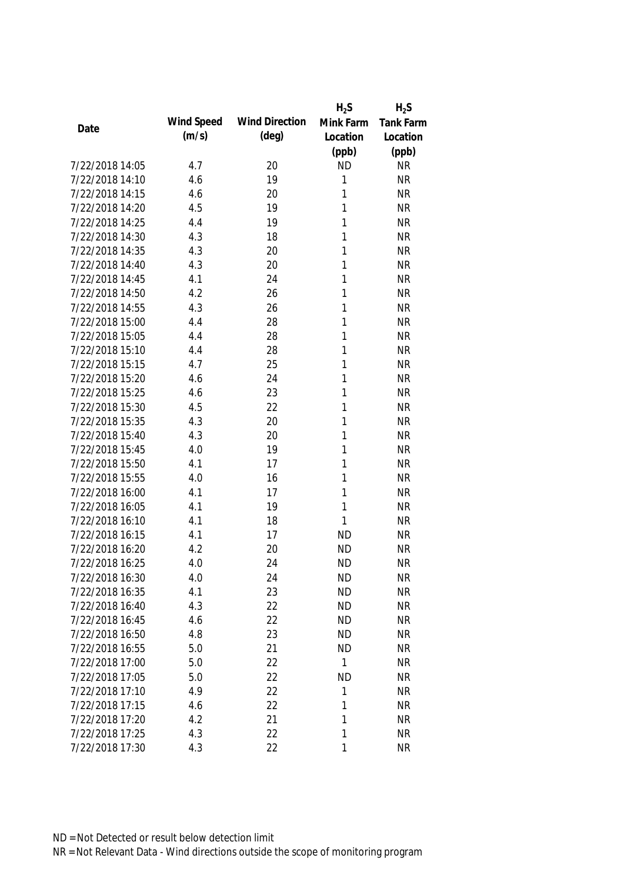|                 |            |                       | $H_2S$    | $H_2S$           |
|-----------------|------------|-----------------------|-----------|------------------|
| Date            | Wind Speed | <b>Wind Direction</b> | Mink Farm | <b>Tank Farm</b> |
|                 | (m/s)      | $(\text{deg})$        | Location  | Location         |
|                 |            |                       | (ppb)     | (ppb)            |
| 7/22/2018 14:05 | 4.7        | 20                    | <b>ND</b> | <b>NR</b>        |
| 7/22/2018 14:10 | 4.6        | 19                    | 1         | <b>NR</b>        |
| 7/22/2018 14:15 | 4.6        | 20                    | 1         | <b>NR</b>        |
| 7/22/2018 14:20 | 4.5        | 19                    | 1         | <b>NR</b>        |
| 7/22/2018 14:25 | 4.4        | 19                    | 1         | <b>NR</b>        |
| 7/22/2018 14:30 | 4.3        | 18                    | 1         | <b>NR</b>        |
| 7/22/2018 14:35 | 4.3        | 20                    | 1         | <b>NR</b>        |
| 7/22/2018 14:40 | 4.3        | 20                    | 1         | <b>NR</b>        |
| 7/22/2018 14:45 | 4.1        | 24                    | 1         | <b>NR</b>        |
| 7/22/2018 14:50 | 4.2        | 26                    | 1         | <b>NR</b>        |
| 7/22/2018 14:55 | 4.3        | 26                    | 1         | <b>NR</b>        |
| 7/22/2018 15:00 | 4.4        | 28                    | 1         | <b>NR</b>        |
| 7/22/2018 15:05 | 4.4        | 28                    | 1         | <b>NR</b>        |
| 7/22/2018 15:10 | 4.4        | 28                    | 1         | <b>NR</b>        |
| 7/22/2018 15:15 | 4.7        | 25                    | 1         | <b>NR</b>        |
| 7/22/2018 15:20 | 4.6        | 24                    | 1         | <b>NR</b>        |
| 7/22/2018 15:25 | 4.6        | 23                    | 1         | <b>NR</b>        |
| 7/22/2018 15:30 | 4.5        | 22                    | 1         | <b>NR</b>        |
| 7/22/2018 15:35 | 4.3        | 20                    | 1         | <b>NR</b>        |
| 7/22/2018 15:40 | 4.3        | 20                    | 1         | <b>NR</b>        |
| 7/22/2018 15:45 | 4.0        | 19                    | 1         | <b>NR</b>        |
| 7/22/2018 15:50 | 4.1        | 17                    | 1         | <b>NR</b>        |
| 7/22/2018 15:55 | 4.0        | 16                    | 1         | <b>NR</b>        |
| 7/22/2018 16:00 | 4.1        | 17                    | 1         | <b>NR</b>        |
| 7/22/2018 16:05 | 4.1        | 19                    | 1         | <b>NR</b>        |
| 7/22/2018 16:10 | 4.1        | 18                    | 1         | <b>NR</b>        |
| 7/22/2018 16:15 | 4.1        | 17                    | <b>ND</b> | <b>NR</b>        |
| 7/22/2018 16:20 | 4.2        | 20                    | <b>ND</b> | <b>NR</b>        |
| 7/22/2018 16:25 | 4.0        | 24                    | <b>ND</b> | <b>NR</b>        |
| 7/22/2018 16:30 | 4.0        | 24                    | <b>ND</b> | NR               |
| 7/22/2018 16:35 | 4.1        | 23                    | <b>ND</b> | <b>NR</b>        |
| 7/22/2018 16:40 | 4.3        | 22                    | <b>ND</b> | <b>NR</b>        |
| 7/22/2018 16:45 | 4.6        | 22                    | <b>ND</b> | <b>NR</b>        |
| 7/22/2018 16:50 | 4.8        | 23                    | <b>ND</b> | NR               |
| 7/22/2018 16:55 | 5.0        | 21                    | <b>ND</b> | <b>NR</b>        |
| 7/22/2018 17:00 | 5.0        | 22                    | 1         | <b>NR</b>        |
| 7/22/2018 17:05 | 5.0        | 22                    | <b>ND</b> | <b>NR</b>        |
| 7/22/2018 17:10 | 4.9        | 22                    | 1         | <b>NR</b>        |
| 7/22/2018 17:15 | 4.6        | 22                    | 1         | <b>NR</b>        |
| 7/22/2018 17:20 | 4.2        | 21                    | 1         | <b>NR</b>        |
| 7/22/2018 17:25 | 4.3        | 22                    | 1         |                  |
|                 |            |                       | 1         | <b>NR</b>        |
| 7/22/2018 17:30 | 4.3        | 22                    |           | <b>NR</b>        |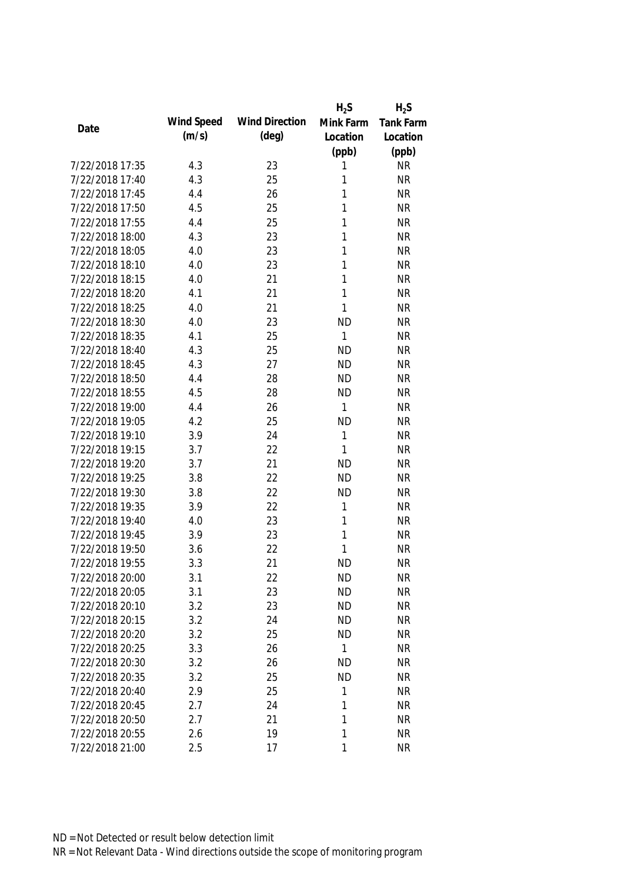|                 |            |                       | $H_2S$    | $H_2S$           |
|-----------------|------------|-----------------------|-----------|------------------|
|                 | Wind Speed | <b>Wind Direction</b> | Mink Farm | <b>Tank Farm</b> |
| Date            | (m/s)      | $(\text{deg})$        | Location  | Location         |
|                 |            |                       | (ppb)     | (ppb)            |
| 7/22/2018 17:35 | 4.3        | 23                    | 1         | <b>NR</b>        |
| 7/22/2018 17:40 | 4.3        | 25                    | 1         | <b>NR</b>        |
| 7/22/2018 17:45 | 4.4        | 26                    | 1         | <b>NR</b>        |
| 7/22/2018 17:50 | 4.5        | 25                    | 1         | <b>NR</b>        |
| 7/22/2018 17:55 | 4.4        | 25                    | 1         | <b>NR</b>        |
| 7/22/2018 18:00 | 4.3        | 23                    | 1         | <b>NR</b>        |
| 7/22/2018 18:05 | 4.0        | 23                    | 1         | <b>NR</b>        |
| 7/22/2018 18:10 | 4.0        | 23                    | 1         | <b>NR</b>        |
| 7/22/2018 18:15 | 4.0        | 21                    | 1         | <b>NR</b>        |
| 7/22/2018 18:20 | 4.1        | 21                    | 1         | <b>NR</b>        |
| 7/22/2018 18:25 | 4.0        | 21                    | 1         | <b>NR</b>        |
| 7/22/2018 18:30 | 4.0        | 23                    | <b>ND</b> | <b>NR</b>        |
| 7/22/2018 18:35 | 4.1        | 25                    | 1         | <b>NR</b>        |
| 7/22/2018 18:40 | 4.3        | 25                    | <b>ND</b> | <b>NR</b>        |
| 7/22/2018 18:45 | 4.3        | 27                    | <b>ND</b> | <b>NR</b>        |
| 7/22/2018 18:50 | 4.4        | 28                    | <b>ND</b> | <b>NR</b>        |
| 7/22/2018 18:55 | 4.5        | 28                    | <b>ND</b> | <b>NR</b>        |
| 7/22/2018 19:00 | 4.4        | 26                    | 1         | <b>NR</b>        |
| 7/22/2018 19:05 | 4.2        | 25                    | <b>ND</b> | <b>NR</b>        |
| 7/22/2018 19:10 | 3.9        | 24                    | 1         | <b>NR</b>        |
| 7/22/2018 19:15 | 3.7        | 22                    | 1         | <b>NR</b>        |
| 7/22/2018 19:20 | 3.7        | 21                    | <b>ND</b> | <b>NR</b>        |
| 7/22/2018 19:25 | 3.8        | 22                    | <b>ND</b> | <b>NR</b>        |
| 7/22/2018 19:30 | 3.8        | 22                    | <b>ND</b> | <b>NR</b>        |
| 7/22/2018 19:35 | 3.9        | 22                    | 1         | <b>NR</b>        |
| 7/22/2018 19:40 | 4.0        | 23                    | 1         | <b>NR</b>        |
| 7/22/2018 19:45 | 3.9        | 23                    | 1         | <b>NR</b>        |
| 7/22/2018 19:50 | 3.6        | 22                    | 1         | <b>NR</b>        |
| 7/22/2018 19:55 | 3.3        | 21                    | <b>ND</b> | <b>NR</b>        |
| 7/22/2018 20:00 | 3.1        | 22                    | <b>ND</b> | <b>NR</b>        |
| 7/22/2018 20:05 | 3.1        | 23                    | <b>ND</b> | <b>NR</b>        |
| 7/22/2018 20:10 | 3.2        | 23                    | <b>ND</b> | <b>NR</b>        |
| 7/22/2018 20:15 | 3.2        | 24                    | <b>ND</b> | <b>NR</b>        |
| 7/22/2018 20:20 | 3.2        | 25                    | <b>ND</b> | <b>NR</b>        |
| 7/22/2018 20:25 | 3.3        | 26                    | 1         | <b>NR</b>        |
| 7/22/2018 20:30 | 3.2        | 26                    | ND        | <b>NR</b>        |
| 7/22/2018 20:35 | 3.2        | 25                    | <b>ND</b> | <b>NR</b>        |
| 7/22/2018 20:40 | 2.9        | 25                    | 1         | <b>NR</b>        |
| 7/22/2018 20:45 | 2.7        | 24                    | 1         | <b>NR</b>        |
| 7/22/2018 20:50 | 2.7        | 21                    | 1         | <b>NR</b>        |
| 7/22/2018 20:55 | 2.6        | 19                    | 1         | <b>NR</b>        |
| 7/22/2018 21:00 | 2.5        | 17                    | 1         | <b>NR</b>        |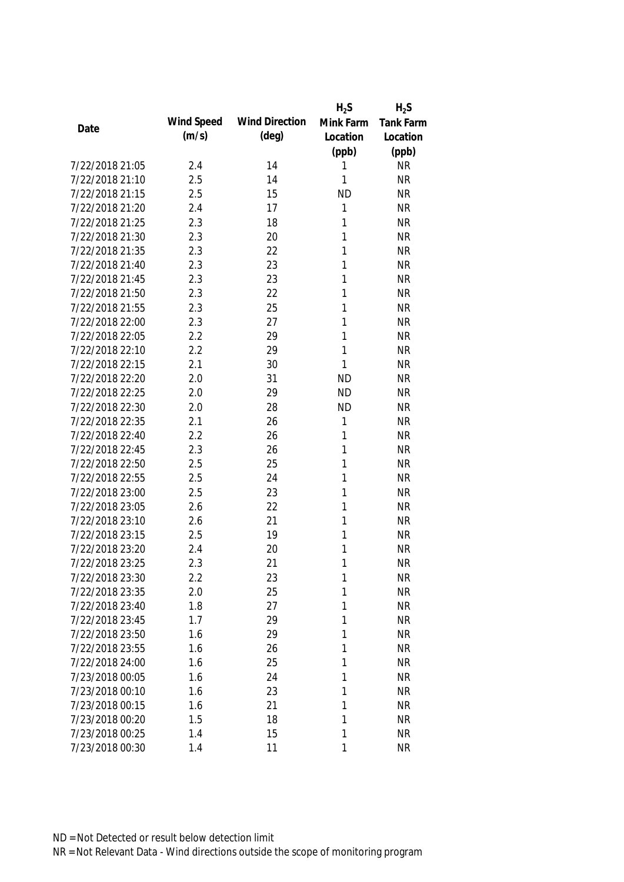|                 |            |                       | $H_2S$    | $H_2S$           |
|-----------------|------------|-----------------------|-----------|------------------|
| Date            | Wind Speed | <b>Wind Direction</b> | Mink Farm | <b>Tank Farm</b> |
|                 | (m/s)      | $(\text{deg})$        | Location  | Location         |
|                 |            |                       | (ppb)     | (ppb)            |
| 7/22/2018 21:05 | 2.4        | 14                    | 1         | <b>NR</b>        |
| 7/22/2018 21:10 | 2.5        | 14                    | 1         | <b>NR</b>        |
| 7/22/2018 21:15 | 2.5        | 15                    | <b>ND</b> | <b>NR</b>        |
| 7/22/2018 21:20 | 2.4        | 17                    | 1         | <b>NR</b>        |
| 7/22/2018 21:25 | 2.3        | 18                    | 1         | <b>NR</b>        |
| 7/22/2018 21:30 | 2.3        | 20                    | 1         | <b>NR</b>        |
| 7/22/2018 21:35 | 2.3        | 22                    | 1         | <b>NR</b>        |
| 7/22/2018 21:40 | 2.3        | 23                    | 1         | <b>NR</b>        |
| 7/22/2018 21:45 | 2.3        | 23                    | 1         | <b>NR</b>        |
| 7/22/2018 21:50 | 2.3        | 22                    | 1         | <b>NR</b>        |
| 7/22/2018 21:55 | 2.3        | 25                    | 1         | <b>NR</b>        |
| 7/22/2018 22:00 | 2.3        | 27                    | 1         | <b>NR</b>        |
| 7/22/2018 22:05 | 2.2        | 29                    | 1         | <b>NR</b>        |
| 7/22/2018 22:10 | 2.2        | 29                    | 1         | <b>NR</b>        |
| 7/22/2018 22:15 | 2.1        | 30                    | 1         | <b>NR</b>        |
| 7/22/2018 22:20 | 2.0        | 31                    | <b>ND</b> | <b>NR</b>        |
| 7/22/2018 22:25 | 2.0        | 29                    | <b>ND</b> | <b>NR</b>        |
| 7/22/2018 22:30 | 2.0        | 28                    | <b>ND</b> | <b>NR</b>        |
| 7/22/2018 22:35 | 2.1        | 26                    | 1         | <b>NR</b>        |
| 7/22/2018 22:40 | 2.2        | 26                    | 1         | <b>NR</b>        |
| 7/22/2018 22:45 | 2.3        | 26                    | 1         | <b>NR</b>        |
| 7/22/2018 22:50 | 2.5        | 25                    | 1         | <b>NR</b>        |
| 7/22/2018 22:55 | 2.5        | 24                    | 1         | <b>NR</b>        |
| 7/22/2018 23:00 | 2.5        | 23                    | 1         | <b>NR</b>        |
| 7/22/2018 23:05 | 2.6        | 22                    | 1         | <b>NR</b>        |
| 7/22/2018 23:10 | 2.6        | 21                    | 1         | <b>NR</b>        |
| 7/22/2018 23:15 | 2.5        | 19                    | 1         | <b>NR</b>        |
| 7/22/2018 23:20 | 2.4        | 20                    | 1         | <b>NR</b>        |
| 7/22/2018 23:25 | 2.3        | 21                    | 1         | <b>NR</b>        |
| 7/22/2018 23:30 | 2.2        | 23                    | 1         | <b>NR</b>        |
| 7/22/2018 23:35 | 2.0        | 25                    | 1         | <b>NR</b>        |
| 7/22/2018 23:40 | 1.8        | 27                    | 1         | <b>NR</b>        |
| 7/22/2018 23:45 | 1.7        | 29                    | 1         | <b>NR</b>        |
| 7/22/2018 23:50 | 1.6        | 29                    | 1         | <b>NR</b>        |
| 7/22/2018 23:55 | 1.6        | 26                    | 1         | <b>NR</b>        |
| 7/22/2018 24:00 | 1.6        | 25                    | 1         | <b>NR</b>        |
| 7/23/2018 00:05 | 1.6        | 24                    | 1         | <b>NR</b>        |
| 7/23/2018 00:10 | 1.6        | 23                    | 1         | <b>NR</b>        |
| 7/23/2018 00:15 | 1.6        | 21                    | 1         | <b>NR</b>        |
| 7/23/2018 00:20 | 1.5        | 18                    | 1         | <b>NR</b>        |
| 7/23/2018 00:25 | 1.4        | 15                    | 1         | <b>NR</b>        |
| 7/23/2018 00:30 | 1.4        | 11                    | 1         | <b>NR</b>        |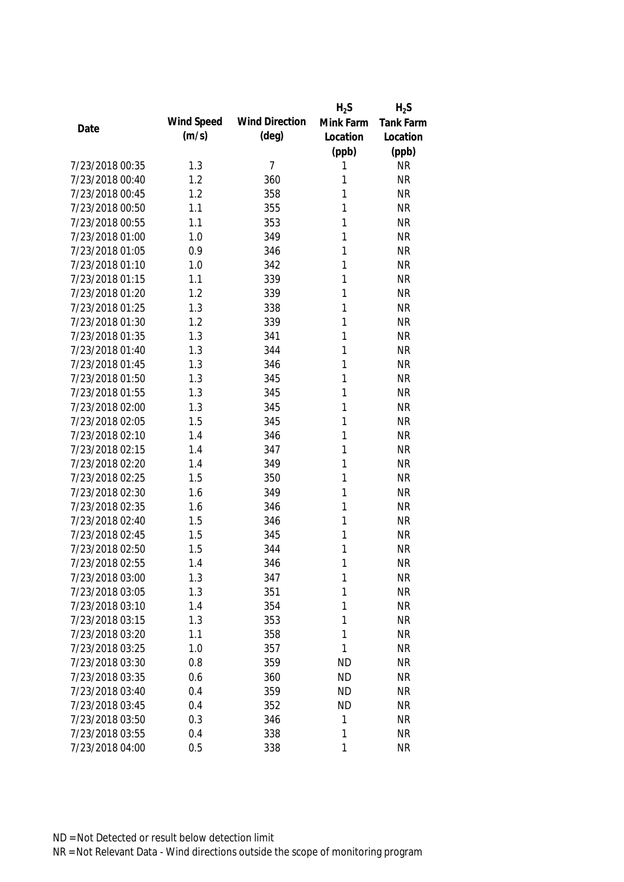|                 |            |                       | $H_2S$    | $H_2S$           |
|-----------------|------------|-----------------------|-----------|------------------|
| Date            | Wind Speed | <b>Wind Direction</b> | Mink Farm | <b>Tank Farm</b> |
|                 | (m/s)      | $(\text{deg})$        | Location  | Location         |
|                 |            |                       | (ppb)     | (ppb)            |
| 7/23/2018 00:35 | 1.3        | 7                     | 1         | <b>NR</b>        |
| 7/23/2018 00:40 | 1.2        | 360                   | 1         | <b>NR</b>        |
| 7/23/2018 00:45 | 1.2        | 358                   | 1         | <b>NR</b>        |
| 7/23/2018 00:50 | 1.1        | 355                   | 1         | <b>NR</b>        |
| 7/23/2018 00:55 | 1.1        | 353                   | 1         | <b>NR</b>        |
| 7/23/2018 01:00 | 1.0        | 349                   | 1         | <b>NR</b>        |
| 7/23/2018 01:05 | 0.9        | 346                   | 1         | <b>NR</b>        |
| 7/23/2018 01:10 | 1.0        | 342                   | 1         | <b>NR</b>        |
| 7/23/2018 01:15 | 1.1        | 339                   | 1         | <b>NR</b>        |
| 7/23/2018 01:20 | 1.2        | 339                   | 1         | <b>NR</b>        |
| 7/23/2018 01:25 | 1.3        | 338                   | 1         | <b>NR</b>        |
| 7/23/2018 01:30 | 1.2        | 339                   | 1         | <b>NR</b>        |
| 7/23/2018 01:35 | 1.3        | 341                   | 1         | <b>NR</b>        |
| 7/23/2018 01:40 | 1.3        | 344                   | 1         | <b>NR</b>        |
| 7/23/2018 01:45 | 1.3        | 346                   | 1         | <b>NR</b>        |
| 7/23/2018 01:50 | 1.3        | 345                   | 1         | <b>NR</b>        |
| 7/23/2018 01:55 | 1.3        | 345                   | 1         | <b>NR</b>        |
| 7/23/2018 02:00 | 1.3        | 345                   | 1         | <b>NR</b>        |
| 7/23/2018 02:05 | 1.5        | 345                   | 1         | <b>NR</b>        |
| 7/23/2018 02:10 | 1.4        | 346                   | 1         | <b>NR</b>        |
| 7/23/2018 02:15 | 1.4        | 347                   | 1         | <b>NR</b>        |
| 7/23/2018 02:20 | 1.4        | 349                   | 1         | <b>NR</b>        |
| 7/23/2018 02:25 | 1.5        | 350                   | 1         | <b>NR</b>        |
| 7/23/2018 02:30 | 1.6        | 349                   | 1         | <b>NR</b>        |
| 7/23/2018 02:35 | 1.6        | 346                   | 1         | <b>NR</b>        |
| 7/23/2018 02:40 | 1.5        | 346                   | 1         | <b>NR</b>        |
| 7/23/2018 02:45 | 1.5        | 345                   | 1         | <b>NR</b>        |
| 7/23/2018 02:50 | 1.5        | 344                   | 1         | <b>NR</b>        |
| 7/23/2018 02:55 | 1.4        | 346                   | 1         | <b>NR</b>        |
| 7/23/2018 03:00 | 1.3        | 347                   | 1         | <b>NR</b>        |
| 7/23/2018 03:05 | 1.3        | 351                   | 1         | <b>NR</b>        |
| 7/23/2018 03:10 | 1.4        | 354                   | 1         | <b>NR</b>        |
| 7/23/2018 03:15 | 1.3        | 353                   | 1         | <b>NR</b>        |
| 7/23/2018 03:20 | 1.1        | 358                   | 1         | <b>NR</b>        |
| 7/23/2018 03:25 | 1.0        | 357                   | 1         | <b>NR</b>        |
| 7/23/2018 03:30 | 0.8        | 359                   | <b>ND</b> | <b>NR</b>        |
| 7/23/2018 03:35 | 0.6        | 360                   | <b>ND</b> | <b>NR</b>        |
| 7/23/2018 03:40 | 0.4        | 359                   | <b>ND</b> | <b>NR</b>        |
| 7/23/2018 03:45 | 0.4        | 352                   | <b>ND</b> | <b>NR</b>        |
| 7/23/2018 03:50 | 0.3        | 346                   | 1         | <b>NR</b>        |
| 7/23/2018 03:55 | 0.4        | 338                   | 1         | <b>NR</b>        |
| 7/23/2018 04:00 | 0.5        | 338                   | 1         | <b>NR</b>        |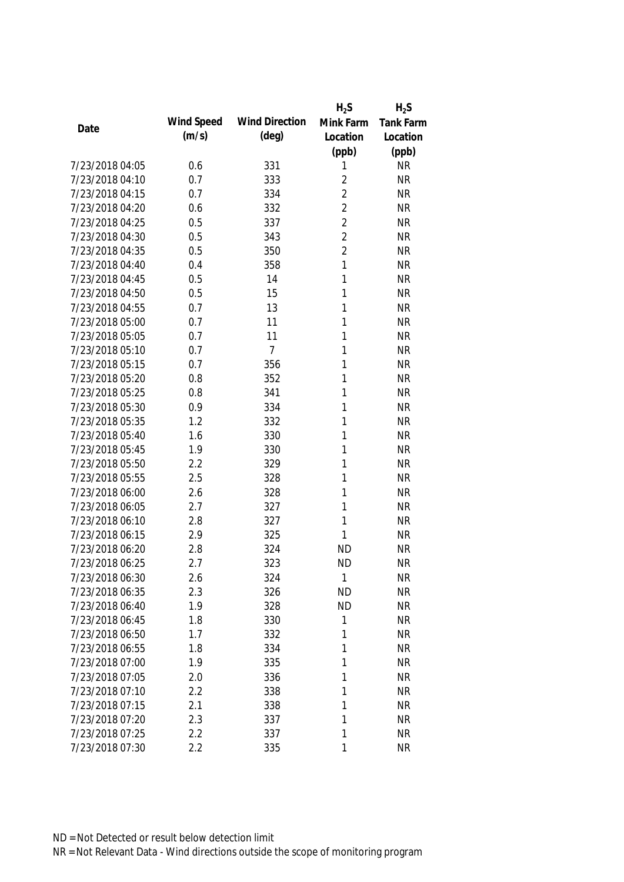|                 |            |                       | $H_2S$         | $H_2S$           |
|-----------------|------------|-----------------------|----------------|------------------|
| Date            | Wind Speed | <b>Wind Direction</b> | Mink Farm      | <b>Tank Farm</b> |
|                 | (m/s)      | $(\text{deg})$        | Location       | Location         |
|                 |            |                       | (ppb)          | (ppb)            |
| 7/23/2018 04:05 | 0.6        | 331                   | 1              | <b>NR</b>        |
| 7/23/2018 04:10 | 0.7        | 333                   | $\overline{2}$ | <b>NR</b>        |
| 7/23/2018 04:15 | 0.7        | 334                   | $\overline{2}$ | <b>NR</b>        |
| 7/23/2018 04:20 | 0.6        | 332                   | $\overline{2}$ | <b>NR</b>        |
| 7/23/2018 04:25 | 0.5        | 337                   | $\overline{2}$ | <b>NR</b>        |
| 7/23/2018 04:30 | 0.5        | 343                   | $\overline{2}$ | <b>NR</b>        |
| 7/23/2018 04:35 | 0.5        | 350                   | $\overline{2}$ | <b>NR</b>        |
| 7/23/2018 04:40 | 0.4        | 358                   | 1              | <b>NR</b>        |
| 7/23/2018 04:45 | 0.5        | 14                    | 1              | <b>NR</b>        |
| 7/23/2018 04:50 | 0.5        | 15                    | 1              | <b>NR</b>        |
| 7/23/2018 04:55 | 0.7        | 13                    | 1              | <b>NR</b>        |
| 7/23/2018 05:00 | 0.7        | 11                    | 1              | <b>NR</b>        |
| 7/23/2018 05:05 | 0.7        | 11                    | 1              | <b>NR</b>        |
| 7/23/2018 05:10 | 0.7        | $\overline{7}$        | 1              | <b>NR</b>        |
| 7/23/2018 05:15 | 0.7        | 356                   | 1              | <b>NR</b>        |
| 7/23/2018 05:20 | 0.8        | 352                   | 1              | <b>NR</b>        |
| 7/23/2018 05:25 | 0.8        | 341                   | 1              | <b>NR</b>        |
| 7/23/2018 05:30 | 0.9        | 334                   | 1              | <b>NR</b>        |
| 7/23/2018 05:35 | 1.2        | 332                   | 1              | <b>NR</b>        |
| 7/23/2018 05:40 | 1.6        | 330                   | 1              | <b>NR</b>        |
| 7/23/2018 05:45 | 1.9        | 330                   | 1              | <b>NR</b>        |
| 7/23/2018 05:50 | 2.2        | 329                   | 1              | <b>NR</b>        |
| 7/23/2018 05:55 | 2.5        | 328                   | 1              | <b>NR</b>        |
| 7/23/2018 06:00 | 2.6        | 328                   | 1              | <b>NR</b>        |
| 7/23/2018 06:05 | 2.7        | 327                   | 1              | <b>NR</b>        |
| 7/23/2018 06:10 | 2.8        | 327                   | 1              | <b>NR</b>        |
| 7/23/2018 06:15 | 2.9        | 325                   | 1              | <b>NR</b>        |
| 7/23/2018 06:20 | 2.8        | 324                   | ND             | <b>NR</b>        |
| 7/23/2018 06:25 | 2.7        | 323                   | <b>ND</b>      | <b>NR</b>        |
| 7/23/2018 06:30 | 2.6        | 324                   | 1              | <b>NR</b>        |
| 7/23/2018 06:35 | 2.3        | 326                   | <b>ND</b>      | <b>NR</b>        |
| 7/23/2018 06:40 | 1.9        | 328                   | <b>ND</b>      | <b>NR</b>        |
| 7/23/2018 06:45 | 1.8        | 330                   | 1              | <b>NR</b>        |
| 7/23/2018 06:50 | 1.7        | 332                   | 1              | <b>NR</b>        |
| 7/23/2018 06:55 | 1.8        | 334                   | 1              | <b>NR</b>        |
| 7/23/2018 07:00 | 1.9        | 335                   | 1              | <b>NR</b>        |
| 7/23/2018 07:05 | 2.0        | 336                   | 1              | <b>NR</b>        |
| 7/23/2018 07:10 | 2.2        | 338                   | 1              | <b>NR</b>        |
| 7/23/2018 07:15 | 2.1        | 338                   | 1              | <b>NR</b>        |
| 7/23/2018 07:20 | 2.3        | 337                   | 1              | <b>NR</b>        |
| 7/23/2018 07:25 | 2.2        | 337                   | 1              | <b>NR</b>        |
| 7/23/2018 07:30 | 2.2        | 335                   | 1              | <b>NR</b>        |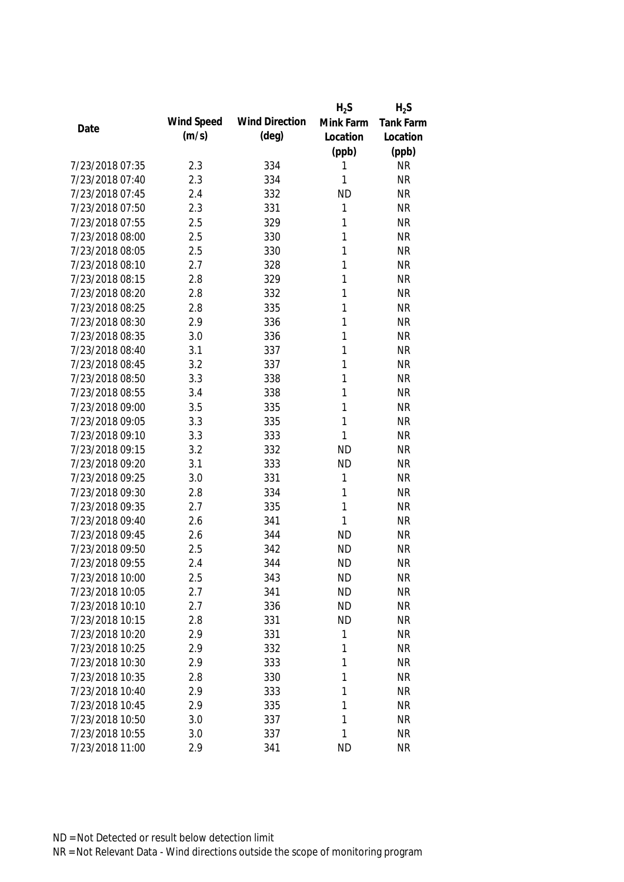|                 |            |                       | $H_2S$    | $H_2S$    |
|-----------------|------------|-----------------------|-----------|-----------|
| Date            | Wind Speed | <b>Wind Direction</b> | Mink Farm | Tank Farm |
|                 | (m/s)      | $(\text{deg})$        | Location  | Location  |
|                 |            |                       | (ppb)     | (ppb)     |
| 7/23/2018 07:35 | 2.3        | 334                   | 1         | <b>NR</b> |
| 7/23/2018 07:40 | 2.3        | 334                   | 1         | <b>NR</b> |
| 7/23/2018 07:45 | 2.4        | 332                   | <b>ND</b> | <b>NR</b> |
| 7/23/2018 07:50 | 2.3        | 331                   | 1         | <b>NR</b> |
| 7/23/2018 07:55 | 2.5        | 329                   | 1         | <b>NR</b> |
| 7/23/2018 08:00 | 2.5        | 330                   | 1         | <b>NR</b> |
| 7/23/2018 08:05 | 2.5        | 330                   | 1         | <b>NR</b> |
| 7/23/2018 08:10 | 2.7        | 328                   | 1         | <b>NR</b> |
| 7/23/2018 08:15 | 2.8        | 329                   | 1         | <b>NR</b> |
| 7/23/2018 08:20 | 2.8        | 332                   | 1         | <b>NR</b> |
| 7/23/2018 08:25 | 2.8        | 335                   | 1         | <b>NR</b> |
| 7/23/2018 08:30 | 2.9        | 336                   | 1         | <b>NR</b> |
| 7/23/2018 08:35 | 3.0        | 336                   | 1         | <b>NR</b> |
| 7/23/2018 08:40 | 3.1        | 337                   | 1         | <b>NR</b> |
| 7/23/2018 08:45 | 3.2        | 337                   | 1         | <b>NR</b> |
| 7/23/2018 08:50 | 3.3        | 338                   | 1         | <b>NR</b> |
| 7/23/2018 08:55 | 3.4        | 338                   | 1         | <b>NR</b> |
| 7/23/2018 09:00 | 3.5        | 335                   | 1         | <b>NR</b> |
| 7/23/2018 09:05 | 3.3        | 335                   | 1         | <b>NR</b> |
| 7/23/2018 09:10 | 3.3        | 333                   | 1         | <b>NR</b> |
| 7/23/2018 09:15 | 3.2        | 332                   | <b>ND</b> | <b>NR</b> |
| 7/23/2018 09:20 | 3.1        | 333                   | <b>ND</b> | <b>NR</b> |
| 7/23/2018 09:25 | 3.0        | 331                   | 1         | <b>NR</b> |
| 7/23/2018 09:30 | 2.8        | 334                   | 1         | <b>NR</b> |
| 7/23/2018 09:35 | 2.7        | 335                   | 1         | <b>NR</b> |
| 7/23/2018 09:40 | 2.6        | 341                   | 1         | <b>NR</b> |
| 7/23/2018 09:45 | 2.6        | 344                   | <b>ND</b> | <b>NR</b> |
| 7/23/2018 09:50 | 2.5        | 342                   | <b>ND</b> | <b>NR</b> |
| 7/23/2018 09:55 | 2.4        | 344                   | <b>ND</b> | <b>NR</b> |
| 7/23/2018 10:00 | 2.5        | 343                   | <b>ND</b> | <b>NR</b> |
| 7/23/2018 10:05 | 2.7        | 341                   | <b>ND</b> | <b>NR</b> |
| 7/23/2018 10:10 | 2.7        | 336                   | <b>ND</b> | <b>NR</b> |
| 7/23/2018 10:15 | 2.8        | 331                   | <b>ND</b> | <b>NR</b> |
| 7/23/2018 10:20 | 2.9        | 331                   | 1         | <b>NR</b> |
| 7/23/2018 10:25 | 2.9        | 332                   | 1         | <b>NR</b> |
| 7/23/2018 10:30 | 2.9        | 333                   | 1         | <b>NR</b> |
| 7/23/2018 10:35 | 2.8        | 330                   | 1         | <b>NR</b> |
| 7/23/2018 10:40 | 2.9        | 333                   | 1         | <b>NR</b> |
| 7/23/2018 10:45 | 2.9        | 335                   | 1         | <b>NR</b> |
| 7/23/2018 10:50 | 3.0        | 337                   | 1         | <b>NR</b> |
| 7/23/2018 10:55 | 3.0        | 337                   | 1         | <b>NR</b> |
| 7/23/2018 11:00 | 2.9        | 341                   | <b>ND</b> | <b>NR</b> |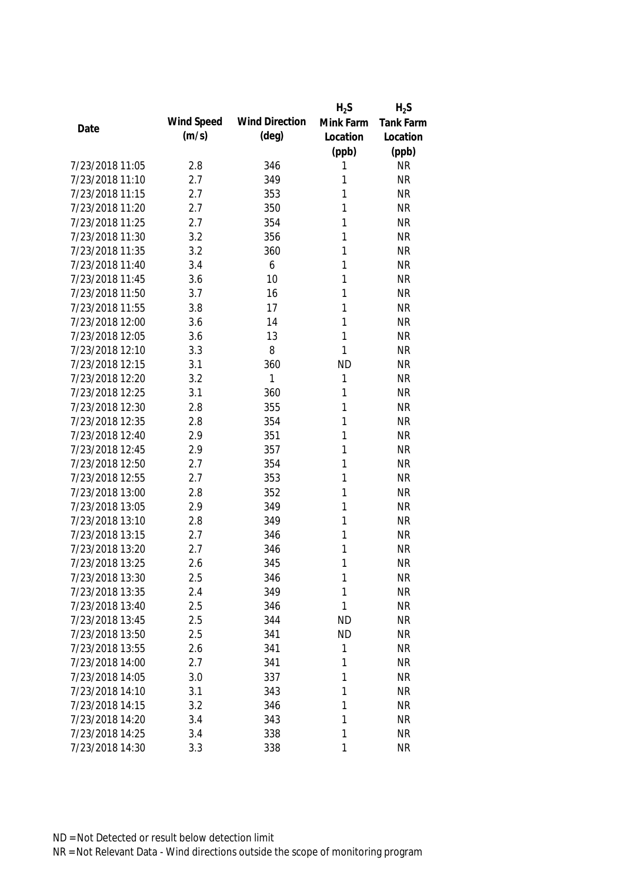|                 |            |                       | $H_2S$    | $H_2S$           |
|-----------------|------------|-----------------------|-----------|------------------|
| Date            | Wind Speed | <b>Wind Direction</b> | Mink Farm | <b>Tank Farm</b> |
|                 | (m/s)      | $(\text{deg})$        | Location  | Location         |
|                 |            |                       | (ppb)     | (ppb)            |
| 7/23/2018 11:05 | 2.8        | 346                   | 1         | <b>NR</b>        |
| 7/23/2018 11:10 | 2.7        | 349                   | 1         | <b>NR</b>        |
| 7/23/2018 11:15 | 2.7        | 353                   | 1         | <b>NR</b>        |
| 7/23/2018 11:20 | 2.7        | 350                   | 1         | <b>NR</b>        |
| 7/23/2018 11:25 | 2.7        | 354                   | 1         | <b>NR</b>        |
| 7/23/2018 11:30 | 3.2        | 356                   | 1         | <b>NR</b>        |
| 7/23/2018 11:35 | 3.2        | 360                   | 1         | <b>NR</b>        |
| 7/23/2018 11:40 | 3.4        | 6                     | 1         | <b>NR</b>        |
| 7/23/2018 11:45 | 3.6        | 10                    | 1         | <b>NR</b>        |
| 7/23/2018 11:50 | 3.7        | 16                    | 1         | <b>NR</b>        |
| 7/23/2018 11:55 | 3.8        | 17                    | 1         | <b>NR</b>        |
| 7/23/2018 12:00 | 3.6        | 14                    | 1         | <b>NR</b>        |
| 7/23/2018 12:05 | 3.6        | 13                    | 1         | <b>NR</b>        |
| 7/23/2018 12:10 | 3.3        | 8                     | 1         | <b>NR</b>        |
| 7/23/2018 12:15 | 3.1        | 360                   | <b>ND</b> | <b>NR</b>        |
| 7/23/2018 12:20 | 3.2        | 1                     | 1         | <b>NR</b>        |
| 7/23/2018 12:25 | 3.1        | 360                   | 1         | <b>NR</b>        |
| 7/23/2018 12:30 | 2.8        | 355                   | 1         | <b>NR</b>        |
| 7/23/2018 12:35 | 2.8        | 354                   | 1         | <b>NR</b>        |
| 7/23/2018 12:40 | 2.9        | 351                   | 1         | <b>NR</b>        |
| 7/23/2018 12:45 | 2.9        | 357                   | 1         | <b>NR</b>        |
| 7/23/2018 12:50 | 2.7        | 354                   | 1         | <b>NR</b>        |
| 7/23/2018 12:55 | 2.7        | 353                   | 1         | <b>NR</b>        |
| 7/23/2018 13:00 | 2.8        | 352                   | 1         | <b>NR</b>        |
| 7/23/2018 13:05 | 2.9        | 349                   | 1         | <b>NR</b>        |
| 7/23/2018 13:10 | 2.8        | 349                   | 1         | <b>NR</b>        |
| 7/23/2018 13:15 | 2.7        | 346                   | 1         | <b>NR</b>        |
| 7/23/2018 13:20 | 2.7        | 346                   | 1         | <b>NR</b>        |
| 7/23/2018 13:25 | 2.6        | 345                   | 1         | <b>NR</b>        |
| 7/23/2018 13:30 | 2.5        | 346                   | 1         | <b>NR</b>        |
| 7/23/2018 13:35 | 2.4        | 349                   | 1         | <b>NR</b>        |
| 7/23/2018 13:40 | 2.5        | 346                   | 1         | <b>NR</b>        |
| 7/23/2018 13:45 | 2.5        | 344                   | <b>ND</b> | <b>NR</b>        |
| 7/23/2018 13:50 | 2.5        | 341                   | <b>ND</b> | <b>NR</b>        |
| 7/23/2018 13:55 | 2.6        | 341                   | 1         | <b>NR</b>        |
| 7/23/2018 14:00 | 2.7        | 341                   | 1         | <b>NR</b>        |
| 7/23/2018 14:05 | 3.0        | 337                   | 1         | <b>NR</b>        |
| 7/23/2018 14:10 | 3.1        | 343                   | 1         | <b>NR</b>        |
| 7/23/2018 14:15 | 3.2        | 346                   | 1         | <b>NR</b>        |
| 7/23/2018 14:20 | 3.4        | 343                   | 1         | <b>NR</b>        |
| 7/23/2018 14:25 | 3.4        | 338                   | 1         | <b>NR</b>        |
| 7/23/2018 14:30 | 3.3        | 338                   | 1         | <b>NR</b>        |
|                 |            |                       |           |                  |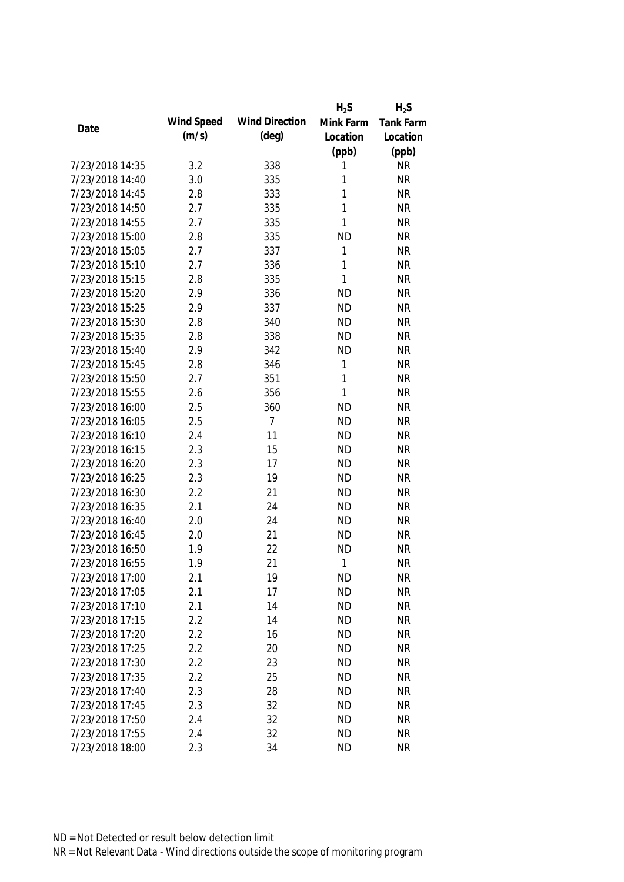|                 |            |                       | $H_2S$       | $H_2S$           |
|-----------------|------------|-----------------------|--------------|------------------|
| Date            | Wind Speed | <b>Wind Direction</b> | Mink Farm    | <b>Tank Farm</b> |
|                 | (m/s)      | $(\text{deg})$        | Location     | Location         |
|                 |            |                       | (ppb)        | (ppb)            |
| 7/23/2018 14:35 | 3.2        | 338                   | 1            | <b>NR</b>        |
| 7/23/2018 14:40 | 3.0        | 335                   | 1            | <b>NR</b>        |
| 7/23/2018 14:45 | 2.8        | 333                   | 1            | <b>NR</b>        |
| 7/23/2018 14:50 | 2.7        | 335                   | 1            | <b>NR</b>        |
| 7/23/2018 14:55 | 2.7        | 335                   | 1            | <b>NR</b>        |
| 7/23/2018 15:00 | 2.8        | 335                   | <b>ND</b>    | <b>NR</b>        |
| 7/23/2018 15:05 | 2.7        | 337                   | $\mathbf 1$  | <b>NR</b>        |
| 7/23/2018 15:10 | 2.7        | 336                   | 1            | <b>NR</b>        |
| 7/23/2018 15:15 | 2.8        | 335                   | 1            | <b>NR</b>        |
| 7/23/2018 15:20 | 2.9        | 336                   | <b>ND</b>    | <b>NR</b>        |
| 7/23/2018 15:25 | 2.9        | 337                   | <b>ND</b>    | <b>NR</b>        |
| 7/23/2018 15:30 | 2.8        | 340                   | <b>ND</b>    | <b>NR</b>        |
| 7/23/2018 15:35 | 2.8        | 338                   | <b>ND</b>    | <b>NR</b>        |
| 7/23/2018 15:40 | 2.9        | 342                   | <b>ND</b>    | <b>NR</b>        |
| 7/23/2018 15:45 | 2.8        | 346                   | 1            | <b>NR</b>        |
| 7/23/2018 15:50 | 2.7        | 351                   | $\mathbf{1}$ | <b>NR</b>        |
| 7/23/2018 15:55 | 2.6        | 356                   | 1            | <b>NR</b>        |
| 7/23/2018 16:00 | 2.5        | 360                   | <b>ND</b>    | <b>NR</b>        |
| 7/23/2018 16:05 | 2.5        | $\overline{7}$        | <b>ND</b>    | <b>NR</b>        |
| 7/23/2018 16:10 | 2.4        | 11                    | <b>ND</b>    | <b>NR</b>        |
| 7/23/2018 16:15 | 2.3        | 15                    | <b>ND</b>    | <b>NR</b>        |
| 7/23/2018 16:20 | 2.3        | 17                    | <b>ND</b>    | <b>NR</b>        |
| 7/23/2018 16:25 | 2.3        | 19                    | <b>ND</b>    | <b>NR</b>        |
| 7/23/2018 16:30 | 2.2        | 21                    | <b>ND</b>    | <b>NR</b>        |
| 7/23/2018 16:35 | 2.1        | 24                    | <b>ND</b>    | <b>NR</b>        |
| 7/23/2018 16:40 | 2.0        | 24                    | <b>ND</b>    | <b>NR</b>        |
| 7/23/2018 16:45 | 2.0        | 21                    | <b>ND</b>    | <b>NR</b>        |
| 7/23/2018 16:50 | 1.9        | 22                    | <b>ND</b>    | <b>NR</b>        |
| 7/23/2018 16:55 | 1.9        | 21                    | 1            | <b>NR</b>        |
| 7/23/2018 17:00 | 2.1        | 19                    | <b>ND</b>    | NR               |
| 7/23/2018 17:05 | 2.1        | 17                    | <b>ND</b>    | <b>NR</b>        |
| 7/23/2018 17:10 | 2.1        | 14                    | <b>ND</b>    | <b>NR</b>        |
| 7/23/2018 17:15 | 2.2        | 14                    | <b>ND</b>    | <b>NR</b>        |
| 7/23/2018 17:20 | 2.2        | 16                    | <b>ND</b>    | <b>NR</b>        |
| 7/23/2018 17:25 | 2.2        | 20                    | <b>ND</b>    | <b>NR</b>        |
| 7/23/2018 17:30 | 2.2        | 23                    | <b>ND</b>    | <b>NR</b>        |
| 7/23/2018 17:35 | 2.2        | 25                    | <b>ND</b>    | <b>NR</b>        |
| 7/23/2018 17:40 | 2.3        | 28                    | <b>ND</b>    | <b>NR</b>        |
| 7/23/2018 17:45 | 2.3        | 32                    | <b>ND</b>    | <b>NR</b>        |
| 7/23/2018 17:50 | 2.4        | 32                    | <b>ND</b>    | <b>NR</b>        |
| 7/23/2018 17:55 | 2.4        | 32                    | <b>ND</b>    | <b>NR</b>        |
| 7/23/2018 18:00 | 2.3        | 34                    | <b>ND</b>    | <b>NR</b>        |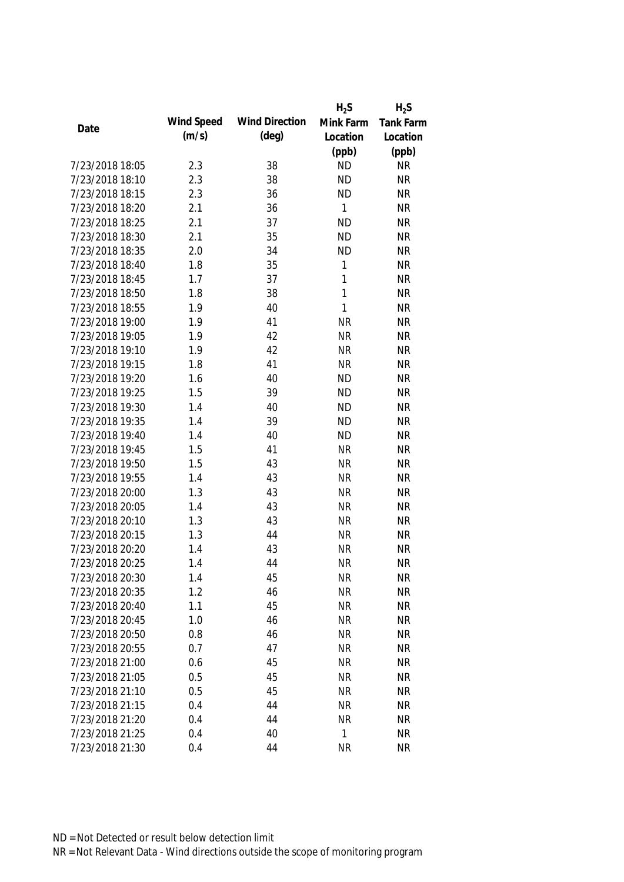|                 |            |                       | $H_2S$       | $H_2S$           |
|-----------------|------------|-----------------------|--------------|------------------|
|                 | Wind Speed | <b>Wind Direction</b> | Mink Farm    | <b>Tank Farm</b> |
| Date            | (m/s)      | $(\text{deg})$        | Location     | Location         |
|                 |            |                       | (ppb)        | (ppb)            |
| 7/23/2018 18:05 | 2.3        | 38                    | <b>ND</b>    | <b>NR</b>        |
| 7/23/2018 18:10 | 2.3        | 38                    | <b>ND</b>    | <b>NR</b>        |
| 7/23/2018 18:15 | 2.3        | 36                    | <b>ND</b>    | <b>NR</b>        |
| 7/23/2018 18:20 | 2.1        | 36                    | 1            | <b>NR</b>        |
| 7/23/2018 18:25 | 2.1        | 37                    | <b>ND</b>    | <b>NR</b>        |
| 7/23/2018 18:30 | 2.1        | 35                    | <b>ND</b>    | <b>NR</b>        |
| 7/23/2018 18:35 | 2.0        | 34                    | <b>ND</b>    | <b>NR</b>        |
| 7/23/2018 18:40 | 1.8        | 35                    | $\mathbf 1$  | <b>NR</b>        |
| 7/23/2018 18:45 | 1.7        | 37                    | $\mathbf{1}$ | <b>NR</b>        |
| 7/23/2018 18:50 | 1.8        | 38                    | $\mathbf{1}$ | <b>NR</b>        |
| 7/23/2018 18:55 | 1.9        | 40                    | $\mathbf{1}$ | <b>NR</b>        |
| 7/23/2018 19:00 | 1.9        | 41                    | <b>NR</b>    | <b>NR</b>        |
| 7/23/2018 19:05 | 1.9        | 42                    | <b>NR</b>    | <b>NR</b>        |
| 7/23/2018 19:10 | 1.9        | 42                    | <b>NR</b>    | <b>NR</b>        |
| 7/23/2018 19:15 | 1.8        | 41                    | <b>NR</b>    | <b>NR</b>        |
| 7/23/2018 19:20 | 1.6        | 40                    | <b>ND</b>    | <b>NR</b>        |
| 7/23/2018 19:25 | 1.5        | 39                    | <b>ND</b>    | <b>NR</b>        |
| 7/23/2018 19:30 | 1.4        | 40                    | <b>ND</b>    | <b>NR</b>        |
| 7/23/2018 19:35 | 1.4        | 39                    | <b>ND</b>    | <b>NR</b>        |
| 7/23/2018 19:40 | 1.4        | 40                    | <b>ND</b>    | <b>NR</b>        |
| 7/23/2018 19:45 | 1.5        | 41                    | <b>NR</b>    | <b>NR</b>        |
| 7/23/2018 19:50 | 1.5        | 43                    | <b>NR</b>    | <b>NR</b>        |
| 7/23/2018 19:55 | 1.4        | 43                    | <b>NR</b>    | <b>NR</b>        |
| 7/23/2018 20:00 | 1.3        | 43                    | <b>NR</b>    | <b>NR</b>        |
| 7/23/2018 20:05 | 1.4        | 43                    | <b>NR</b>    | <b>NR</b>        |
| 7/23/2018 20:10 | 1.3        | 43                    | <b>NR</b>    | <b>NR</b>        |
| 7/23/2018 20:15 | 1.3        | 44                    | <b>NR</b>    | <b>NR</b>        |
| 7/23/2018 20:20 | 1.4        | 43                    | <b>NR</b>    | <b>NR</b>        |
| 7/23/2018 20:25 | 1.4        | 44                    | <b>NR</b>    | <b>NR</b>        |
| 7/23/2018 20:30 | 1.4        | 45                    | <b>NR</b>    | <b>NR</b>        |
| 7/23/2018 20:35 | 1.2        | 46                    | <b>NR</b>    | <b>NR</b>        |
| 7/23/2018 20:40 | 1.1        | 45                    | <b>NR</b>    | <b>NR</b>        |
| 7/23/2018 20:45 | 1.0        | 46                    | <b>NR</b>    | <b>NR</b>        |
| 7/23/2018 20:50 | 0.8        | 46                    | <b>NR</b>    | <b>NR</b>        |
| 7/23/2018 20:55 | 0.7        | 47                    | <b>NR</b>    | <b>NR</b>        |
| 7/23/2018 21:00 | 0.6        | 45                    | <b>NR</b>    | <b>NR</b>        |
| 7/23/2018 21:05 | 0.5        | 45                    | <b>NR</b>    | <b>NR</b>        |
| 7/23/2018 21:10 | 0.5        | 45                    | <b>NR</b>    | <b>NR</b>        |
| 7/23/2018 21:15 | 0.4        | 44                    | <b>NR</b>    | <b>NR</b>        |
|                 |            | 44                    |              |                  |
| 7/23/2018 21:20 | 0.4        |                       | <b>NR</b>    | <b>NR</b>        |
| 7/23/2018 21:25 | 0.4        | 40                    | 1            | <b>NR</b>        |
| 7/23/2018 21:30 | 0.4        | 44                    | <b>NR</b>    | <b>NR</b>        |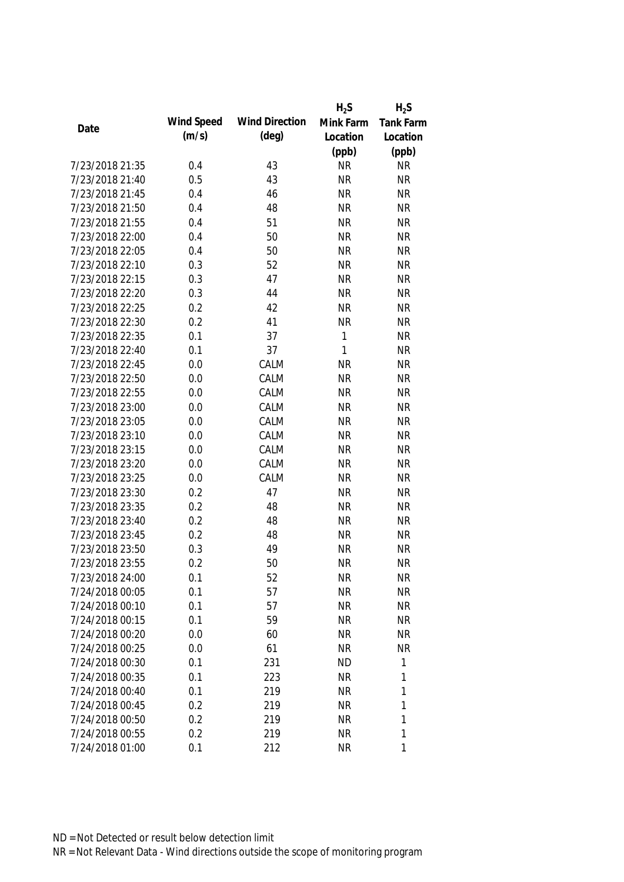|                 |            |                       | $H_2S$    | $H_2S$           |
|-----------------|------------|-----------------------|-----------|------------------|
| Date            | Wind Speed | <b>Wind Direction</b> | Mink Farm | <b>Tank Farm</b> |
|                 | (m/s)      | $(\text{deg})$        | Location  | Location         |
|                 |            |                       | (ppb)     | (ppb)            |
| 7/23/2018 21:35 | 0.4        | 43                    | <b>NR</b> | <b>NR</b>        |
| 7/23/2018 21:40 | 0.5        | 43                    | <b>NR</b> | <b>NR</b>        |
| 7/23/2018 21:45 | 0.4        | 46                    | <b>NR</b> | <b>NR</b>        |
| 7/23/2018 21:50 | 0.4        | 48                    | <b>NR</b> | <b>NR</b>        |
| 7/23/2018 21:55 | 0.4        | 51                    | <b>NR</b> | <b>NR</b>        |
| 7/23/2018 22:00 | 0.4        | 50                    | <b>NR</b> | <b>NR</b>        |
| 7/23/2018 22:05 | 0.4        | 50                    | <b>NR</b> | <b>NR</b>        |
| 7/23/2018 22:10 | 0.3        | 52                    | <b>NR</b> | <b>NR</b>        |
| 7/23/2018 22:15 | 0.3        | 47                    | <b>NR</b> | <b>NR</b>        |
| 7/23/2018 22:20 | 0.3        | 44                    | <b>NR</b> | <b>NR</b>        |
| 7/23/2018 22:25 | 0.2        | 42                    | <b>NR</b> | <b>NR</b>        |
| 7/23/2018 22:30 | 0.2        | 41                    | <b>NR</b> | <b>NR</b>        |
| 7/23/2018 22:35 | 0.1        | 37                    | 1         | <b>NR</b>        |
| 7/23/2018 22:40 | 0.1        | 37                    | 1         | <b>NR</b>        |
| 7/23/2018 22:45 | 0.0        | CALM                  | <b>NR</b> | <b>NR</b>        |
| 7/23/2018 22:50 | 0.0        | CALM                  | <b>NR</b> | <b>NR</b>        |
| 7/23/2018 22:55 | 0.0        | CALM                  | <b>NR</b> | <b>NR</b>        |
| 7/23/2018 23:00 | 0.0        | CALM                  | <b>NR</b> | <b>NR</b>        |
| 7/23/2018 23:05 | 0.0        | CALM                  | <b>NR</b> | <b>NR</b>        |
| 7/23/2018 23:10 | 0.0        | CALM                  | <b>NR</b> | <b>NR</b>        |
| 7/23/2018 23:15 | 0.0        | CALM                  | <b>NR</b> | <b>NR</b>        |
| 7/23/2018 23:20 | 0.0        | CALM                  | <b>NR</b> | <b>NR</b>        |
| 7/23/2018 23:25 | 0.0        | CALM                  | <b>NR</b> | <b>NR</b>        |
| 7/23/2018 23:30 | 0.2        | 47                    | <b>NR</b> | <b>NR</b>        |
| 7/23/2018 23:35 | 0.2        | 48                    | <b>NR</b> | <b>NR</b>        |
| 7/23/2018 23:40 | 0.2        | 48                    | <b>NR</b> | <b>NR</b>        |
| 7/23/2018 23:45 | 0.2        | 48                    | <b>NR</b> | <b>NR</b>        |
| 7/23/2018 23:50 | 0.3        | 49                    | <b>NR</b> | <b>NR</b>        |
| 7/23/2018 23:55 | 0.2        | 50                    | <b>NR</b> | <b>NR</b>        |
| 7/23/2018 24:00 | 0.1        | 52                    | <b>NR</b> | <b>NR</b>        |
| 7/24/2018 00:05 | 0.1        | 57                    | <b>NR</b> | <b>NR</b>        |
| 7/24/2018 00:10 | 0.1        | 57                    | <b>NR</b> | <b>NR</b>        |
| 7/24/2018 00:15 | 0.1        | 59                    | <b>NR</b> | <b>NR</b>        |
| 7/24/2018 00:20 | 0.0        | 60                    | <b>NR</b> | <b>NR</b>        |
| 7/24/2018 00:25 | 0.0        | 61                    | <b>NR</b> | <b>NR</b>        |
| 7/24/2018 00:30 | 0.1        | 231                   | <b>ND</b> | 1                |
| 7/24/2018 00:35 | 0.1        | 223                   | <b>NR</b> | 1                |
| 7/24/2018 00:40 | 0.1        | 219                   | <b>NR</b> | 1                |
| 7/24/2018 00:45 | 0.2        | 219                   | <b>NR</b> | 1                |
| 7/24/2018 00:50 | 0.2        | 219                   | <b>NR</b> | 1                |
| 7/24/2018 00:55 | 0.2        | 219                   | <b>NR</b> | 1                |
| 7/24/2018 01:00 | 0.1        | 212                   | <b>NR</b> | 1                |
|                 |            |                       |           |                  |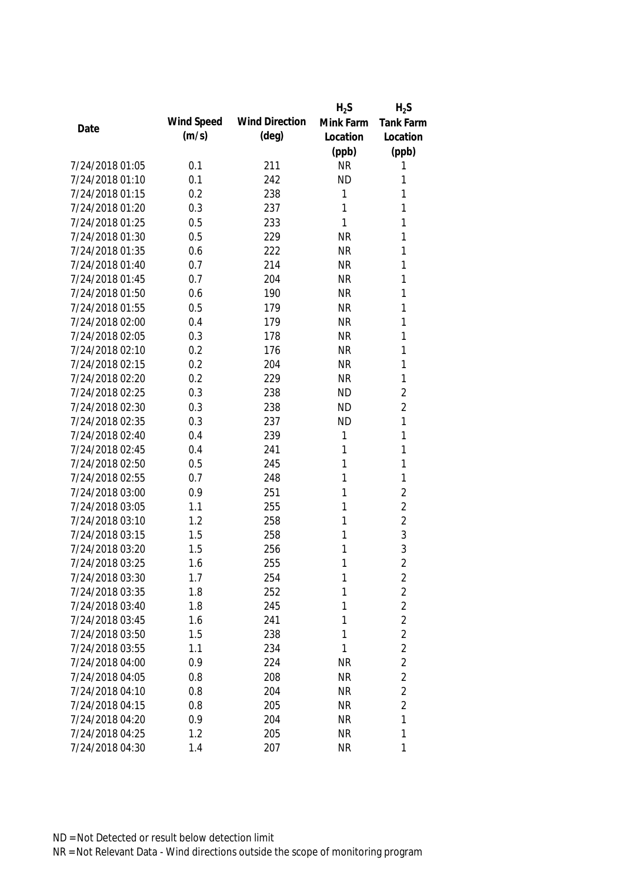|                 |            |                       | $H_2S$    | $H_2S$              |
|-----------------|------------|-----------------------|-----------|---------------------|
| Date            | Wind Speed | <b>Wind Direction</b> | Mink Farm | <b>Tank Farm</b>    |
|                 | (m/s)      | $(\text{deg})$        | Location  | Location            |
|                 |            |                       | (ppb)     | (ppb)               |
| 7/24/2018 01:05 | 0.1        | 211                   | <b>NR</b> | 1                   |
| 7/24/2018 01:10 | 0.1        | 242                   | <b>ND</b> | 1                   |
| 7/24/2018 01:15 | 0.2        | 238                   | 1         | 1                   |
| 7/24/2018 01:20 | 0.3        | 237                   | 1         | 1                   |
| 7/24/2018 01:25 | 0.5        | 233                   | 1         | 1                   |
| 7/24/2018 01:30 | 0.5        | 229                   | <b>NR</b> | 1                   |
| 7/24/2018 01:35 | 0.6        | 222                   | <b>NR</b> | 1                   |
| 7/24/2018 01:40 | 0.7        | 214                   | <b>NR</b> | 1                   |
| 7/24/2018 01:45 | 0.7        | 204                   | <b>NR</b> | 1                   |
| 7/24/2018 01:50 | 0.6        | 190                   | <b>NR</b> | 1                   |
| 7/24/2018 01:55 | 0.5        | 179                   | <b>NR</b> | 1                   |
| 7/24/2018 02:00 | 0.4        | 179                   | <b>NR</b> | 1                   |
| 7/24/2018 02:05 | 0.3        | 178                   | <b>NR</b> | 1                   |
| 7/24/2018 02:10 | 0.2        | 176                   | <b>NR</b> | 1                   |
| 7/24/2018 02:15 | 0.2        | 204                   | <b>NR</b> | 1                   |
| 7/24/2018 02:20 | 0.2        | 229                   | <b>NR</b> | 1                   |
| 7/24/2018 02:25 | 0.3        | 238                   | <b>ND</b> | $\overline{2}$      |
| 7/24/2018 02:30 | 0.3        | 238                   | <b>ND</b> | $\overline{2}$      |
| 7/24/2018 02:35 | 0.3        | 237                   | <b>ND</b> | 1                   |
| 7/24/2018 02:40 | 0.4        | 239                   | 1         | 1                   |
| 7/24/2018 02:45 | 0.4        | 241                   | 1         | 1                   |
| 7/24/2018 02:50 | 0.5        | 245                   | 1         | 1                   |
| 7/24/2018 02:55 | 0.7        | 248                   | 1         | 1                   |
| 7/24/2018 03:00 | 0.9        | 251                   | 1         | $\overline{2}$      |
| 7/24/2018 03:05 | 1.1        | 255                   | 1         | $\overline{2}$      |
| 7/24/2018 03:10 | 1.2        | 258                   | 1         | $\overline{2}$      |
| 7/24/2018 03:15 | 1.5        | 258                   | 1         | 3                   |
| 7/24/2018 03:20 | 1.5        | 256                   | 1         | 3                   |
| 7/24/2018 03:25 | 1.6        | 255                   | 1         | $\overline{2}$      |
| 7/24/2018 03:30 | 1.7        | 254                   | 1         |                     |
| 7/24/2018 03:35 | 1.8        | 252                   | 1         | 2<br>$\overline{c}$ |
| 7/24/2018 03:40 | 1.8        | 245                   | 1         | $\overline{2}$      |
| 7/24/2018 03:45 | 1.6        | 241                   | 1         | $\overline{2}$      |
| 7/24/2018 03:50 | 1.5        |                       | 1         | $\overline{2}$      |
| 7/24/2018 03:55 |            | 238                   | 1         | $\overline{2}$      |
|                 | 1.1        | 234                   |           | $\overline{2}$      |
| 7/24/2018 04:00 | 0.9        | 224                   | <b>NR</b> |                     |
| 7/24/2018 04:05 | 0.8        | 208                   | <b>NR</b> | $\overline{2}$      |
| 7/24/2018 04:10 | 0.8        | 204                   | <b>NR</b> | $\overline{2}$      |
| 7/24/2018 04:15 | 0.8        | 205                   | <b>NR</b> | $\overline{2}$      |
| 7/24/2018 04:20 | 0.9        | 204                   | <b>NR</b> | 1                   |
| 7/24/2018 04:25 | 1.2        | 205                   | <b>NR</b> | 1                   |
| 7/24/2018 04:30 | 1.4        | 207                   | <b>NR</b> | 1                   |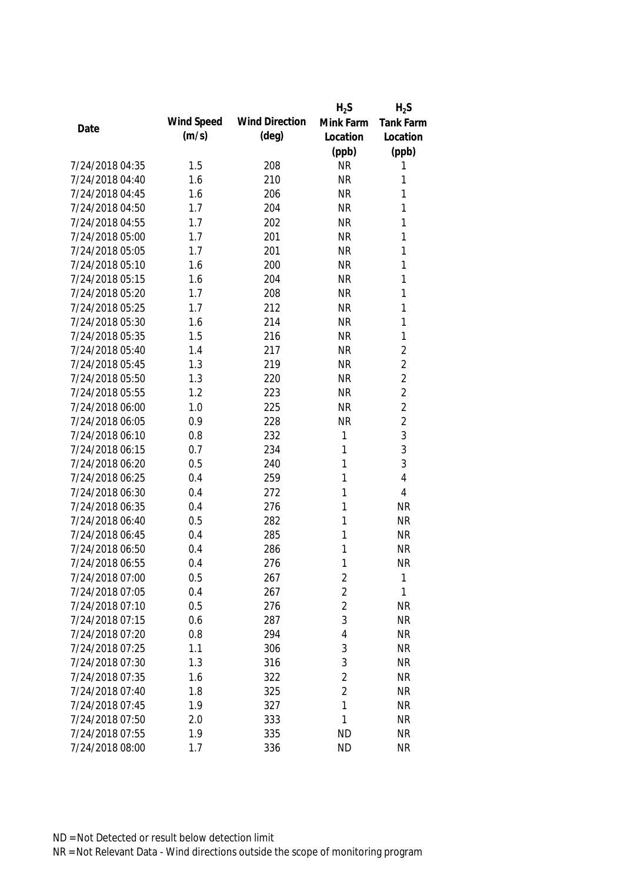|                 |            |                       | $H_2S$         | $H_2S$           |
|-----------------|------------|-----------------------|----------------|------------------|
| Date            | Wind Speed | <b>Wind Direction</b> | Mink Farm      | <b>Tank Farm</b> |
|                 | (m/s)      | $(\text{deg})$        | Location       | Location         |
|                 |            |                       | (ppb)          | (ppb)            |
| 7/24/2018 04:35 | 1.5        | 208                   | <b>NR</b>      | 1                |
| 7/24/2018 04:40 | 1.6        | 210                   | <b>NR</b>      | 1                |
| 7/24/2018 04:45 | 1.6        | 206                   | <b>NR</b>      | 1                |
| 7/24/2018 04:50 | 1.7        | 204                   | <b>NR</b>      | 1                |
| 7/24/2018 04:55 | 1.7        | 202                   | <b>NR</b>      | 1                |
| 7/24/2018 05:00 | 1.7        | 201                   | <b>NR</b>      | 1                |
| 7/24/2018 05:05 | 1.7        | 201                   | <b>NR</b>      | $\mathbf{1}$     |
| 7/24/2018 05:10 | 1.6        | 200                   | <b>NR</b>      | 1                |
| 7/24/2018 05:15 | 1.6        | 204                   | <b>NR</b>      | 1                |
| 7/24/2018 05:20 | 1.7        | 208                   | <b>NR</b>      | 1                |
| 7/24/2018 05:25 | 1.7        | 212                   | <b>NR</b>      | 1                |
| 7/24/2018 05:30 | 1.6        | 214                   | <b>NR</b>      | 1                |
| 7/24/2018 05:35 | 1.5        | 216                   | <b>NR</b>      | 1                |
| 7/24/2018 05:40 | 1.4        | 217                   | <b>NR</b>      | $\overline{2}$   |
| 7/24/2018 05:45 | 1.3        | 219                   | <b>NR</b>      | $\overline{2}$   |
| 7/24/2018 05:50 | 1.3        | 220                   | <b>NR</b>      | $\overline{2}$   |
| 7/24/2018 05:55 | 1.2        | 223                   | <b>NR</b>      | $\overline{2}$   |
| 7/24/2018 06:00 | 1.0        | 225                   | <b>NR</b>      | $\overline{2}$   |
| 7/24/2018 06:05 | 0.9        | 228                   | <b>NR</b>      | $\overline{2}$   |
| 7/24/2018 06:10 | 0.8        | 232                   | 1              | 3                |
| 7/24/2018 06:15 | 0.7        | 234                   | 1              | 3                |
| 7/24/2018 06:20 | 0.5        | 240                   | 1              | 3                |
| 7/24/2018 06:25 | 0.4        | 259                   | 1              | $\overline{4}$   |
| 7/24/2018 06:30 | 0.4        | 272                   | 1              | 4                |
| 7/24/2018 06:35 | 0.4        | 276                   | 1              | <b>NR</b>        |
| 7/24/2018 06:40 | 0.5        | 282                   | 1              | <b>NR</b>        |
| 7/24/2018 06:45 | 0.4        | 285                   | 1              | <b>NR</b>        |
| 7/24/2018 06:50 | 0.4        | 286                   | 1              | <b>NR</b>        |
| 7/24/2018 06:55 | 0.4        | 276                   | 1              | <b>NR</b>        |
| 7/24/2018 07:00 | 0.5        | 267                   | 2              | 1                |
| 7/24/2018 07:05 | 0.4        | 267                   | $\overline{2}$ | $\mathbf{1}$     |
| 7/24/2018 07:10 | 0.5        | 276                   | $\overline{2}$ | <b>NR</b>        |
| 7/24/2018 07:15 | 0.6        | 287                   | 3              | <b>NR</b>        |
| 7/24/2018 07:20 | 0.8        | 294                   | 4              | <b>NR</b>        |
| 7/24/2018 07:25 | 1.1        | 306                   | 3              | <b>NR</b>        |
| 7/24/2018 07:30 | 1.3        | 316                   | 3              | <b>NR</b>        |
| 7/24/2018 07:35 | 1.6        | 322                   | $\overline{2}$ | <b>NR</b>        |
| 7/24/2018 07:40 | 1.8        | 325                   | $\overline{2}$ | <b>NR</b>        |
| 7/24/2018 07:45 | 1.9        | 327                   | 1              | <b>NR</b>        |
| 7/24/2018 07:50 | 2.0        | 333                   | 1              | <b>NR</b>        |
| 7/24/2018 07:55 | 1.9        | 335                   | <b>ND</b>      | <b>NR</b>        |
|                 |            |                       |                |                  |
| 7/24/2018 08:00 | 1.7        | 336                   | <b>ND</b>      | <b>NR</b>        |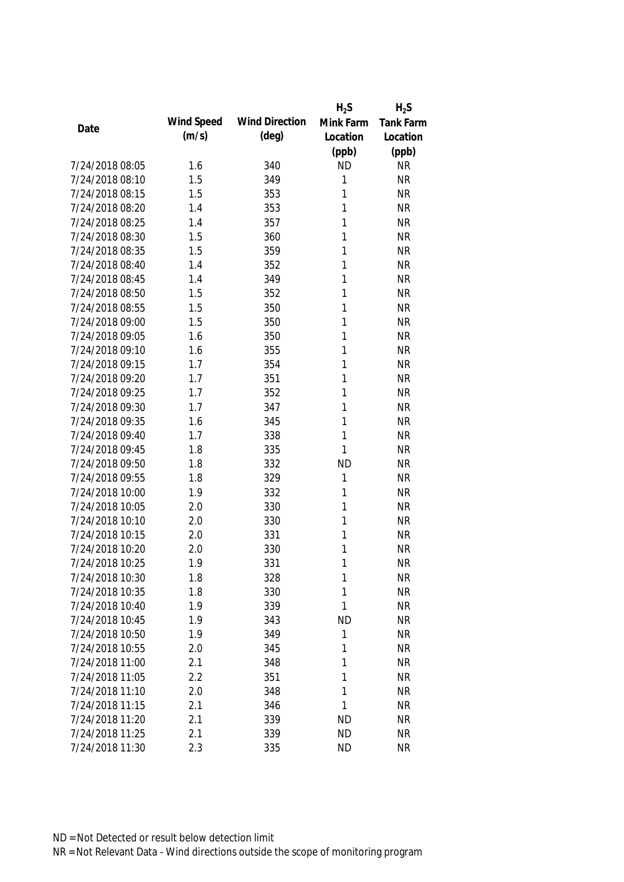|                 |            |                       | $H_2S$    | $H_2S$           |
|-----------------|------------|-----------------------|-----------|------------------|
| Date            | Wind Speed | <b>Wind Direction</b> | Mink Farm | <b>Tank Farm</b> |
|                 | (m/s)      | (deg)                 | Location  | Location         |
|                 |            |                       | (ppb)     | (ppb)            |
| 7/24/2018 08:05 | 1.6        | 340                   | <b>ND</b> | <b>NR</b>        |
| 7/24/2018 08:10 | 1.5        | 349                   | 1         | <b>NR</b>        |
| 7/24/2018 08:15 | 1.5        | 353                   | 1         | <b>NR</b>        |
| 7/24/2018 08:20 | 1.4        | 353                   | 1         | <b>NR</b>        |
| 7/24/2018 08:25 | 1.4        | 357                   | 1         | <b>NR</b>        |
| 7/24/2018 08:30 | 1.5        | 360                   | 1         | <b>NR</b>        |
| 7/24/2018 08:35 | 1.5        | 359                   | 1         | <b>NR</b>        |
| 7/24/2018 08:40 | 1.4        | 352                   | 1         | <b>NR</b>        |
| 7/24/2018 08:45 | 1.4        | 349                   | 1         | <b>NR</b>        |
| 7/24/2018 08:50 | 1.5        | 352                   | 1         | <b>NR</b>        |
| 7/24/2018 08:55 | 1.5        | 350                   | 1         | <b>NR</b>        |
| 7/24/2018 09:00 | 1.5        | 350                   | 1         | <b>NR</b>        |
| 7/24/2018 09:05 | 1.6        | 350                   | 1         | <b>NR</b>        |
| 7/24/2018 09:10 | 1.6        | 355                   | 1         | <b>NR</b>        |
| 7/24/2018 09:15 | 1.7        | 354                   | 1         | <b>NR</b>        |
| 7/24/2018 09:20 | 1.7        | 351                   | 1         | <b>NR</b>        |
| 7/24/2018 09:25 | 1.7        | 352                   | 1         | <b>NR</b>        |
| 7/24/2018 09:30 | 1.7        | 347                   | 1         | <b>NR</b>        |
| 7/24/2018 09:35 | 1.6        | 345                   | 1         | <b>NR</b>        |
| 7/24/2018 09:40 | 1.7        | 338                   | 1         | <b>NR</b>        |
| 7/24/2018 09:45 | 1.8        | 335                   | 1         | <b>NR</b>        |
| 7/24/2018 09:50 | 1.8        | 332                   | <b>ND</b> | <b>NR</b>        |
| 7/24/2018 09:55 | 1.8        | 329                   | 1         | <b>NR</b>        |
| 7/24/2018 10:00 | 1.9        | 332                   | 1         | <b>NR</b>        |
| 7/24/2018 10:05 | 2.0        | 330                   | 1         | <b>NR</b>        |
| 7/24/2018 10:10 | 2.0        | 330                   | 1         | <b>NR</b>        |
| 7/24/2018 10:15 | 2.0        | 331                   | 1         | <b>NR</b>        |
| 7/24/2018 10:20 | 2.0        | 330                   | 1         | <b>NR</b>        |
| 7/24/2018 10:25 | 1.9        | 331                   | 1         | <b>NR</b>        |
| 7/24/2018 10:30 | 1.8        | 328                   | 1         | <b>NR</b>        |
| 7/24/2018 10:35 | 1.8        | 330                   | 1         | <b>NR</b>        |
| 7/24/2018 10:40 | 1.9        | 339                   | 1         | <b>NR</b>        |
| 7/24/2018 10:45 | 1.9        | 343                   | <b>ND</b> | <b>NR</b>        |
| 7/24/2018 10:50 | 1.9        | 349                   | 1         | <b>NR</b>        |
| 7/24/2018 10:55 | 2.0        | 345                   | 1         | <b>NR</b>        |
| 7/24/2018 11:00 | 2.1        | 348                   | 1         | <b>NR</b>        |
| 7/24/2018 11:05 | 2.2        | 351                   | 1         | <b>NR</b>        |
| 7/24/2018 11:10 | 2.0        | 348                   | 1         | <b>NR</b>        |
| 7/24/2018 11:15 | 2.1        | 346                   | 1         | <b>NR</b>        |
| 7/24/2018 11:20 |            | 339                   | <b>ND</b> | <b>NR</b>        |
|                 | 2.1        |                       |           |                  |
| 7/24/2018 11:25 | 2.1        | 339                   | <b>ND</b> | <b>NR</b>        |
| 7/24/2018 11:30 | 2.3        | 335                   | <b>ND</b> | <b>NR</b>        |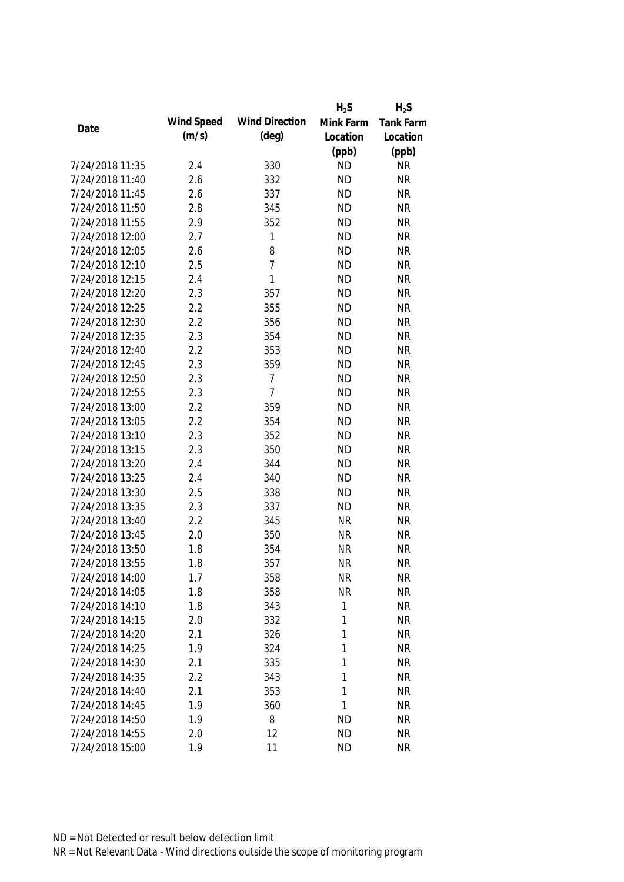|                 |            |                       | $H_2S$    | $H_2S$           |
|-----------------|------------|-----------------------|-----------|------------------|
| Date            | Wind Speed | <b>Wind Direction</b> | Mink Farm | <b>Tank Farm</b> |
|                 | (m/s)      | $(\text{deg})$        | Location  | Location         |
|                 |            |                       | (ppb)     | (ppb)            |
| 7/24/2018 11:35 | 2.4        | 330                   | <b>ND</b> | <b>NR</b>        |
| 7/24/2018 11:40 | 2.6        | 332                   | <b>ND</b> | <b>NR</b>        |
| 7/24/2018 11:45 | 2.6        | 337                   | <b>ND</b> | <b>NR</b>        |
| 7/24/2018 11:50 | 2.8        | 345                   | <b>ND</b> | <b>NR</b>        |
| 7/24/2018 11:55 | 2.9        | 352                   | <b>ND</b> | <b>NR</b>        |
| 7/24/2018 12:00 | 2.7        | 1                     | <b>ND</b> | <b>NR</b>        |
| 7/24/2018 12:05 | 2.6        | 8                     | <b>ND</b> | <b>NR</b>        |
| 7/24/2018 12:10 | 2.5        | $\overline{1}$        | <b>ND</b> | <b>NR</b>        |
| 7/24/2018 12:15 | 2.4        | 1                     | <b>ND</b> | <b>NR</b>        |
| 7/24/2018 12:20 | 2.3        | 357                   | <b>ND</b> | <b>NR</b>        |
| 7/24/2018 12:25 | 2.2        | 355                   | <b>ND</b> | <b>NR</b>        |
| 7/24/2018 12:30 | 2.2        | 356                   | <b>ND</b> | <b>NR</b>        |
| 7/24/2018 12:35 | 2.3        | 354                   | <b>ND</b> | <b>NR</b>        |
| 7/24/2018 12:40 | 2.2        | 353                   | <b>ND</b> | <b>NR</b>        |
| 7/24/2018 12:45 | 2.3        | 359                   | <b>ND</b> | <b>NR</b>        |
| 7/24/2018 12:50 | 2.3        | $\overline{1}$        | <b>ND</b> | <b>NR</b>        |
| 7/24/2018 12:55 | 2.3        | 7                     | <b>ND</b> | <b>NR</b>        |
| 7/24/2018 13:00 | 2.2        | 359                   | <b>ND</b> | <b>NR</b>        |
| 7/24/2018 13:05 | 2.2        | 354                   | <b>ND</b> | <b>NR</b>        |
| 7/24/2018 13:10 | 2.3        | 352                   | <b>ND</b> | <b>NR</b>        |
| 7/24/2018 13:15 | 2.3        | 350                   | <b>ND</b> | <b>NR</b>        |
| 7/24/2018 13:20 | 2.4        | 344                   | <b>ND</b> | <b>NR</b>        |
| 7/24/2018 13:25 | 2.4        | 340                   | <b>ND</b> | <b>NR</b>        |
| 7/24/2018 13:30 | 2.5        | 338                   | <b>ND</b> | <b>NR</b>        |
| 7/24/2018 13:35 | 2.3        | 337                   | <b>ND</b> | <b>NR</b>        |
| 7/24/2018 13:40 | 2.2        | 345                   | <b>NR</b> | <b>NR</b>        |
| 7/24/2018 13:45 | 2.0        | 350                   | <b>NR</b> | <b>NR</b>        |
| 7/24/2018 13:50 | 1.8        | 354                   | <b>NR</b> | <b>NR</b>        |
| 7/24/2018 13:55 | 1.8        | 357                   | <b>NR</b> | <b>NR</b>        |
| 7/24/2018 14:00 | 1.7        | 358                   | <b>NR</b> | NR               |
| 7/24/2018 14:05 | 1.8        | 358                   | <b>NR</b> | <b>NR</b>        |
| 7/24/2018 14:10 | 1.8        | 343                   | 1         | <b>NR</b>        |
| 7/24/2018 14:15 | 2.0        | 332                   | 1         | <b>NR</b>        |
| 7/24/2018 14:20 | 2.1        | 326                   | 1         | <b>NR</b>        |
| 7/24/2018 14:25 | 1.9        | 324                   | 1         | <b>NR</b>        |
| 7/24/2018 14:30 | 2.1        | 335                   | 1         | <b>NR</b>        |
| 7/24/2018 14:35 | 2.2        | 343                   | 1         | <b>NR</b>        |
| 7/24/2018 14:40 | 2.1        | 353                   | 1         | <b>NR</b>        |
| 7/24/2018 14:45 | 1.9        | 360                   | 1         | <b>NR</b>        |
| 7/24/2018 14:50 | 1.9        | 8                     | <b>ND</b> | <b>NR</b>        |
| 7/24/2018 14:55 | 2.0        | 12                    | <b>ND</b> | <b>NR</b>        |
| 7/24/2018 15:00 | 1.9        | 11                    | <b>ND</b> | <b>NR</b>        |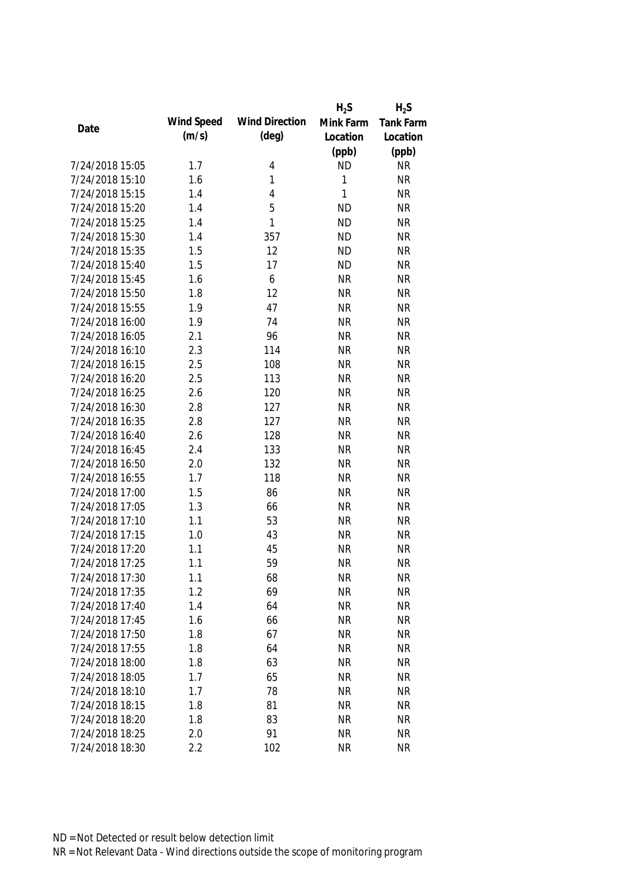|                 |            |                       | $H_2S$    | $H_2S$           |
|-----------------|------------|-----------------------|-----------|------------------|
|                 | Wind Speed | <b>Wind Direction</b> | Mink Farm | <b>Tank Farm</b> |
| Date            | (m/s)      | $(\text{deg})$        | Location  | Location         |
|                 |            |                       | (ppb)     | (ppb)            |
| 7/24/2018 15:05 | 1.7        | 4                     | <b>ND</b> | <b>NR</b>        |
| 7/24/2018 15:10 | 1.6        | 1                     | 1         | <b>NR</b>        |
| 7/24/2018 15:15 | 1.4        | 4                     | 1         | <b>NR</b>        |
| 7/24/2018 15:20 | 1.4        | 5                     | <b>ND</b> | <b>NR</b>        |
| 7/24/2018 15:25 | 1.4        | 1                     | <b>ND</b> | <b>NR</b>        |
| 7/24/2018 15:30 | 1.4        | 357                   | <b>ND</b> | <b>NR</b>        |
| 7/24/2018 15:35 | 1.5        | 12                    | <b>ND</b> | <b>NR</b>        |
| 7/24/2018 15:40 | 1.5        | 17                    | <b>ND</b> | <b>NR</b>        |
| 7/24/2018 15:45 | 1.6        | 6                     | <b>NR</b> | <b>NR</b>        |
| 7/24/2018 15:50 | 1.8        | 12                    | <b>NR</b> | <b>NR</b>        |
| 7/24/2018 15:55 | 1.9        | 47                    | <b>NR</b> | <b>NR</b>        |
| 7/24/2018 16:00 | 1.9        | 74                    | <b>NR</b> | <b>NR</b>        |
| 7/24/2018 16:05 | 2.1        | 96                    | <b>NR</b> | <b>NR</b>        |
| 7/24/2018 16:10 | 2.3        | 114                   | <b>NR</b> | <b>NR</b>        |
| 7/24/2018 16:15 | 2.5        | 108                   | <b>NR</b> | <b>NR</b>        |
| 7/24/2018 16:20 | 2.5        | 113                   | <b>NR</b> | <b>NR</b>        |
| 7/24/2018 16:25 | 2.6        | 120                   | <b>NR</b> | <b>NR</b>        |
| 7/24/2018 16:30 | 2.8        | 127                   | <b>NR</b> | <b>NR</b>        |
| 7/24/2018 16:35 | 2.8        | 127                   | <b>NR</b> | <b>NR</b>        |
| 7/24/2018 16:40 | 2.6        | 128                   | <b>NR</b> | <b>NR</b>        |
| 7/24/2018 16:45 | 2.4        | 133                   | <b>NR</b> | <b>NR</b>        |
| 7/24/2018 16:50 | 2.0        | 132                   | <b>NR</b> | <b>NR</b>        |
| 7/24/2018 16:55 | 1.7        | 118                   | <b>NR</b> | <b>NR</b>        |
| 7/24/2018 17:00 | 1.5        | 86                    | <b>NR</b> | <b>NR</b>        |
| 7/24/2018 17:05 | 1.3        | 66                    | <b>NR</b> | <b>NR</b>        |
| 7/24/2018 17:10 | 1.1        | 53                    | <b>NR</b> | <b>NR</b>        |
| 7/24/2018 17:15 | 1.0        | 43                    | <b>NR</b> | <b>NR</b>        |
| 7/24/2018 17:20 | 1.1        | 45                    | <b>NR</b> | <b>NR</b>        |
| 7/24/2018 17:25 | 1.1        | 59                    | <b>NR</b> | <b>NR</b>        |
| 7/24/2018 17:30 | 1.1        | 68                    | <b>NR</b> | <b>NR</b>        |
| 7/24/2018 17:35 | 1.2        | 69                    | <b>NR</b> | <b>NR</b>        |
| 7/24/2018 17:40 | 1.4        | 64                    | <b>NR</b> | <b>NR</b>        |
| 7/24/2018 17:45 | 1.6        | 66                    | <b>NR</b> | <b>NR</b>        |
| 7/24/2018 17:50 | 1.8        | 67                    | <b>NR</b> | <b>NR</b>        |
| 7/24/2018 17:55 | 1.8        | 64                    | <b>NR</b> | <b>NR</b>        |
| 7/24/2018 18:00 | 1.8        | 63                    | <b>NR</b> | <b>NR</b>        |
| 7/24/2018 18:05 | 1.7        | 65                    | <b>NR</b> | <b>NR</b>        |
| 7/24/2018 18:10 | 1.7        | 78                    | <b>NR</b> | <b>NR</b>        |
| 7/24/2018 18:15 | 1.8        | 81                    | <b>NR</b> | <b>NR</b>        |
|                 |            |                       |           |                  |
| 7/24/2018 18:20 | 1.8        | 83                    | <b>NR</b> | <b>NR</b>        |
| 7/24/2018 18:25 | 2.0        | 91                    | <b>NR</b> | <b>NR</b>        |
| 7/24/2018 18:30 | 2.2        | 102                   | <b>NR</b> | <b>NR</b>        |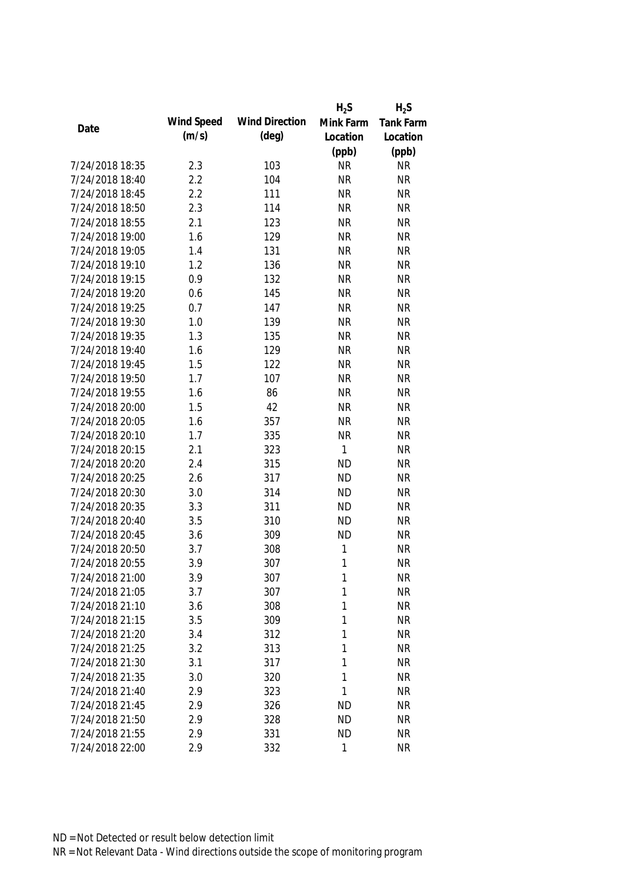|                 |            |                       | $H_2S$    | $H_2S$    |
|-----------------|------------|-----------------------|-----------|-----------|
|                 | Wind Speed | <b>Wind Direction</b> | Mink Farm | Tank Farm |
| Date            | (m/s)      | (deg)                 | Location  | Location  |
|                 |            |                       | (ppb)     | (ppb)     |
| 7/24/2018 18:35 | 2.3        | 103                   | <b>NR</b> | <b>NR</b> |
| 7/24/2018 18:40 | 2.2        | 104                   | <b>NR</b> | <b>NR</b> |
| 7/24/2018 18:45 | 2.2        | 111                   | <b>NR</b> | <b>NR</b> |
| 7/24/2018 18:50 | 2.3        | 114                   | <b>NR</b> | <b>NR</b> |
| 7/24/2018 18:55 | 2.1        | 123                   | <b>NR</b> | <b>NR</b> |
| 7/24/2018 19:00 | 1.6        | 129                   | <b>NR</b> | <b>NR</b> |
| 7/24/2018 19:05 | 1.4        | 131                   | <b>NR</b> | <b>NR</b> |
| 7/24/2018 19:10 | 1.2        | 136                   | <b>NR</b> | <b>NR</b> |
| 7/24/2018 19:15 | 0.9        | 132                   | <b>NR</b> | <b>NR</b> |
| 7/24/2018 19:20 | 0.6        | 145                   | <b>NR</b> | <b>NR</b> |
| 7/24/2018 19:25 | 0.7        | 147                   | <b>NR</b> | <b>NR</b> |
| 7/24/2018 19:30 | 1.0        | 139                   | <b>NR</b> | <b>NR</b> |
| 7/24/2018 19:35 | 1.3        | 135                   | <b>NR</b> | <b>NR</b> |
| 7/24/2018 19:40 | 1.6        | 129                   | <b>NR</b> | <b>NR</b> |
| 7/24/2018 19:45 | 1.5        | 122                   | <b>NR</b> | <b>NR</b> |
| 7/24/2018 19:50 | 1.7        | 107                   | <b>NR</b> | <b>NR</b> |
| 7/24/2018 19:55 | 1.6        | 86                    | <b>NR</b> | <b>NR</b> |
| 7/24/2018 20:00 | 1.5        | 42                    | <b>NR</b> | <b>NR</b> |
| 7/24/2018 20:05 | 1.6        | 357                   | <b>NR</b> | <b>NR</b> |
| 7/24/2018 20:10 | 1.7        | 335                   | <b>NR</b> | <b>NR</b> |
| 7/24/2018 20:15 | 2.1        | 323                   | 1         | <b>NR</b> |
| 7/24/2018 20:20 | 2.4        | 315                   | <b>ND</b> | <b>NR</b> |
| 7/24/2018 20:25 | 2.6        | 317                   | <b>ND</b> | <b>NR</b> |
| 7/24/2018 20:30 | 3.0        | 314                   | <b>ND</b> | <b>NR</b> |
| 7/24/2018 20:35 | 3.3        | 311                   | <b>ND</b> | <b>NR</b> |
| 7/24/2018 20:40 | 3.5        | 310                   | <b>ND</b> | <b>NR</b> |
| 7/24/2018 20:45 | 3.6        | 309                   | <b>ND</b> | <b>NR</b> |
| 7/24/2018 20:50 | 3.7        | 308                   | 1         | <b>NR</b> |
| 7/24/2018 20:55 | 3.9        | 307                   | 1         | <b>NR</b> |
| 7/24/2018 21:00 | 3.9        | 307                   | 1         | <b>NR</b> |
| 7/24/2018 21:05 | 3.7        | 307                   | 1         | <b>NR</b> |
| 7/24/2018 21:10 | 3.6        | 308                   | 1         | <b>NR</b> |
| 7/24/2018 21:15 | 3.5        | 309                   | 1         | <b>NR</b> |
| 7/24/2018 21:20 | 3.4        | 312                   | 1         | <b>NR</b> |
| 7/24/2018 21:25 | 3.2        | 313                   | 1         | <b>NR</b> |
| 7/24/2018 21:30 | 3.1        | 317                   | 1         | <b>NR</b> |
| 7/24/2018 21:35 | 3.0        | 320                   | 1         | <b>NR</b> |
| 7/24/2018 21:40 | 2.9        | 323                   | 1         | <b>NR</b> |
| 7/24/2018 21:45 | 2.9        | 326                   | <b>ND</b> | <b>NR</b> |
| 7/24/2018 21:50 | 2.9        | 328                   | <b>ND</b> | <b>NR</b> |
| 7/24/2018 21:55 | 2.9        | 331                   | <b>ND</b> | <b>NR</b> |
| 7/24/2018 22:00 | 2.9        | 332                   | 1         | <b>NR</b> |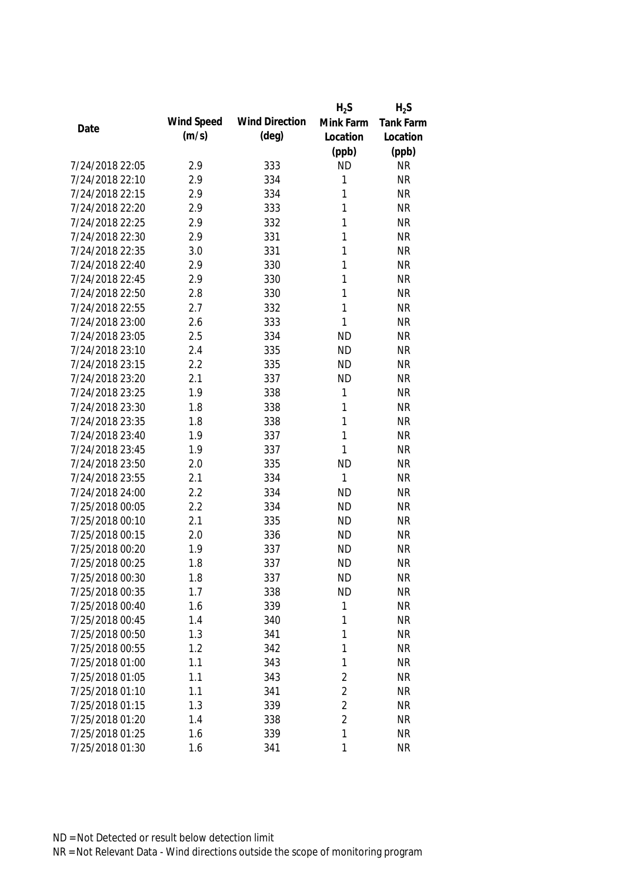|                 |            |                       | $H_2S$         | $H_2S$           |
|-----------------|------------|-----------------------|----------------|------------------|
| Date            | Wind Speed | <b>Wind Direction</b> | Mink Farm      | <b>Tank Farm</b> |
|                 | (m/s)      | $(\text{deg})$        | Location       | Location         |
|                 |            |                       | (ppb)          | (ppb)            |
| 7/24/2018 22:05 | 2.9        | 333                   | <b>ND</b>      | <b>NR</b>        |
| 7/24/2018 22:10 | 2.9        | 334                   | 1              | <b>NR</b>        |
| 7/24/2018 22:15 | 2.9        | 334                   | 1              | <b>NR</b>        |
| 7/24/2018 22:20 | 2.9        | 333                   | 1              | <b>NR</b>        |
| 7/24/2018 22:25 | 2.9        | 332                   | 1              | <b>NR</b>        |
| 7/24/2018 22:30 | 2.9        | 331                   | 1              | <b>NR</b>        |
| 7/24/2018 22:35 | 3.0        | 331                   | 1              | <b>NR</b>        |
| 7/24/2018 22:40 | 2.9        | 330                   | 1              | <b>NR</b>        |
| 7/24/2018 22:45 | 2.9        | 330                   | 1              | <b>NR</b>        |
| 7/24/2018 22:50 | 2.8        | 330                   | 1              | <b>NR</b>        |
| 7/24/2018 22:55 | 2.7        | 332                   | 1              | <b>NR</b>        |
| 7/24/2018 23:00 | 2.6        | 333                   | 1              | <b>NR</b>        |
| 7/24/2018 23:05 | 2.5        | 334                   | <b>ND</b>      | <b>NR</b>        |
| 7/24/2018 23:10 | 2.4        | 335                   | <b>ND</b>      | <b>NR</b>        |
| 7/24/2018 23:15 | 2.2        | 335                   | <b>ND</b>      | <b>NR</b>        |
| 7/24/2018 23:20 | 2.1        | 337                   | <b>ND</b>      | <b>NR</b>        |
| 7/24/2018 23:25 | 1.9        | 338                   | 1              | <b>NR</b>        |
| 7/24/2018 23:30 | 1.8        | 338                   | 1              | <b>NR</b>        |
| 7/24/2018 23:35 | 1.8        | 338                   | 1              | <b>NR</b>        |
| 7/24/2018 23:40 | 1.9        | 337                   | 1              | <b>NR</b>        |
| 7/24/2018 23:45 | 1.9        | 337                   | 1              | <b>NR</b>        |
| 7/24/2018 23:50 | 2.0        | 335                   | <b>ND</b>      | <b>NR</b>        |
| 7/24/2018 23:55 | 2.1        | 334                   | 1              | <b>NR</b>        |
| 7/24/2018 24:00 | 2.2        | 334                   | <b>ND</b>      | <b>NR</b>        |
| 7/25/2018 00:05 | 2.2        | 334                   | <b>ND</b>      | <b>NR</b>        |
| 7/25/2018 00:10 | 2.1        | 335                   | <b>ND</b>      | <b>NR</b>        |
| 7/25/2018 00:15 | 2.0        | 336                   | <b>ND</b>      | <b>NR</b>        |
| 7/25/2018 00:20 | 1.9        | 337                   | <b>ND</b>      | <b>NR</b>        |
| 7/25/2018 00:25 | 1.8        | 337                   | <b>ND</b>      | <b>NR</b>        |
| 7/25/2018 00:30 | 1.8        | 337                   | <b>ND</b>      | <b>NR</b>        |
| 7/25/2018 00:35 | 1.7        | 338                   | <b>ND</b>      | <b>NR</b>        |
| 7/25/2018 00:40 | 1.6        | 339                   | 1              | <b>NR</b>        |
| 7/25/2018 00:45 | 1.4        | 340                   | 1              | <b>NR</b>        |
| 7/25/2018 00:50 | 1.3        | 341                   | 1              | <b>NR</b>        |
| 7/25/2018 00:55 | 1.2        | 342                   | 1              | <b>NR</b>        |
| 7/25/2018 01:00 | 1.1        | 343                   | 1              | <b>NR</b>        |
| 7/25/2018 01:05 | 1.1        | 343                   | $\overline{2}$ | <b>NR</b>        |
| 7/25/2018 01:10 | 1.1        | 341                   | $\overline{2}$ | <b>NR</b>        |
| 7/25/2018 01:15 | 1.3        | 339                   | $\overline{2}$ | <b>NR</b>        |
| 7/25/2018 01:20 | 1.4        | 338                   | $\overline{2}$ | <b>NR</b>        |
| 7/25/2018 01:25 | 1.6        | 339                   | 1              | <b>NR</b>        |
| 7/25/2018 01:30 | 1.6        | 341                   | 1              | <b>NR</b>        |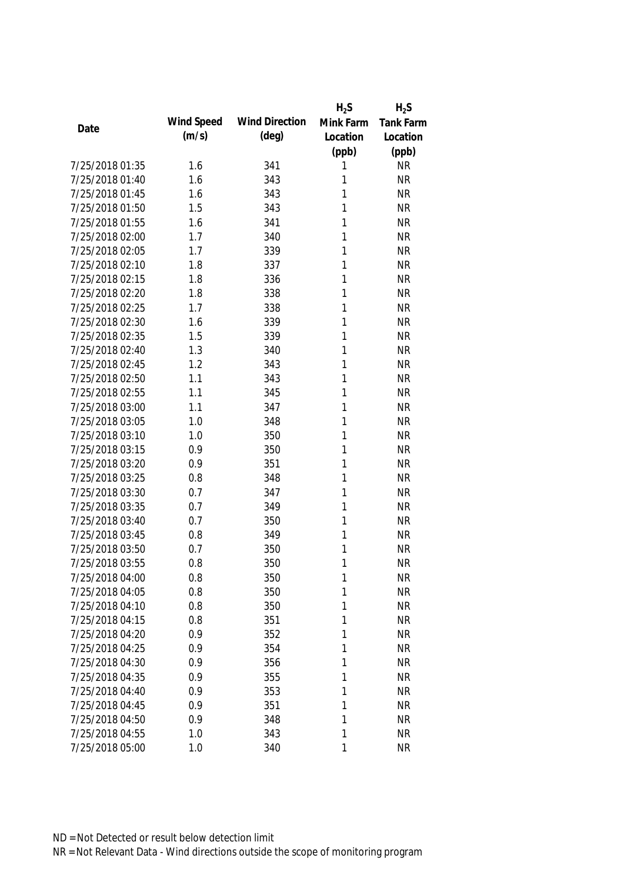|                 |            |                       | $H_2S$    | $H_2S$    |
|-----------------|------------|-----------------------|-----------|-----------|
| Date            | Wind Speed | <b>Wind Direction</b> | Mink Farm | Tank Farm |
|                 | (m/s)      | $(\text{deg})$        | Location  | Location  |
|                 |            |                       | (ppb)     | (ppb)     |
| 7/25/2018 01:35 | 1.6        | 341                   | 1         | <b>NR</b> |
| 7/25/2018 01:40 | 1.6        | 343                   | 1         | <b>NR</b> |
| 7/25/2018 01:45 | 1.6        | 343                   | 1         | <b>NR</b> |
| 7/25/2018 01:50 | 1.5        | 343                   | 1         | <b>NR</b> |
| 7/25/2018 01:55 | 1.6        | 341                   | 1         | <b>NR</b> |
| 7/25/2018 02:00 | 1.7        | 340                   | 1         | <b>NR</b> |
| 7/25/2018 02:05 | 1.7        | 339                   | 1         | <b>NR</b> |
| 7/25/2018 02:10 | 1.8        | 337                   | 1         | <b>NR</b> |
| 7/25/2018 02:15 | 1.8        | 336                   | 1         | <b>NR</b> |
| 7/25/2018 02:20 | 1.8        | 338                   | 1         | <b>NR</b> |
| 7/25/2018 02:25 | 1.7        | 338                   | 1         | <b>NR</b> |
| 7/25/2018 02:30 | 1.6        | 339                   | 1         | <b>NR</b> |
| 7/25/2018 02:35 | 1.5        | 339                   | 1         | <b>NR</b> |
| 7/25/2018 02:40 | 1.3        | 340                   | 1         | <b>NR</b> |
| 7/25/2018 02:45 | 1.2        | 343                   | 1         | <b>NR</b> |
| 7/25/2018 02:50 | 1.1        | 343                   | 1         | <b>NR</b> |
| 7/25/2018 02:55 | 1.1        | 345                   | 1         | <b>NR</b> |
| 7/25/2018 03:00 | 1.1        | 347                   | 1         | <b>NR</b> |
| 7/25/2018 03:05 | 1.0        | 348                   | 1         | <b>NR</b> |
| 7/25/2018 03:10 | 1.0        | 350                   | 1         | <b>NR</b> |
| 7/25/2018 03:15 | 0.9        | 350                   | 1         | <b>NR</b> |
| 7/25/2018 03:20 | 0.9        | 351                   | 1         | <b>NR</b> |
| 7/25/2018 03:25 | 0.8        | 348                   | 1         | <b>NR</b> |
| 7/25/2018 03:30 | 0.7        | 347                   | 1         | <b>NR</b> |
| 7/25/2018 03:35 | 0.7        | 349                   | 1         | <b>NR</b> |
| 7/25/2018 03:40 | 0.7        | 350                   | 1         | <b>NR</b> |
| 7/25/2018 03:45 | 0.8        | 349                   | 1         | <b>NR</b> |
| 7/25/2018 03:50 | 0.7        | 350                   | 1         | <b>NR</b> |
| 7/25/2018 03:55 | 0.8        | 350                   | 1         | <b>NR</b> |
| 7/25/2018 04:00 | 0.8        | 350                   | 1         | <b>NR</b> |
| 7/25/2018 04:05 | 0.8        | 350                   | 1         | <b>NR</b> |
| 7/25/2018 04:10 | 0.8        | 350                   | 1         | <b>NR</b> |
| 7/25/2018 04:15 | 0.8        | 351                   | 1         | <b>NR</b> |
| 7/25/2018 04:20 | 0.9        | 352                   | 1         | <b>NR</b> |
| 7/25/2018 04:25 | 0.9        | 354                   | 1         | <b>NR</b> |
| 7/25/2018 04:30 | 0.9        | 356                   | 1         | <b>NR</b> |
| 7/25/2018 04:35 | 0.9        | 355                   | 1         | <b>NR</b> |
| 7/25/2018 04:40 | 0.9        | 353                   | 1         | <b>NR</b> |
| 7/25/2018 04:45 | 0.9        | 351                   | 1         | <b>NR</b> |
| 7/25/2018 04:50 | 0.9        | 348                   | 1         | <b>NR</b> |
| 7/25/2018 04:55 | 1.0        | 343                   | 1         | <b>NR</b> |
| 7/25/2018 05:00 | 1.0        | 340                   | 1         | <b>NR</b> |
|                 |            |                       |           |           |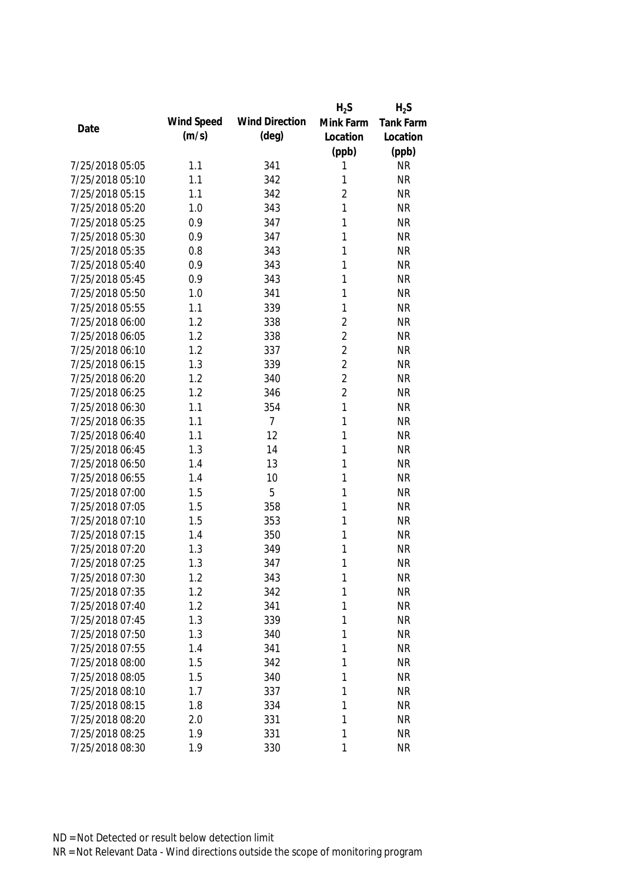|                 |            |                       | $H_2S$         | $H_2S$           |
|-----------------|------------|-----------------------|----------------|------------------|
| Date            | Wind Speed | <b>Wind Direction</b> | Mink Farm      | <b>Tank Farm</b> |
|                 | (m/s)      | $(\text{deg})$        | Location       | Location         |
|                 |            |                       | (ppb)          | (ppb)            |
| 7/25/2018 05:05 | 1.1        | 341                   | 1              | <b>NR</b>        |
| 7/25/2018 05:10 | 1.1        | 342                   | 1              | <b>NR</b>        |
| 7/25/2018 05:15 | 1.1        | 342                   | $\overline{2}$ | <b>NR</b>        |
| 7/25/2018 05:20 | 1.0        | 343                   | 1              | <b>NR</b>        |
| 7/25/2018 05:25 | 0.9        | 347                   | 1              | <b>NR</b>        |
| 7/25/2018 05:30 | 0.9        | 347                   | 1              | <b>NR</b>        |
| 7/25/2018 05:35 | 0.8        | 343                   | 1              | <b>NR</b>        |
| 7/25/2018 05:40 | 0.9        | 343                   | 1              | <b>NR</b>        |
| 7/25/2018 05:45 | 0.9        | 343                   | 1              | <b>NR</b>        |
| 7/25/2018 05:50 | 1.0        | 341                   | 1              | <b>NR</b>        |
| 7/25/2018 05:55 | 1.1        | 339                   | 1              | <b>NR</b>        |
| 7/25/2018 06:00 | 1.2        | 338                   | $\overline{2}$ | <b>NR</b>        |
| 7/25/2018 06:05 | 1.2        | 338                   | $\overline{2}$ | <b>NR</b>        |
| 7/25/2018 06:10 | 1.2        | 337                   | $\overline{2}$ | <b>NR</b>        |
| 7/25/2018 06:15 | 1.3        | 339                   | $\overline{2}$ | <b>NR</b>        |
| 7/25/2018 06:20 | 1.2        | 340                   | $\overline{2}$ | <b>NR</b>        |
| 7/25/2018 06:25 | 1.2        | 346                   | $\overline{2}$ | <b>NR</b>        |
| 7/25/2018 06:30 | 1.1        | 354                   | 1              | <b>NR</b>        |
| 7/25/2018 06:35 | 1.1        | $\overline{7}$        | 1              | <b>NR</b>        |
| 7/25/2018 06:40 | 1.1        | 12                    | 1              | <b>NR</b>        |
| 7/25/2018 06:45 | 1.3        | 14                    | 1              | <b>NR</b>        |
| 7/25/2018 06:50 | 1.4        | 13                    | 1              | <b>NR</b>        |
| 7/25/2018 06:55 | 1.4        | 10                    | 1              | <b>NR</b>        |
| 7/25/2018 07:00 | 1.5        | 5                     | 1              | <b>NR</b>        |
| 7/25/2018 07:05 | 1.5        | 358                   | 1              | <b>NR</b>        |
| 7/25/2018 07:10 | 1.5        | 353                   | 1              | <b>NR</b>        |
| 7/25/2018 07:15 | 1.4        | 350                   | 1              | <b>NR</b>        |
| 7/25/2018 07:20 | 1.3        | 349                   | 1              | <b>NR</b>        |
| 7/25/2018 07:25 | 1.3        | 347                   | 1              | <b>NR</b>        |
| 7/25/2018 07:30 | 1.2        | 343                   | 1              | <b>NR</b>        |
| 7/25/2018 07:35 | 1.2        | 342                   | 1              | <b>NR</b>        |
| 7/25/2018 07:40 | 1.2        | 341                   | 1              | <b>NR</b>        |
| 7/25/2018 07:45 | 1.3        | 339                   | 1              | <b>NR</b>        |
| 7/25/2018 07:50 | 1.3        | 340                   | 1              | <b>NR</b>        |
| 7/25/2018 07:55 | 1.4        | 341                   | 1              | <b>NR</b>        |
| 7/25/2018 08:00 | 1.5        | 342                   | 1              | <b>NR</b>        |
| 7/25/2018 08:05 | 1.5        | 340                   | 1              | <b>NR</b>        |
| 7/25/2018 08:10 | 1.7        | 337                   | 1              | <b>NR</b>        |
| 7/25/2018 08:15 | 1.8        | 334                   | 1              | <b>NR</b>        |
| 7/25/2018 08:20 | 2.0        | 331                   | 1              | <b>NR</b>        |
| 7/25/2018 08:25 | 1.9        | 331                   | 1              | <b>NR</b>        |
| 7/25/2018 08:30 | 1.9        | 330                   | 1              | <b>NR</b>        |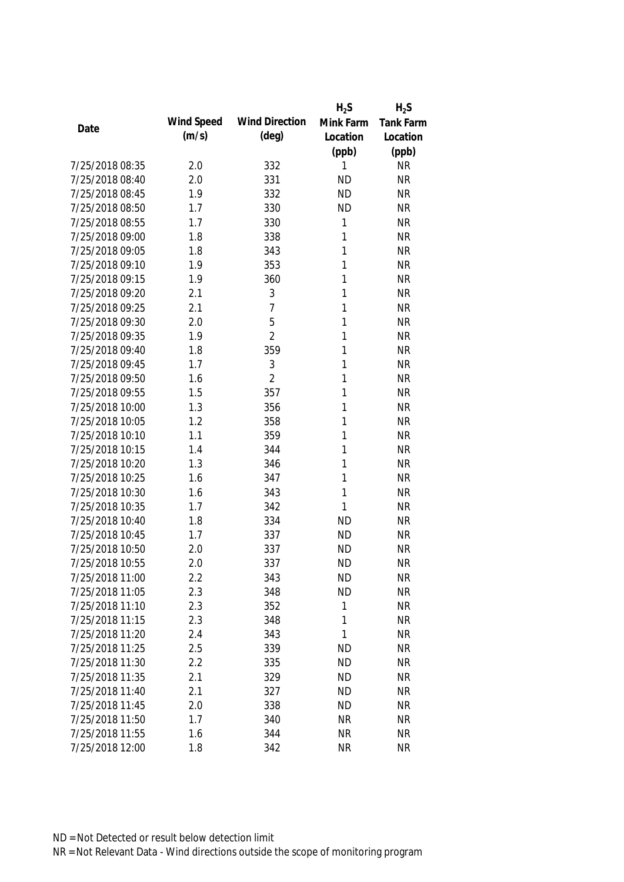|                 |            |                       | $H_2S$    | $H_2S$           |
|-----------------|------------|-----------------------|-----------|------------------|
| Date            | Wind Speed | <b>Wind Direction</b> | Mink Farm | <b>Tank Farm</b> |
|                 | (m/s)      | $(\text{deg})$        | Location  | Location         |
|                 |            |                       | (ppb)     | (ppb)            |
| 7/25/2018 08:35 | 2.0        | 332                   | 1         | <b>NR</b>        |
| 7/25/2018 08:40 | 2.0        | 331                   | <b>ND</b> | <b>NR</b>        |
| 7/25/2018 08:45 | 1.9        | 332                   | <b>ND</b> | <b>NR</b>        |
| 7/25/2018 08:50 | 1.7        | 330                   | <b>ND</b> | <b>NR</b>        |
| 7/25/2018 08:55 | 1.7        | 330                   | 1         | <b>NR</b>        |
| 7/25/2018 09:00 | 1.8        | 338                   | 1         | <b>NR</b>        |
| 7/25/2018 09:05 | 1.8        | 343                   | 1         | <b>NR</b>        |
| 7/25/2018 09:10 | 1.9        | 353                   | 1         | <b>NR</b>        |
| 7/25/2018 09:15 | 1.9        | 360                   | 1         | <b>NR</b>        |
| 7/25/2018 09:20 | 2.1        | 3                     | 1         | <b>NR</b>        |
| 7/25/2018 09:25 | 2.1        | 7                     | 1         | <b>NR</b>        |
| 7/25/2018 09:30 | 2.0        | 5                     | 1         | <b>NR</b>        |
| 7/25/2018 09:35 | 1.9        | $\overline{2}$        | 1         | <b>NR</b>        |
| 7/25/2018 09:40 | 1.8        | 359                   | 1         | <b>NR</b>        |
| 7/25/2018 09:45 | 1.7        | 3                     | 1         | <b>NR</b>        |
| 7/25/2018 09:50 | 1.6        | $\overline{2}$        | 1         | <b>NR</b>        |
| 7/25/2018 09:55 | 1.5        | 357                   | 1         | <b>NR</b>        |
| 7/25/2018 10:00 | 1.3        | 356                   | 1         | <b>NR</b>        |
| 7/25/2018 10:05 | 1.2        | 358                   | 1         | <b>NR</b>        |
| 7/25/2018 10:10 | 1.1        | 359                   | 1         | <b>NR</b>        |
| 7/25/2018 10:15 | 1.4        | 344                   | 1         | <b>NR</b>        |
| 7/25/2018 10:20 | 1.3        | 346                   | 1         | <b>NR</b>        |
| 7/25/2018 10:25 | 1.6        | 347                   | 1         | <b>NR</b>        |
| 7/25/2018 10:30 | 1.6        | 343                   | 1         | <b>NR</b>        |
| 7/25/2018 10:35 | 1.7        | 342                   | 1         | <b>NR</b>        |
| 7/25/2018 10:40 | 1.8        | 334                   | <b>ND</b> | <b>NR</b>        |
| 7/25/2018 10:45 | 1.7        | 337                   | <b>ND</b> | <b>NR</b>        |
| 7/25/2018 10:50 | 2.0        | 337                   | <b>ND</b> | <b>NR</b>        |
| 7/25/2018 10:55 | 2.0        | 337                   | <b>ND</b> | <b>NR</b>        |
| 7/25/2018 11:00 | 2.2        | 343                   | <b>ND</b> | <b>NR</b>        |
| 7/25/2018 11:05 | 2.3        | 348                   | <b>ND</b> | <b>NR</b>        |
| 7/25/2018 11:10 | 2.3        | 352                   | 1         | <b>NR</b>        |
| 7/25/2018 11:15 | 2.3        | 348                   | 1         | <b>NR</b>        |
| 7/25/2018 11:20 | 2.4        | 343                   | 1         | <b>NR</b>        |
| 7/25/2018 11:25 | 2.5        | 339                   | <b>ND</b> | <b>NR</b>        |
| 7/25/2018 11:30 | 2.2        | 335                   | <b>ND</b> | <b>NR</b>        |
| 7/25/2018 11:35 | 2.1        | 329                   | <b>ND</b> | <b>NR</b>        |
| 7/25/2018 11:40 | 2.1        | 327                   | <b>ND</b> | <b>NR</b>        |
| 7/25/2018 11:45 | 2.0        | 338                   | <b>ND</b> | <b>NR</b>        |
| 7/25/2018 11:50 | 1.7        | 340                   | <b>NR</b> | <b>NR</b>        |
| 7/25/2018 11:55 | 1.6        | 344                   | <b>NR</b> | <b>NR</b>        |
| 7/25/2018 12:00 | 1.8        | 342                   | <b>NR</b> | <b>NR</b>        |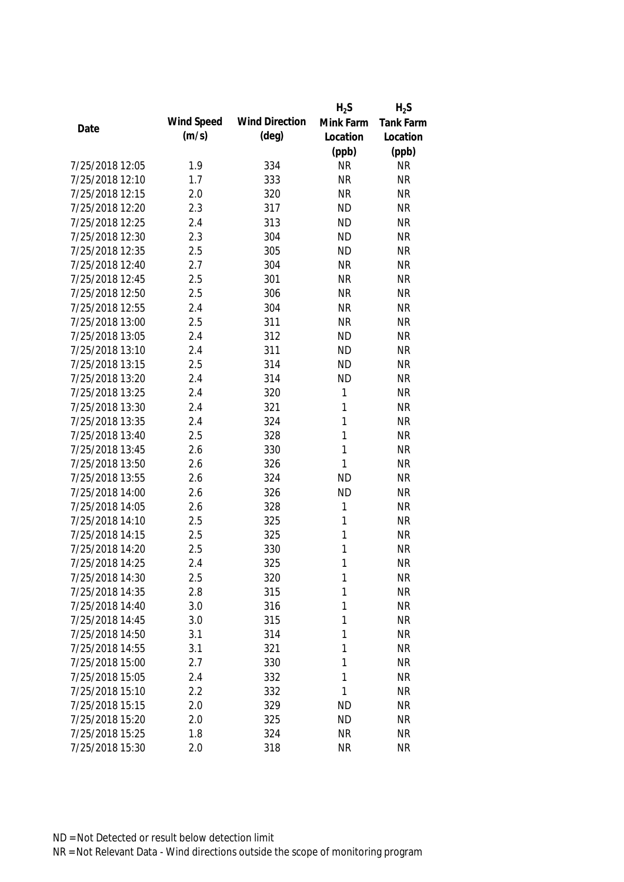|                 |            |                       | $H_2S$    | $H_2S$    |
|-----------------|------------|-----------------------|-----------|-----------|
| Date            | Wind Speed | <b>Wind Direction</b> | Mink Farm | Tank Farm |
|                 | (m/s)      | (deg)                 | Location  | Location  |
|                 |            |                       | (ppb)     | (ppb)     |
| 7/25/2018 12:05 | 1.9        | 334                   | <b>NR</b> | <b>NR</b> |
| 7/25/2018 12:10 | 1.7        | 333                   | <b>NR</b> | <b>NR</b> |
| 7/25/2018 12:15 | 2.0        | 320                   | <b>NR</b> | <b>NR</b> |
| 7/25/2018 12:20 | 2.3        | 317                   | <b>ND</b> | <b>NR</b> |
| 7/25/2018 12:25 | 2.4        | 313                   | <b>ND</b> | <b>NR</b> |
| 7/25/2018 12:30 | 2.3        | 304                   | <b>ND</b> | <b>NR</b> |
| 7/25/2018 12:35 | 2.5        | 305                   | <b>ND</b> | <b>NR</b> |
| 7/25/2018 12:40 | 2.7        | 304                   | <b>NR</b> | <b>NR</b> |
| 7/25/2018 12:45 | 2.5        | 301                   | <b>NR</b> | <b>NR</b> |
| 7/25/2018 12:50 | 2.5        | 306                   | <b>NR</b> | <b>NR</b> |
| 7/25/2018 12:55 | 2.4        | 304                   | <b>NR</b> | <b>NR</b> |
| 7/25/2018 13:00 | 2.5        | 311                   | <b>NR</b> | <b>NR</b> |
| 7/25/2018 13:05 | 2.4        | 312                   | <b>ND</b> | <b>NR</b> |
| 7/25/2018 13:10 | 2.4        | 311                   | <b>ND</b> | <b>NR</b> |
| 7/25/2018 13:15 | 2.5        | 314                   | <b>ND</b> | <b>NR</b> |
| 7/25/2018 13:20 | 2.4        | 314                   | <b>ND</b> | <b>NR</b> |
| 7/25/2018 13:25 | 2.4        | 320                   | 1         | <b>NR</b> |
| 7/25/2018 13:30 | 2.4        | 321                   | 1         | <b>NR</b> |
| 7/25/2018 13:35 | 2.4        | 324                   | 1         | <b>NR</b> |
| 7/25/2018 13:40 | 2.5        | 328                   | 1         | <b>NR</b> |
| 7/25/2018 13:45 | 2.6        | 330                   | 1         | <b>NR</b> |
| 7/25/2018 13:50 | 2.6        | 326                   | 1         | <b>NR</b> |
| 7/25/2018 13:55 | 2.6        | 324                   | <b>ND</b> | <b>NR</b> |
| 7/25/2018 14:00 | 2.6        | 326                   | <b>ND</b> | <b>NR</b> |
| 7/25/2018 14:05 | 2.6        | 328                   | 1         | <b>NR</b> |
| 7/25/2018 14:10 | 2.5        | 325                   | 1         | <b>NR</b> |
| 7/25/2018 14:15 | 2.5        | 325                   | 1         | <b>NR</b> |
| 7/25/2018 14:20 | 2.5        | 330                   | 1         | <b>NR</b> |
| 7/25/2018 14:25 | 2.4        | 325                   | 1         | <b>NR</b> |
| 7/25/2018 14:30 | 2.5        | 320                   | 1         | <b>NR</b> |
| 7/25/2018 14:35 | 2.8        | 315                   | 1         | <b>NR</b> |
| 7/25/2018 14:40 | 3.0        | 316                   | 1         | <b>NR</b> |
| 7/25/2018 14:45 | 3.0        | 315                   | 1         | <b>NR</b> |
| 7/25/2018 14:50 | 3.1        | 314                   | 1         | <b>NR</b> |
| 7/25/2018 14:55 | 3.1        | 321                   | 1         | <b>NR</b> |
| 7/25/2018 15:00 | 2.7        | 330                   | 1         | <b>NR</b> |
| 7/25/2018 15:05 | 2.4        | 332                   | 1         | <b>NR</b> |
| 7/25/2018 15:10 | 2.2        | 332                   | 1         | <b>NR</b> |
| 7/25/2018 15:15 | 2.0        | 329                   | <b>ND</b> | <b>NR</b> |
| 7/25/2018 15:20 | 2.0        | 325                   | <b>ND</b> | <b>NR</b> |
| 7/25/2018 15:25 | 1.8        | 324                   | <b>NR</b> | <b>NR</b> |
| 7/25/2018 15:30 | 2.0        | 318                   | <b>NR</b> | <b>NR</b> |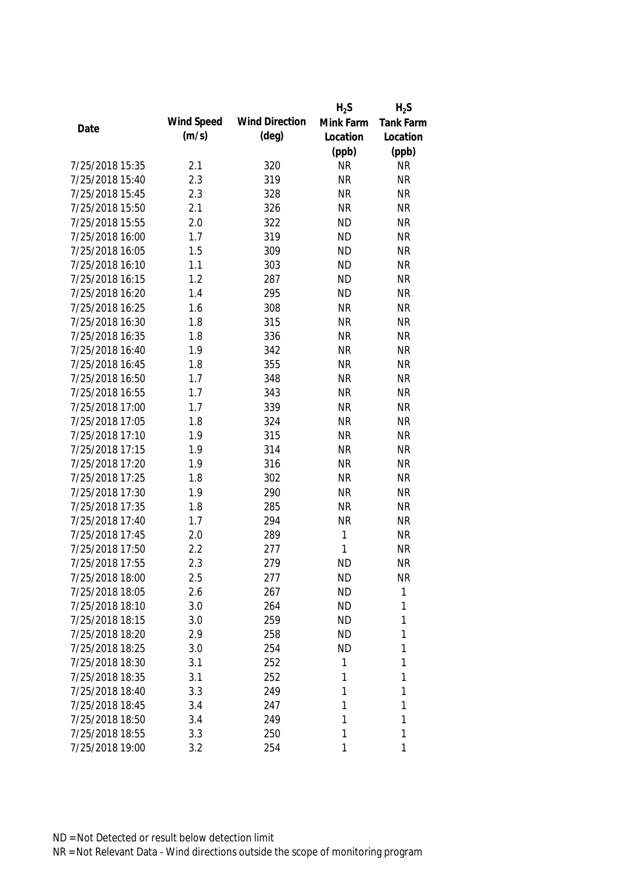|                 |            |                       | $H_2S$    | $H_2S$           |
|-----------------|------------|-----------------------|-----------|------------------|
| Date            | Wind Speed | <b>Wind Direction</b> | Mink Farm | <b>Tank Farm</b> |
|                 | (m/s)      | $(\text{deg})$        | Location  | Location         |
|                 |            |                       | (ppb)     | (ppb)            |
| 7/25/2018 15:35 | 2.1        | 320                   | <b>NR</b> | <b>NR</b>        |
| 7/25/2018 15:40 | 2.3        | 319                   | <b>NR</b> | <b>NR</b>        |
| 7/25/2018 15:45 | 2.3        | 328                   | <b>NR</b> | <b>NR</b>        |
| 7/25/2018 15:50 | 2.1        | 326                   | <b>NR</b> | <b>NR</b>        |
| 7/25/2018 15:55 | 2.0        | 322                   | <b>ND</b> | <b>NR</b>        |
| 7/25/2018 16:00 | 1.7        | 319                   | <b>ND</b> | <b>NR</b>        |
| 7/25/2018 16:05 | 1.5        | 309                   | <b>ND</b> | <b>NR</b>        |
| 7/25/2018 16:10 | 1.1        | 303                   | <b>ND</b> | <b>NR</b>        |
| 7/25/2018 16:15 | 1.2        | 287                   | <b>ND</b> | <b>NR</b>        |
| 7/25/2018 16:20 | 1.4        | 295                   | <b>ND</b> | <b>NR</b>        |
| 7/25/2018 16:25 | 1.6        | 308                   | <b>NR</b> | <b>NR</b>        |
| 7/25/2018 16:30 | 1.8        | 315                   | <b>NR</b> | <b>NR</b>        |
| 7/25/2018 16:35 | 1.8        | 336                   | <b>NR</b> | <b>NR</b>        |
| 7/25/2018 16:40 | 1.9        | 342                   | <b>NR</b> | <b>NR</b>        |
| 7/25/2018 16:45 | 1.8        | 355                   | <b>NR</b> | <b>NR</b>        |
| 7/25/2018 16:50 | 1.7        | 348                   | <b>NR</b> | <b>NR</b>        |
| 7/25/2018 16:55 | 1.7        | 343                   | <b>NR</b> | <b>NR</b>        |
| 7/25/2018 17:00 | 1.7        | 339                   | <b>NR</b> | <b>NR</b>        |
| 7/25/2018 17:05 | 1.8        | 324                   | <b>NR</b> | <b>NR</b>        |
| 7/25/2018 17:10 | 1.9        | 315                   | <b>NR</b> | <b>NR</b>        |
| 7/25/2018 17:15 | 1.9        | 314                   | <b>NR</b> | <b>NR</b>        |
| 7/25/2018 17:20 | 1.9        | 316                   | <b>NR</b> | <b>NR</b>        |
| 7/25/2018 17:25 | 1.8        | 302                   | <b>NR</b> | <b>NR</b>        |
| 7/25/2018 17:30 | 1.9        | 290                   | <b>NR</b> | <b>NR</b>        |
| 7/25/2018 17:35 | 1.8        | 285                   | <b>NR</b> | <b>NR</b>        |
| 7/25/2018 17:40 | 1.7        | 294                   | <b>NR</b> | <b>NR</b>        |
| 7/25/2018 17:45 | 2.0        | 289                   | 1         | <b>NR</b>        |
| 7/25/2018 17:50 | 2.2        | 277                   | 1         | <b>NR</b>        |
| 7/25/2018 17:55 | 2.3        | 279                   | <b>ND</b> | <b>NR</b>        |
| 7/25/2018 18:00 | 2.5        | 277                   | <b>ND</b> | <b>NR</b>        |
| 7/25/2018 18:05 | 2.6        | 267                   | <b>ND</b> | 1                |
| 7/25/2018 18:10 | 3.0        | 264                   | <b>ND</b> | 1                |
| 7/25/2018 18:15 | 3.0        | 259                   | <b>ND</b> | 1                |
| 7/25/2018 18:20 | 2.9        | 258                   | <b>ND</b> | 1                |
| 7/25/2018 18:25 | 3.0        | 254                   | <b>ND</b> | 1                |
| 7/25/2018 18:30 | 3.1        | 252                   | 1         | 1                |
| 7/25/2018 18:35 | 3.1        | 252                   | 1         | 1                |
| 7/25/2018 18:40 | 3.3        | 249                   | 1         | 1                |
| 7/25/2018 18:45 | 3.4        | 247                   | 1         | 1                |
| 7/25/2018 18:50 | 3.4        | 249                   | 1         | 1                |
| 7/25/2018 18:55 | 3.3        | 250                   | 1         | 1                |
| 7/25/2018 19:00 | 3.2        | 254                   | 1         | 1                |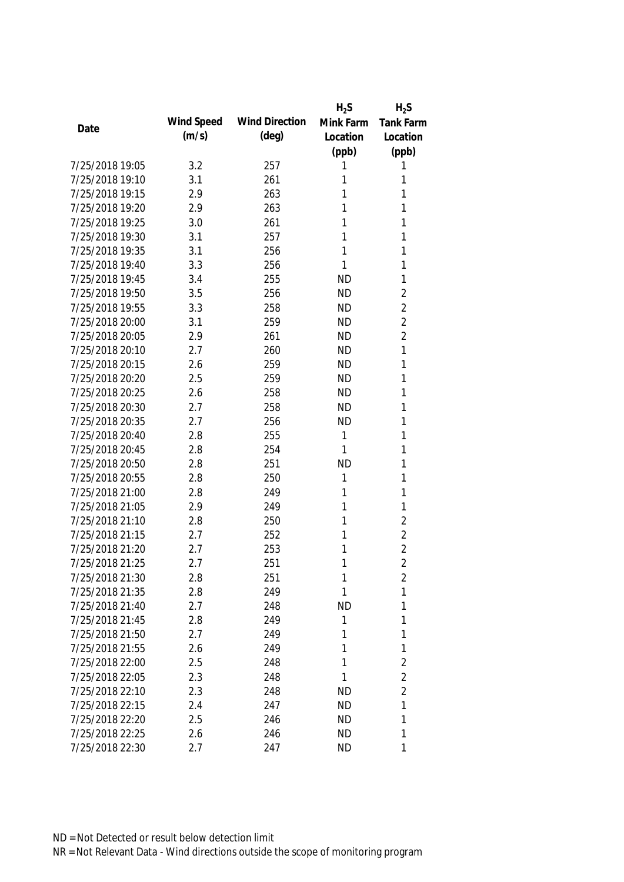|                 |            |                       | $H_2S$    | $H_2S$           |
|-----------------|------------|-----------------------|-----------|------------------|
| Date            | Wind Speed | <b>Wind Direction</b> | Mink Farm | <b>Tank Farm</b> |
|                 | (m/s)      | $(\text{deg})$        | Location  | Location         |
|                 |            |                       | (ppb)     | (ppb)            |
| 7/25/2018 19:05 | 3.2        | 257                   | 1         | 1                |
| 7/25/2018 19:10 | 3.1        | 261                   | 1         | 1                |
| 7/25/2018 19:15 | 2.9        | 263                   | 1         | 1                |
| 7/25/2018 19:20 | 2.9        | 263                   | 1         | 1                |
| 7/25/2018 19:25 | 3.0        | 261                   | 1         | 1                |
| 7/25/2018 19:30 | 3.1        | 257                   | 1         | 1                |
| 7/25/2018 19:35 | 3.1        | 256                   | 1         | 1                |
| 7/25/2018 19:40 | 3.3        | 256                   | 1         | 1                |
| 7/25/2018 19:45 | 3.4        | 255                   | <b>ND</b> | 1                |
| 7/25/2018 19:50 | 3.5        | 256                   | <b>ND</b> | $\overline{2}$   |
| 7/25/2018 19:55 | 3.3        | 258                   | <b>ND</b> | $\overline{2}$   |
| 7/25/2018 20:00 | 3.1        | 259                   | <b>ND</b> | $\overline{2}$   |
| 7/25/2018 20:05 | 2.9        | 261                   | <b>ND</b> | $\overline{2}$   |
| 7/25/2018 20:10 | 2.7        | 260                   | <b>ND</b> | 1                |
| 7/25/2018 20:15 | 2.6        | 259                   | <b>ND</b> | 1                |
| 7/25/2018 20:20 | 2.5        | 259                   | <b>ND</b> | 1                |
| 7/25/2018 20:25 | 2.6        | 258                   | <b>ND</b> | 1                |
| 7/25/2018 20:30 | 2.7        | 258                   | <b>ND</b> | 1                |
| 7/25/2018 20:35 | 2.7        | 256                   | <b>ND</b> | 1                |
| 7/25/2018 20:40 | 2.8        | 255                   | 1         | 1                |
| 7/25/2018 20:45 | 2.8        | 254                   | 1         | 1                |
| 7/25/2018 20:50 | 2.8        | 251                   | <b>ND</b> | 1                |
| 7/25/2018 20:55 | 2.8        | 250                   | 1         | 1                |
| 7/25/2018 21:00 | 2.8        | 249                   | 1         | 1                |
| 7/25/2018 21:05 | 2.9        | 249                   | 1         | 1                |
| 7/25/2018 21:10 | 2.8        | 250                   | 1         | $\sqrt{2}$       |
| 7/25/2018 21:15 | 2.7        | 252                   | 1         | $\overline{2}$   |
| 7/25/2018 21:20 | 2.7        | 253                   | 1         | $\overline{2}$   |
| 7/25/2018 21:25 | 2.7        | 251                   | 1         | $\overline{2}$   |
| 7/25/2018 21:30 | 2.8        | 251                   | 1         | 2                |
| 7/25/2018 21:35 | 2.8        | 249                   | 1         | 1                |
| 7/25/2018 21:40 | 2.7        | 248                   | <b>ND</b> | 1                |
| 7/25/2018 21:45 | 2.8        | 249                   | 1         | 1                |
| 7/25/2018 21:50 | 2.7        | 249                   | 1         | 1                |
| 7/25/2018 21:55 | 2.6        | 249                   | 1         | 1                |
| 7/25/2018 22:00 | 2.5        | 248                   | 1         | $\overline{2}$   |
| 7/25/2018 22:05 | 2.3        | 248                   | 1         | $\overline{2}$   |
| 7/25/2018 22:10 | 2.3        | 248                   | <b>ND</b> | $\overline{2}$   |
| 7/25/2018 22:15 | 2.4        | 247                   | <b>ND</b> | 1                |
| 7/25/2018 22:20 | 2.5        | 246                   | <b>ND</b> | 1                |
| 7/25/2018 22:25 | 2.6        | 246                   | <b>ND</b> | 1                |
| 7/25/2018 22:30 | 2.7        | 247                   | <b>ND</b> | 1                |
|                 |            |                       |           |                  |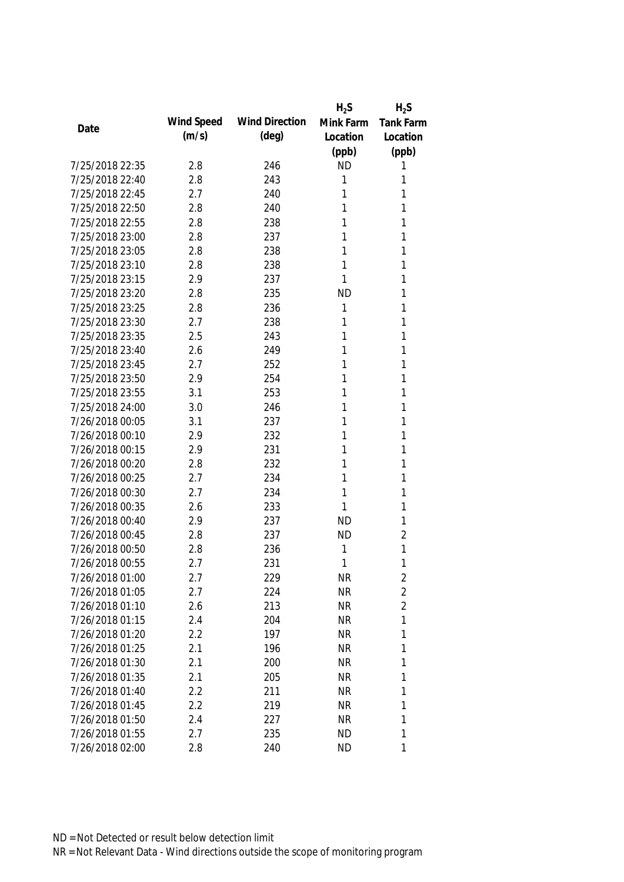|                 |            |                       | $H_2S$    | $H_2S$           |
|-----------------|------------|-----------------------|-----------|------------------|
| Date            | Wind Speed | <b>Wind Direction</b> | Mink Farm | <b>Tank Farm</b> |
|                 | (m/s)      | $(\text{deg})$        | Location  | Location         |
|                 |            |                       | (ppb)     | (ppb)            |
| 7/25/2018 22:35 | 2.8        | 246                   | <b>ND</b> | 1                |
| 7/25/2018 22:40 | 2.8        | 243                   | 1         | 1                |
| 7/25/2018 22:45 | 2.7        | 240                   | 1         | 1                |
| 7/25/2018 22:50 | 2.8        | 240                   | 1         | 1                |
| 7/25/2018 22:55 | 2.8        | 238                   | 1         | 1                |
| 7/25/2018 23:00 | 2.8        | 237                   | 1         | 1                |
| 7/25/2018 23:05 | 2.8        | 238                   | 1         | 1                |
| 7/25/2018 23:10 | 2.8        | 238                   | 1         | 1                |
| 7/25/2018 23:15 | 2.9        | 237                   | 1         | 1                |
| 7/25/2018 23:20 | 2.8        | 235                   | <b>ND</b> | 1                |
| 7/25/2018 23:25 | 2.8        | 236                   | 1         | 1                |
| 7/25/2018 23:30 | 2.7        | 238                   | 1         | 1                |
| 7/25/2018 23:35 | 2.5        | 243                   | 1         | 1                |
| 7/25/2018 23:40 | 2.6        | 249                   | 1         | 1                |
| 7/25/2018 23:45 | 2.7        | 252                   | 1         | 1                |
| 7/25/2018 23:50 | 2.9        | 254                   | 1         | 1                |
| 7/25/2018 23:55 | 3.1        | 253                   | 1         | 1                |
| 7/25/2018 24:00 | 3.0        | 246                   | 1         | 1                |
| 7/26/2018 00:05 | 3.1        | 237                   | 1         | 1                |
| 7/26/2018 00:10 | 2.9        | 232                   | 1         | 1                |
| 7/26/2018 00:15 | 2.9        | 231                   | 1         | 1                |
| 7/26/2018 00:20 | 2.8        | 232                   | 1         | 1                |
| 7/26/2018 00:25 | 2.7        | 234                   | 1         | 1                |
| 7/26/2018 00:30 | 2.7        | 234                   | 1         | 1                |
| 7/26/2018 00:35 | 2.6        | 233                   | 1         | 1                |
| 7/26/2018 00:40 | 2.9        | 237                   | <b>ND</b> | 1                |
| 7/26/2018 00:45 | 2.8        | 237                   | <b>ND</b> | $\overline{2}$   |
| 7/26/2018 00:50 | 2.8        | 236                   | 1         | 1                |
| 7/26/2018 00:55 | 2.7        | 231                   | 1         | 1                |
| 7/26/2018 01:00 | 2.7        | 229                   | <b>NR</b> | 2                |
| 7/26/2018 01:05 | 2.7        | 224                   | <b>NR</b> | $\overline{2}$   |
| 7/26/2018 01:10 | 2.6        | 213                   | <b>NR</b> | $\overline{2}$   |
| 7/26/2018 01:15 | 2.4        | 204                   | <b>NR</b> | 1                |
| 7/26/2018 01:20 | 2.2        | 197                   | <b>NR</b> | 1                |
| 7/26/2018 01:25 | 2.1        | 196                   | <b>NR</b> | 1                |
| 7/26/2018 01:30 | 2.1        | 200                   | <b>NR</b> | 1                |
| 7/26/2018 01:35 | 2.1        | 205                   | <b>NR</b> | 1                |
| 7/26/2018 01:40 | 2.2        | 211                   | <b>NR</b> | 1                |
| 7/26/2018 01:45 | 2.2        | 219                   | <b>NR</b> | 1                |
| 7/26/2018 01:50 | 2.4        | 227                   | <b>NR</b> | 1                |
| 7/26/2018 01:55 | 2.7        | 235                   | <b>ND</b> | 1                |
| 7/26/2018 02:00 | 2.8        | 240                   | <b>ND</b> | 1                |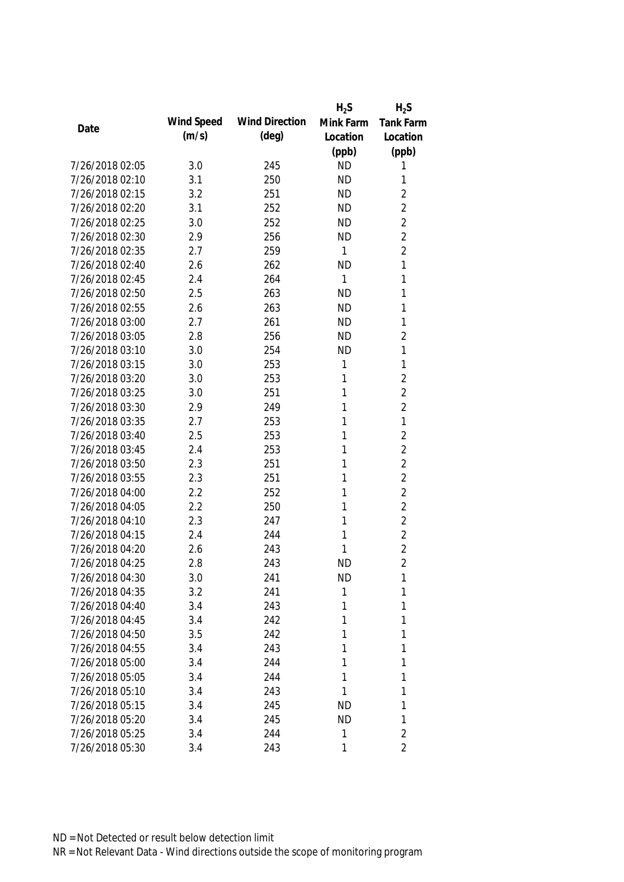|                 |            |                       | $H_2S$       | $H_2S$           |
|-----------------|------------|-----------------------|--------------|------------------|
| Date            | Wind Speed | <b>Wind Direction</b> | Mink Farm    | <b>Tank Farm</b> |
|                 | (m/s)      | $(\text{deg})$        | Location     | Location         |
|                 |            |                       | (ppb)        | (ppb)            |
| 7/26/2018 02:05 | 3.0        | 245                   | <b>ND</b>    | 1                |
| 7/26/2018 02:10 | 3.1        | 250                   | <b>ND</b>    | 1                |
| 7/26/2018 02:15 | 3.2        | 251                   | <b>ND</b>    | $\overline{2}$   |
| 7/26/2018 02:20 | 3.1        | 252                   | <b>ND</b>    | $\overline{2}$   |
| 7/26/2018 02:25 | 3.0        | 252                   | <b>ND</b>    | $\overline{2}$   |
| 7/26/2018 02:30 | 2.9        | 256                   | <b>ND</b>    | $\overline{2}$   |
| 7/26/2018 02:35 | 2.7        | 259                   | 1            | $\overline{2}$   |
| 7/26/2018 02:40 | 2.6        | 262                   | <b>ND</b>    | 1                |
| 7/26/2018 02:45 | 2.4        | 264                   | 1            | 1                |
| 7/26/2018 02:50 | 2.5        | 263                   | <b>ND</b>    | 1                |
| 7/26/2018 02:55 | 2.6        | 263                   | <b>ND</b>    | 1                |
| 7/26/2018 03:00 | 2.7        | 261                   | <b>ND</b>    | 1                |
| 7/26/2018 03:05 | 2.8        | 256                   | <b>ND</b>    | $\overline{2}$   |
| 7/26/2018 03:10 | 3.0        | 254                   | <b>ND</b>    | 1                |
| 7/26/2018 03:15 | 3.0        | 253                   | 1            | $\mathbf{1}$     |
| 7/26/2018 03:20 | 3.0        | 253                   | $\mathbf{1}$ | $\overline{2}$   |
| 7/26/2018 03:25 | 3.0        | 251                   | 1            | $\overline{2}$   |
| 7/26/2018 03:30 | 2.9        | 249                   | 1            | $\overline{2}$   |
| 7/26/2018 03:35 | 2.7        | 253                   | 1            | 1                |
| 7/26/2018 03:40 | 2.5        | 253                   | 1            | $\overline{2}$   |
| 7/26/2018 03:45 | 2.4        | 253                   | 1            | $\overline{2}$   |
| 7/26/2018 03:50 | 2.3        | 251                   | 1            | $\overline{2}$   |
| 7/26/2018 03:55 | 2.3        | 251                   | 1            | $\overline{2}$   |
| 7/26/2018 04:00 | 2.2        | 252                   | 1            | $\overline{2}$   |
| 7/26/2018 04:05 | 2.2        | 250                   | 1            | $\overline{2}$   |
| 7/26/2018 04:10 | 2.3        | 247                   | 1            | $\overline{2}$   |
| 7/26/2018 04:15 | 2.4        | 244                   | 1            | $\overline{2}$   |
| 7/26/2018 04:20 | 2.6        | 243                   | 1            | $\overline{2}$   |
| 7/26/2018 04:25 | 2.8        | 243                   | <b>ND</b>    | $\overline{2}$   |
| 7/26/2018 04:30 | 3.0        | 241                   | <b>ND</b>    | 1                |
| 7/26/2018 04:35 | 3.2        | 241                   | 1            | 1                |
| 7/26/2018 04:40 | 3.4        | 243                   | 1            | 1                |
| 7/26/2018 04:45 | 3.4        | 242                   | 1            | 1                |
| 7/26/2018 04:50 | 3.5        | 242                   | 1            | 1                |
| 7/26/2018 04:55 | 3.4        | 243                   | 1            | 1                |
| 7/26/2018 05:00 | 3.4        | 244                   | 1            | 1                |
| 7/26/2018 05:05 | 3.4        | 244                   | 1            | 1                |
| 7/26/2018 05:10 | 3.4        | 243                   | 1            | 1                |
| 7/26/2018 05:15 | 3.4        | 245                   | <b>ND</b>    | 1                |
| 7/26/2018 05:20 | 3.4        | 245                   | <b>ND</b>    | 1                |
| 7/26/2018 05:25 | 3.4        | 244                   | 1            | $\overline{2}$   |
| 7/26/2018 05:30 | 3.4        | 243                   | 1            | $\overline{2}$   |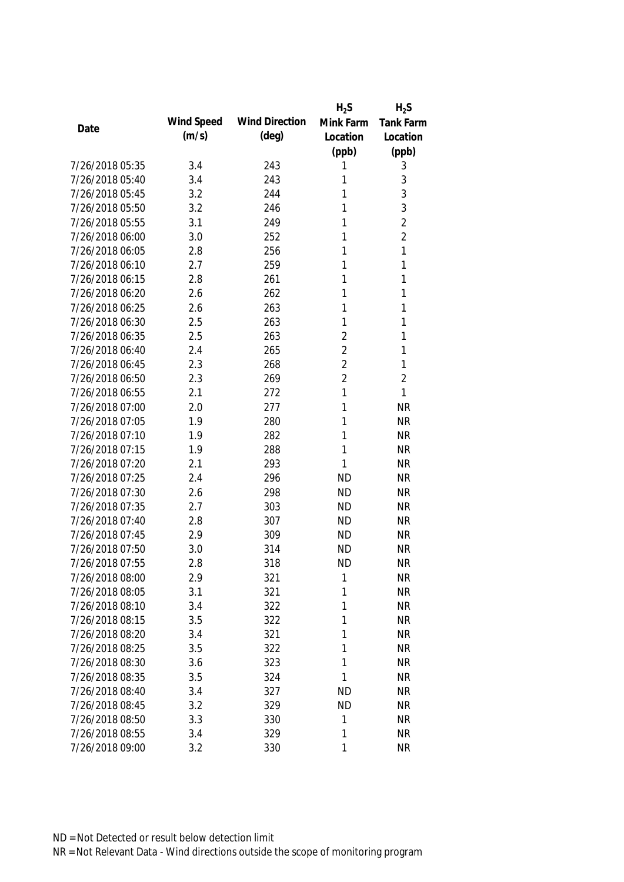|                 |            |                       | $H_2S$         | $H_2S$           |
|-----------------|------------|-----------------------|----------------|------------------|
| Date            | Wind Speed | <b>Wind Direction</b> | Mink Farm      | <b>Tank Farm</b> |
|                 | (m/s)      | $(\text{deg})$        | Location       | Location         |
|                 |            |                       | (ppb)          | (ppb)            |
| 7/26/2018 05:35 | 3.4        | 243                   | 1              | 3                |
| 7/26/2018 05:40 | 3.4        | 243                   | 1              | $\sqrt{3}$       |
| 7/26/2018 05:45 | 3.2        | 244                   | 1              | 3                |
| 7/26/2018 05:50 | 3.2        | 246                   | 1              | 3                |
| 7/26/2018 05:55 | 3.1        | 249                   | 1              | $\overline{2}$   |
| 7/26/2018 06:00 | 3.0        | 252                   | 1              | $\overline{2}$   |
| 7/26/2018 06:05 | 2.8        | 256                   | 1              | $\mathbf{1}$     |
| 7/26/2018 06:10 | 2.7        | 259                   | 1              | $\mathbf{1}$     |
| 7/26/2018 06:15 | 2.8        | 261                   | 1              | $\mathbf{1}$     |
| 7/26/2018 06:20 | 2.6        | 262                   | 1              | 1                |
| 7/26/2018 06:25 | 2.6        | 263                   | 1              | 1                |
| 7/26/2018 06:30 | 2.5        | 263                   | 1              | 1                |
| 7/26/2018 06:35 | 2.5        | 263                   | $\overline{2}$ | 1                |
| 7/26/2018 06:40 | 2.4        | 265                   | $\overline{2}$ | 1                |
| 7/26/2018 06:45 | 2.3        | 268                   | $\overline{2}$ | $\mathbf{1}$     |
| 7/26/2018 06:50 | 2.3        | 269                   | $\overline{2}$ | $\overline{2}$   |
| 7/26/2018 06:55 | 2.1        | 272                   | 1              | 1                |
| 7/26/2018 07:00 | 2.0        | 277                   | 1              | <b>NR</b>        |
| 7/26/2018 07:05 | 1.9        | 280                   | 1              | <b>NR</b>        |
| 7/26/2018 07:10 | 1.9        | 282                   | 1              | <b>NR</b>        |
| 7/26/2018 07:15 | 1.9        | 288                   | 1              | <b>NR</b>        |
| 7/26/2018 07:20 | 2.1        | 293                   | 1              | <b>NR</b>        |
| 7/26/2018 07:25 | 2.4        | 296                   | <b>ND</b>      | <b>NR</b>        |
| 7/26/2018 07:30 | 2.6        | 298                   | <b>ND</b>      | <b>NR</b>        |
| 7/26/2018 07:35 | 2.7        | 303                   | <b>ND</b>      | <b>NR</b>        |
| 7/26/2018 07:40 | 2.8        | 307                   | <b>ND</b>      | <b>NR</b>        |
| 7/26/2018 07:45 | 2.9        | 309                   | <b>ND</b>      | <b>NR</b>        |
| 7/26/2018 07:50 | 3.0        | 314                   | <b>ND</b>      | <b>NR</b>        |
| 7/26/2018 07:55 | 2.8        | 318                   | <b>ND</b>      | <b>NR</b>        |
| 7/26/2018 08:00 | 2.9        | 321                   | 1              | <b>NR</b>        |
| 7/26/2018 08:05 | 3.1        | 321                   | 1              | <b>NR</b>        |
| 7/26/2018 08:10 | 3.4        | 322                   | 1              | <b>NR</b>        |
| 7/26/2018 08:15 | 3.5        | 322                   | 1              | <b>NR</b>        |
| 7/26/2018 08:20 | 3.4        | 321                   | 1              | <b>NR</b>        |
| 7/26/2018 08:25 | 3.5        | 322                   | 1              | <b>NR</b>        |
| 7/26/2018 08:30 | 3.6        | 323                   | 1              | <b>NR</b>        |
| 7/26/2018 08:35 | 3.5        | 324                   | 1              | <b>NR</b>        |
| 7/26/2018 08:40 | 3.4        | 327                   | <b>ND</b>      | <b>NR</b>        |
| 7/26/2018 08:45 | 3.2        | 329                   | <b>ND</b>      | <b>NR</b>        |
| 7/26/2018 08:50 | 3.3        | 330                   | 1              | <b>NR</b>        |
| 7/26/2018 08:55 | 3.4        | 329                   | 1              | <b>NR</b>        |
| 7/26/2018 09:00 | 3.2        | 330                   | 1              | <b>NR</b>        |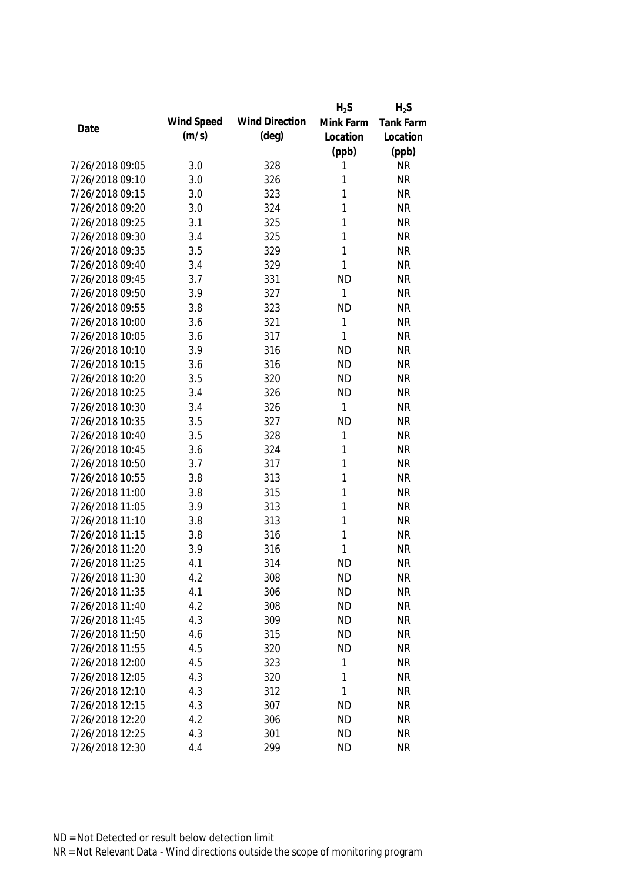|                 |            |                       | $H_2S$    | $H_2S$           |
|-----------------|------------|-----------------------|-----------|------------------|
| Date            | Wind Speed | <b>Wind Direction</b> | Mink Farm | <b>Tank Farm</b> |
|                 | (m/s)      | $(\text{deg})$        | Location  | Location         |
|                 |            |                       | (ppb)     | (ppb)            |
| 7/26/2018 09:05 | 3.0        | 328                   | 1         | <b>NR</b>        |
| 7/26/2018 09:10 | 3.0        | 326                   | 1         | <b>NR</b>        |
| 7/26/2018 09:15 | 3.0        | 323                   | 1         | <b>NR</b>        |
| 7/26/2018 09:20 | 3.0        | 324                   | 1         | <b>NR</b>        |
| 7/26/2018 09:25 | 3.1        | 325                   | 1         | <b>NR</b>        |
| 7/26/2018 09:30 | 3.4        | 325                   | 1         | <b>NR</b>        |
| 7/26/2018 09:35 | 3.5        | 329                   | 1         | <b>NR</b>        |
| 7/26/2018 09:40 | 3.4        | 329                   | 1         | <b>NR</b>        |
| 7/26/2018 09:45 | 3.7        | 331                   | <b>ND</b> | <b>NR</b>        |
| 7/26/2018 09:50 | 3.9        | 327                   | 1         | <b>NR</b>        |
| 7/26/2018 09:55 | 3.8        | 323                   | <b>ND</b> | <b>NR</b>        |
| 7/26/2018 10:00 | 3.6        | 321                   | 1         | <b>NR</b>        |
| 7/26/2018 10:05 | 3.6        | 317                   | 1         | <b>NR</b>        |
| 7/26/2018 10:10 | 3.9        | 316                   | <b>ND</b> | <b>NR</b>        |
| 7/26/2018 10:15 | 3.6        | 316                   | <b>ND</b> | <b>NR</b>        |
| 7/26/2018 10:20 | 3.5        | 320                   | <b>ND</b> | <b>NR</b>        |
| 7/26/2018 10:25 | 3.4        | 326                   | <b>ND</b> | <b>NR</b>        |
| 7/26/2018 10:30 | 3.4        | 326                   | 1         | <b>NR</b>        |
| 7/26/2018 10:35 | 3.5        | 327                   | <b>ND</b> | <b>NR</b>        |
| 7/26/2018 10:40 | 3.5        | 328                   | 1         | <b>NR</b>        |
| 7/26/2018 10:45 | 3.6        | 324                   | 1         | <b>NR</b>        |
| 7/26/2018 10:50 | 3.7        | 317                   | 1         | <b>NR</b>        |
| 7/26/2018 10:55 | 3.8        | 313                   | 1         | <b>NR</b>        |
| 7/26/2018 11:00 | 3.8        | 315                   | 1         | <b>NR</b>        |
| 7/26/2018 11:05 | 3.9        | 313                   | 1         | <b>NR</b>        |
| 7/26/2018 11:10 | 3.8        | 313                   | 1         | <b>NR</b>        |
| 7/26/2018 11:15 | 3.8        | 316                   | 1         | <b>NR</b>        |
| 7/26/2018 11:20 | 3.9        | 316                   | 1         | <b>NR</b>        |
| 7/26/2018 11:25 | 4.1        | 314                   | <b>ND</b> | <b>NR</b>        |
| 7/26/2018 11:30 | 4.2        | 308                   | <b>ND</b> | <b>NR</b>        |
| 7/26/2018 11:35 | 4.1        | 306                   | <b>ND</b> | <b>NR</b>        |
| 7/26/2018 11:40 | 4.2        | 308                   | <b>ND</b> | <b>NR</b>        |
| 7/26/2018 11:45 | 4.3        | 309                   | <b>ND</b> | <b>NR</b>        |
| 7/26/2018 11:50 | 4.6        | 315                   | <b>ND</b> | <b>NR</b>        |
| 7/26/2018 11:55 | 4.5        | 320                   | <b>ND</b> | <b>NR</b>        |
| 7/26/2018 12:00 | 4.5        | 323                   | 1         | <b>NR</b>        |
| 7/26/2018 12:05 | 4.3        | 320                   | 1         | <b>NR</b>        |
| 7/26/2018 12:10 | 4.3        | 312                   | 1         | <b>NR</b>        |
| 7/26/2018 12:15 | 4.3        | 307                   | <b>ND</b> | <b>NR</b>        |
| 7/26/2018 12:20 | 4.2        | 306                   | <b>ND</b> | <b>NR</b>        |
| 7/26/2018 12:25 | 4.3        | 301                   | <b>ND</b> | <b>NR</b>        |
|                 |            | 299                   |           |                  |
| 7/26/2018 12:30 | 4.4        |                       | <b>ND</b> | <b>NR</b>        |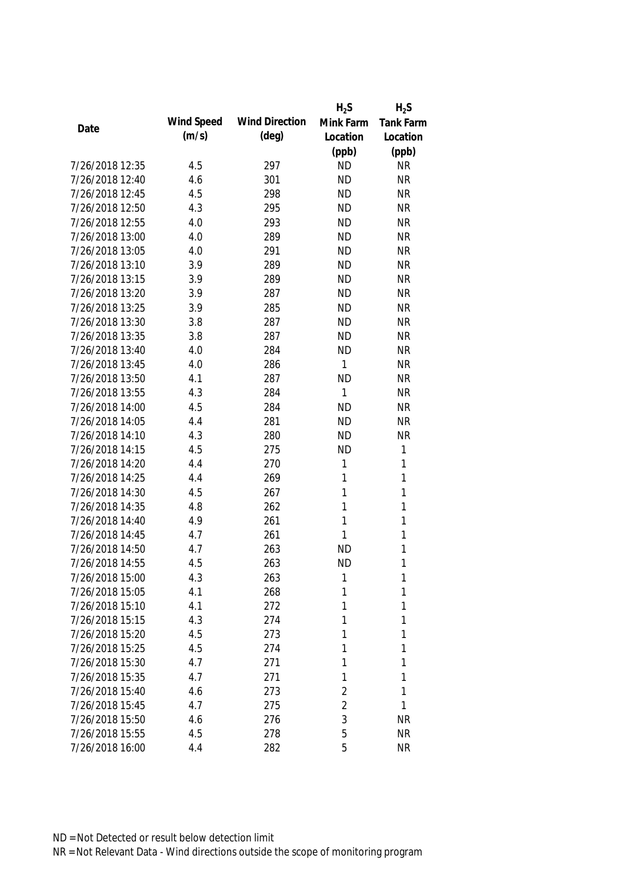|                 |            |                       | $H_2S$         | $H_2S$       |
|-----------------|------------|-----------------------|----------------|--------------|
|                 | Wind Speed | <b>Wind Direction</b> | Mink Farm      | Tank Farm    |
| Date            | (m/s)      | $(\text{deg})$        | Location       | Location     |
|                 |            |                       | (ppb)          | (ppb)        |
| 7/26/2018 12:35 | 4.5        | 297                   | <b>ND</b>      | <b>NR</b>    |
| 7/26/2018 12:40 | 4.6        | 301                   | <b>ND</b>      | <b>NR</b>    |
| 7/26/2018 12:45 | 4.5        | 298                   | <b>ND</b>      | <b>NR</b>    |
| 7/26/2018 12:50 | 4.3        | 295                   | <b>ND</b>      | <b>NR</b>    |
| 7/26/2018 12:55 | 4.0        | 293                   | <b>ND</b>      | <b>NR</b>    |
| 7/26/2018 13:00 | 4.0        | 289                   | <b>ND</b>      | <b>NR</b>    |
| 7/26/2018 13:05 | 4.0        | 291                   | <b>ND</b>      | <b>NR</b>    |
| 7/26/2018 13:10 | 3.9        | 289                   | <b>ND</b>      | <b>NR</b>    |
| 7/26/2018 13:15 | 3.9        | 289                   | <b>ND</b>      | <b>NR</b>    |
| 7/26/2018 13:20 | 3.9        | 287                   | <b>ND</b>      | <b>NR</b>    |
| 7/26/2018 13:25 | 3.9        | 285                   | <b>ND</b>      | <b>NR</b>    |
| 7/26/2018 13:30 | 3.8        | 287                   | <b>ND</b>      | <b>NR</b>    |
| 7/26/2018 13:35 | 3.8        | 287                   | <b>ND</b>      | <b>NR</b>    |
| 7/26/2018 13:40 | 4.0        | 284                   | <b>ND</b>      | <b>NR</b>    |
| 7/26/2018 13:45 | 4.0        | 286                   | 1              | <b>NR</b>    |
| 7/26/2018 13:50 | 4.1        | 287                   | <b>ND</b>      | <b>NR</b>    |
| 7/26/2018 13:55 | 4.3        | 284                   | 1              | <b>NR</b>    |
| 7/26/2018 14:00 | 4.5        | 284                   | <b>ND</b>      | <b>NR</b>    |
| 7/26/2018 14:05 | 4.4        | 281                   | <b>ND</b>      | <b>NR</b>    |
| 7/26/2018 14:10 | 4.3        | 280                   | <b>ND</b>      | <b>NR</b>    |
| 7/26/2018 14:15 | 4.5        | 275                   | <b>ND</b>      | $\mathbf 1$  |
| 7/26/2018 14:20 | 4.4        | 270                   | 1              | $\mathbf{1}$ |
| 7/26/2018 14:25 | 4.4        | 269                   | 1              | $\mathbf{1}$ |
| 7/26/2018 14:30 | 4.5        | 267                   | 1              | $\mathbf{1}$ |
| 7/26/2018 14:35 | 4.8        | 262                   | 1              | $\mathbf{1}$ |
| 7/26/2018 14:40 | 4.9        | 261                   | 1              | $\mathbf{1}$ |
| 7/26/2018 14:45 | 4.7        | 261                   | 1              | $\mathbf{1}$ |
| 7/26/2018 14:50 | 4.7        | 263                   | <b>ND</b>      | 1            |
| 7/26/2018 14:55 | 4.5        | 263                   | <b>ND</b>      | 1            |
| 7/26/2018 15:00 | 4.3        | 263                   | 1              | 1            |
| 7/26/2018 15:05 | 4.1        | 268                   | 1              | 1            |
| 7/26/2018 15:10 | 4.1        | 272                   | 1              | 1            |
| 7/26/2018 15:15 | 4.3        | 274                   | 1              | 1            |
| 7/26/2018 15:20 | 4.5        | 273                   | 1              | 1            |
| 7/26/2018 15:25 | 4.5        | 274                   | 1              | 1            |
| 7/26/2018 15:30 | 4.7        | 271                   | 1              | 1            |
| 7/26/2018 15:35 | 4.7        | 271                   | 1              | 1            |
| 7/26/2018 15:40 | 4.6        | 273                   | 2              | 1            |
| 7/26/2018 15:45 | 4.7        | 275                   | $\overline{2}$ | 1            |
| 7/26/2018 15:50 | 4.6        | 276                   | 3              | <b>NR</b>    |
| 7/26/2018 15:55 | 4.5        | 278                   | 5              | <b>NR</b>    |
| 7/26/2018 16:00 | 4.4        | 282                   | 5              | <b>NR</b>    |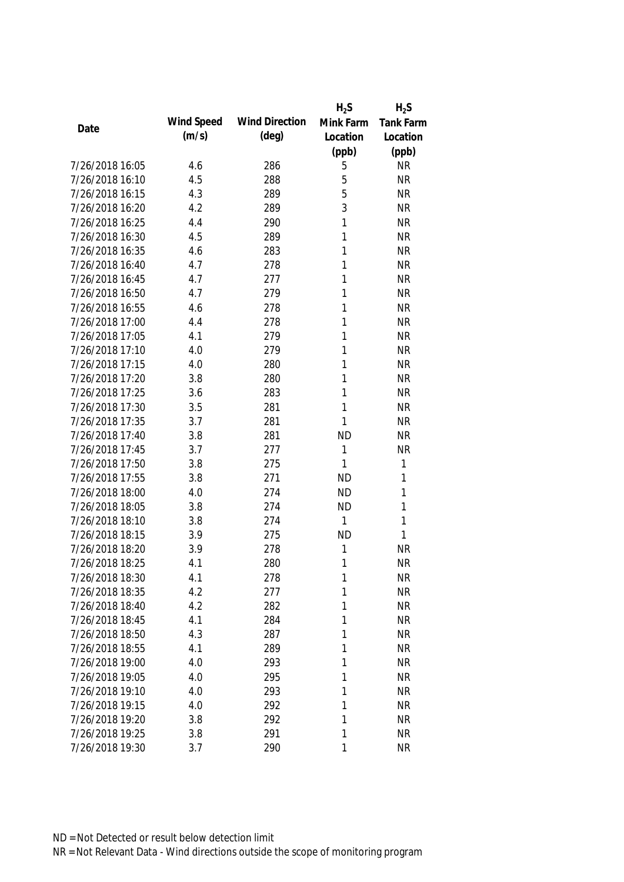|                 |            |                       | $H_2S$    | $H_2S$           |
|-----------------|------------|-----------------------|-----------|------------------|
| Date            | Wind Speed | <b>Wind Direction</b> | Mink Farm | <b>Tank Farm</b> |
|                 | (m/s)      | $(\text{deg})$        | Location  | Location         |
|                 |            |                       | (ppb)     | (ppb)            |
| 7/26/2018 16:05 | 4.6        | 286                   | 5         | <b>NR</b>        |
| 7/26/2018 16:10 | 4.5        | 288                   | 5         | <b>NR</b>        |
| 7/26/2018 16:15 | 4.3        | 289                   | 5         | <b>NR</b>        |
| 7/26/2018 16:20 | 4.2        | 289                   | 3         | <b>NR</b>        |
| 7/26/2018 16:25 | 4.4        | 290                   | 1         | <b>NR</b>        |
| 7/26/2018 16:30 | 4.5        | 289                   | 1         | <b>NR</b>        |
| 7/26/2018 16:35 | 4.6        | 283                   | 1         | <b>NR</b>        |
| 7/26/2018 16:40 | 4.7        | 278                   | 1         | <b>NR</b>        |
| 7/26/2018 16:45 | 4.7        | 277                   | 1         | <b>NR</b>        |
| 7/26/2018 16:50 | 4.7        | 279                   | 1         | <b>NR</b>        |
| 7/26/2018 16:55 | 4.6        | 278                   | 1         | <b>NR</b>        |
| 7/26/2018 17:00 | 4.4        | 278                   | 1         | <b>NR</b>        |
| 7/26/2018 17:05 | 4.1        | 279                   | 1         | <b>NR</b>        |
| 7/26/2018 17:10 | 4.0        | 279                   | 1         | <b>NR</b>        |
| 7/26/2018 17:15 | 4.0        | 280                   | 1         | <b>NR</b>        |
| 7/26/2018 17:20 | 3.8        | 280                   | 1         | <b>NR</b>        |
| 7/26/2018 17:25 | 3.6        | 283                   | 1         | <b>NR</b>        |
| 7/26/2018 17:30 | 3.5        | 281                   | 1         | <b>NR</b>        |
| 7/26/2018 17:35 | 3.7        | 281                   | 1         | <b>NR</b>        |
| 7/26/2018 17:40 | 3.8        | 281                   | <b>ND</b> | <b>NR</b>        |
| 7/26/2018 17:45 | 3.7        | 277                   | 1         | <b>NR</b>        |
| 7/26/2018 17:50 | 3.8        | 275                   | 1         | $\mathbf{1}$     |
| 7/26/2018 17:55 | 3.8        | 271                   | <b>ND</b> | $\mathbf{1}$     |
| 7/26/2018 18:00 | 4.0        | 274                   | <b>ND</b> | $\mathbf{1}$     |
| 7/26/2018 18:05 | 3.8        | 274                   | <b>ND</b> | 1                |
| 7/26/2018 18:10 | 3.8        | 274                   | 1         | $\mathbf{1}$     |
| 7/26/2018 18:15 | 3.9        | 275                   | <b>ND</b> | 1                |
| 7/26/2018 18:20 | 3.9        | 278                   | 1         | <b>NR</b>        |
| 7/26/2018 18:25 | 4.1        | 280                   | 1         | <b>NR</b>        |
| 7/26/2018 18:30 | 4.1        | 278                   | 1         | NR               |
| 7/26/2018 18:35 | 4.2        | 277                   | 1         | <b>NR</b>        |
| 7/26/2018 18:40 | 4.2        | 282                   | 1         | <b>NR</b>        |
| 7/26/2018 18:45 | 4.1        | 284                   | 1         | <b>NR</b>        |
| 7/26/2018 18:50 | 4.3        | 287                   | 1         | <b>NR</b>        |
| 7/26/2018 18:55 | 4.1        | 289                   | 1         | <b>NR</b>        |
| 7/26/2018 19:00 | 4.0        | 293                   | 1         | <b>NR</b>        |
| 7/26/2018 19:05 | 4.0        | 295                   | 1         | <b>NR</b>        |
| 7/26/2018 19:10 | 4.0        | 293                   | 1         | <b>NR</b>        |
| 7/26/2018 19:15 | 4.0        | 292                   | 1         | <b>NR</b>        |
| 7/26/2018 19:20 | 3.8        | 292                   | 1         | <b>NR</b>        |
| 7/26/2018 19:25 | 3.8        | 291                   | 1         | <b>NR</b>        |
| 7/26/2018 19:30 | 3.7        | 290                   | 1         | <b>NR</b>        |
|                 |            |                       |           |                  |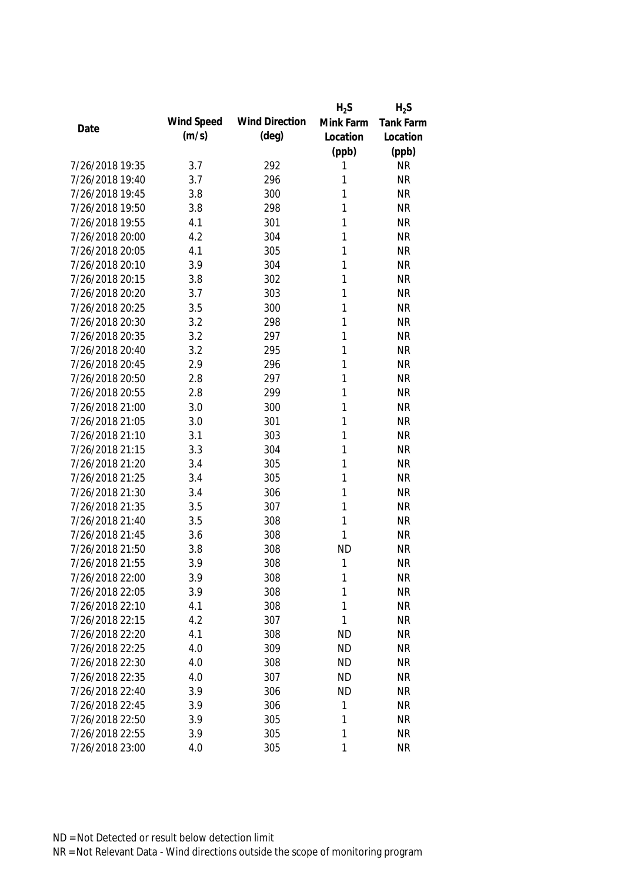|                 |            |                       | $H_2S$    | $H_2S$           |
|-----------------|------------|-----------------------|-----------|------------------|
| Date            | Wind Speed | <b>Wind Direction</b> | Mink Farm | <b>Tank Farm</b> |
|                 | (m/s)      | $(\text{deg})$        | Location  | Location         |
|                 |            |                       | (ppb)     | (ppb)            |
| 7/26/2018 19:35 | 3.7        | 292                   | 1         | <b>NR</b>        |
| 7/26/2018 19:40 | 3.7        | 296                   | 1         | <b>NR</b>        |
| 7/26/2018 19:45 | 3.8        | 300                   | 1         | <b>NR</b>        |
| 7/26/2018 19:50 | 3.8        | 298                   | 1         | <b>NR</b>        |
| 7/26/2018 19:55 | 4.1        | 301                   | 1         | <b>NR</b>        |
| 7/26/2018 20:00 | 4.2        | 304                   | 1         | <b>NR</b>        |
| 7/26/2018 20:05 | 4.1        | 305                   | 1         | <b>NR</b>        |
| 7/26/2018 20:10 | 3.9        | 304                   | 1         | <b>NR</b>        |
| 7/26/2018 20:15 | 3.8        | 302                   | 1         | <b>NR</b>        |
| 7/26/2018 20:20 | 3.7        | 303                   | 1         | <b>NR</b>        |
| 7/26/2018 20:25 | 3.5        | 300                   | 1         | <b>NR</b>        |
| 7/26/2018 20:30 | 3.2        | 298                   | 1         | <b>NR</b>        |
| 7/26/2018 20:35 | 3.2        | 297                   | 1         | <b>NR</b>        |
| 7/26/2018 20:40 | 3.2        | 295                   | 1         | <b>NR</b>        |
| 7/26/2018 20:45 | 2.9        | 296                   | 1         | <b>NR</b>        |
| 7/26/2018 20:50 | 2.8        | 297                   | 1         | <b>NR</b>        |
| 7/26/2018 20:55 | 2.8        | 299                   | 1         | <b>NR</b>        |
| 7/26/2018 21:00 | 3.0        | 300                   | 1         | <b>NR</b>        |
| 7/26/2018 21:05 | 3.0        | 301                   | 1         | <b>NR</b>        |
| 7/26/2018 21:10 | 3.1        | 303                   | 1         | <b>NR</b>        |
| 7/26/2018 21:15 | 3.3        | 304                   | 1         | <b>NR</b>        |
| 7/26/2018 21:20 | 3.4        | 305                   | 1         | <b>NR</b>        |
| 7/26/2018 21:25 | 3.4        | 305                   | 1         | <b>NR</b>        |
| 7/26/2018 21:30 | 3.4        | 306                   | 1         | <b>NR</b>        |
| 7/26/2018 21:35 | 3.5        | 307                   | 1         | <b>NR</b>        |
| 7/26/2018 21:40 | 3.5        | 308                   | 1         | <b>NR</b>        |
| 7/26/2018 21:45 | 3.6        | 308                   | 1         | <b>NR</b>        |
| 7/26/2018 21:50 | 3.8        | 308                   | <b>ND</b> | <b>NR</b>        |
| 7/26/2018 21:55 | 3.9        | 308                   | 1         | <b>NR</b>        |
| 7/26/2018 22:00 | 3.9        | 308                   | 1         | <b>NR</b>        |
| 7/26/2018 22:05 | 3.9        | 308                   | 1         | <b>NR</b>        |
| 7/26/2018 22:10 | 4.1        | 308                   | 1         | <b>NR</b>        |
| 7/26/2018 22:15 | 4.2        | 307                   | 1         | <b>NR</b>        |
| 7/26/2018 22:20 | 4.1        | 308                   | <b>ND</b> | NR               |
| 7/26/2018 22:25 | 4.0        | 309                   | <b>ND</b> | <b>NR</b>        |
| 7/26/2018 22:30 | 4.0        | 308                   | <b>ND</b> | <b>NR</b>        |
| 7/26/2018 22:35 | 4.0        | 307                   | <b>ND</b> | <b>NR</b>        |
| 7/26/2018 22:40 | 3.9        | 306                   | <b>ND</b> | <b>NR</b>        |
| 7/26/2018 22:45 | 3.9        | 306                   | 1         | <b>NR</b>        |
| 7/26/2018 22:50 | 3.9        | 305                   | 1         | <b>NR</b>        |
| 7/26/2018 22:55 | 3.9        | 305                   | 1         | <b>NR</b>        |
| 7/26/2018 23:00 | 4.0        | 305                   | 1         | <b>NR</b>        |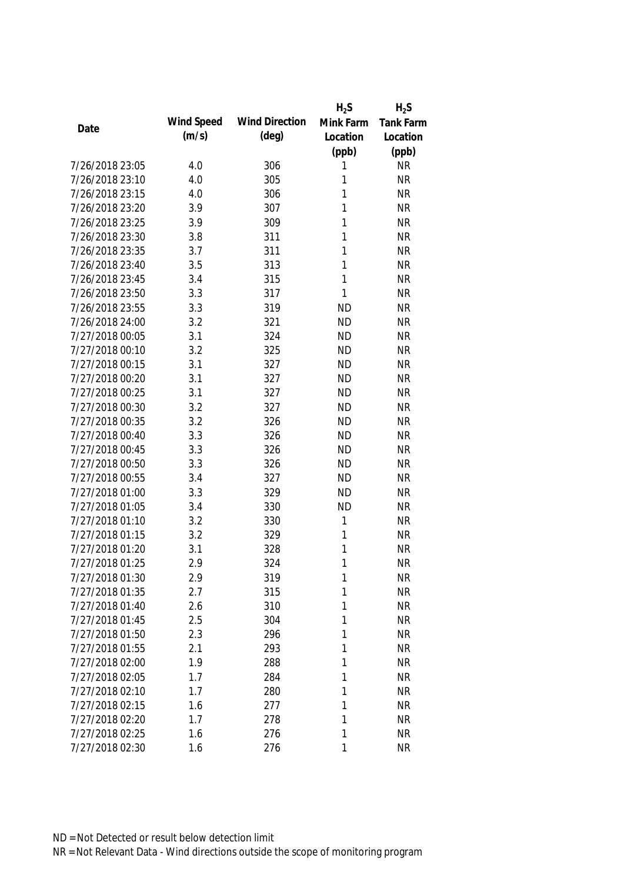|                 |            |                       | $H_2S$       | $H_2S$           |
|-----------------|------------|-----------------------|--------------|------------------|
|                 | Wind Speed | <b>Wind Direction</b> | Mink Farm    | <b>Tank Farm</b> |
| Date            | (m/s)      | $(\text{deg})$        | Location     | Location         |
|                 |            |                       | (ppb)        | (ppb)            |
| 7/26/2018 23:05 | 4.0        | 306                   | 1            | <b>NR</b>        |
| 7/26/2018 23:10 | 4.0        | 305                   | 1            | <b>NR</b>        |
| 7/26/2018 23:15 | 4.0        | 306                   | 1            | <b>NR</b>        |
| 7/26/2018 23:20 | 3.9        | 307                   | 1            | <b>NR</b>        |
| 7/26/2018 23:25 | 3.9        | 309                   | 1            | <b>NR</b>        |
| 7/26/2018 23:30 | 3.8        | 311                   | 1            | <b>NR</b>        |
| 7/26/2018 23:35 | 3.7        | 311                   | 1            | <b>NR</b>        |
| 7/26/2018 23:40 | 3.5        | 313                   | 1            | <b>NR</b>        |
| 7/26/2018 23:45 | 3.4        | 315                   | $\mathbf{1}$ | <b>NR</b>        |
| 7/26/2018 23:50 | 3.3        | 317                   | 1            | <b>NR</b>        |
| 7/26/2018 23:55 | 3.3        | 319                   | <b>ND</b>    | <b>NR</b>        |
| 7/26/2018 24:00 | 3.2        | 321                   | <b>ND</b>    | <b>NR</b>        |
| 7/27/2018 00:05 | 3.1        | 324                   | <b>ND</b>    | <b>NR</b>        |
| 7/27/2018 00:10 | 3.2        | 325                   | <b>ND</b>    | <b>NR</b>        |
| 7/27/2018 00:15 | 3.1        | 327                   | <b>ND</b>    | <b>NR</b>        |
| 7/27/2018 00:20 | 3.1        | 327                   | <b>ND</b>    | <b>NR</b>        |
| 7/27/2018 00:25 | 3.1        | 327                   | <b>ND</b>    | <b>NR</b>        |
| 7/27/2018 00:30 | 3.2        | 327                   | <b>ND</b>    | <b>NR</b>        |
| 7/27/2018 00:35 | 3.2        | 326                   | <b>ND</b>    | <b>NR</b>        |
| 7/27/2018 00:40 | 3.3        | 326                   | <b>ND</b>    | <b>NR</b>        |
| 7/27/2018 00:45 | 3.3        | 326                   | <b>ND</b>    | <b>NR</b>        |
| 7/27/2018 00:50 | 3.3        | 326                   | <b>ND</b>    | <b>NR</b>        |
| 7/27/2018 00:55 | 3.4        | 327                   | <b>ND</b>    | <b>NR</b>        |
| 7/27/2018 01:00 | 3.3        | 329                   | <b>ND</b>    | <b>NR</b>        |
| 7/27/2018 01:05 | 3.4        | 330                   | <b>ND</b>    | <b>NR</b>        |
| 7/27/2018 01:10 | 3.2        | 330                   | 1            | <b>NR</b>        |
| 7/27/2018 01:15 | 3.2        | 329                   | 1            | <b>NR</b>        |
| 7/27/2018 01:20 | 3.1        | 328                   | 1            | <b>NR</b>        |
| 7/27/2018 01:25 | 2.9        | 324                   | 1            | <b>NR</b>        |
| 7/27/2018 01:30 | 2.9        | 319                   | 1            | <b>NR</b>        |
| 7/27/2018 01:35 | 2.7        | 315                   | 1            | <b>NR</b>        |
| 7/27/2018 01:40 | 2.6        | 310                   | 1            | <b>NR</b>        |
| 7/27/2018 01:45 | 2.5        | 304                   | 1            | <b>NR</b>        |
| 7/27/2018 01:50 | 2.3        | 296                   | 1            | <b>NR</b>        |
| 7/27/2018 01:55 | 2.1        | 293                   | 1            | <b>NR</b>        |
| 7/27/2018 02:00 | 1.9        | 288                   | 1            | <b>NR</b>        |
| 7/27/2018 02:05 | 1.7        | 284                   | 1            | <b>NR</b>        |
| 7/27/2018 02:10 | 1.7        | 280                   | 1            | <b>NR</b>        |
| 7/27/2018 02:15 | 1.6        | 277                   | 1            | <b>NR</b>        |
| 7/27/2018 02:20 | 1.7        | 278                   | 1            | <b>NR</b>        |
| 7/27/2018 02:25 | 1.6        | 276                   | 1            | <b>NR</b>        |
| 7/27/2018 02:30 | 1.6        | 276                   | 1            | <b>NR</b>        |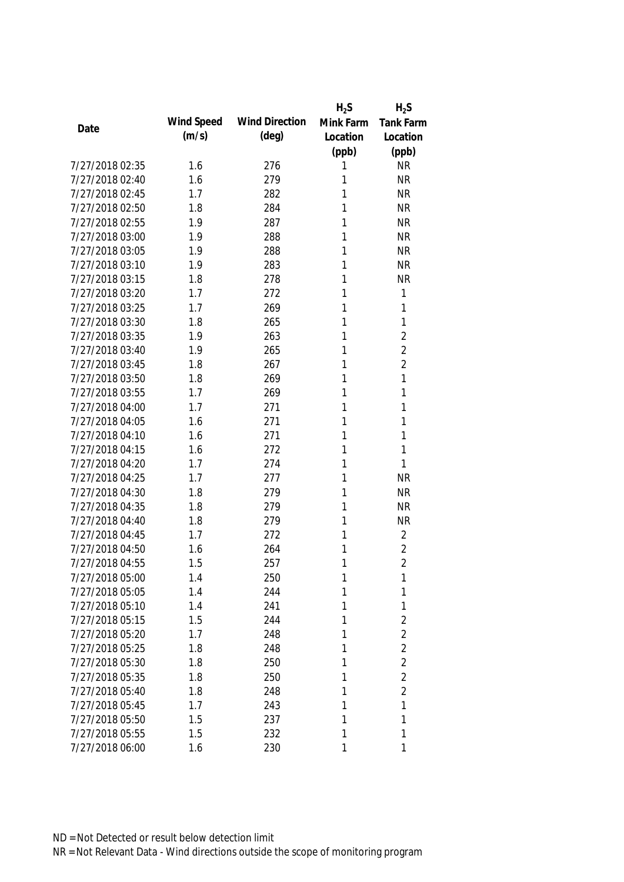|                 |            |                       | $H_2S$    | $H_2S$           |
|-----------------|------------|-----------------------|-----------|------------------|
| Date            | Wind Speed | <b>Wind Direction</b> | Mink Farm | <b>Tank Farm</b> |
|                 | (m/s)      | $(\text{deg})$        | Location  | Location         |
|                 |            |                       | (ppb)     | (ppb)            |
| 7/27/2018 02:35 | 1.6        | 276                   | 1         | <b>NR</b>        |
| 7/27/2018 02:40 | 1.6        | 279                   | 1         | <b>NR</b>        |
| 7/27/2018 02:45 | 1.7        | 282                   | 1         | <b>NR</b>        |
| 7/27/2018 02:50 | 1.8        | 284                   | 1         | <b>NR</b>        |
| 7/27/2018 02:55 | 1.9        | 287                   | 1         | <b>NR</b>        |
| 7/27/2018 03:00 | 1.9        | 288                   | 1         | <b>NR</b>        |
| 7/27/2018 03:05 | 1.9        | 288                   | 1         | <b>NR</b>        |
| 7/27/2018 03:10 | 1.9        | 283                   | 1         | <b>NR</b>        |
| 7/27/2018 03:15 | 1.8        | 278                   | 1         | <b>NR</b>        |
| 7/27/2018 03:20 | 1.7        | 272                   | 1         | 1                |
| 7/27/2018 03:25 | 1.7        | 269                   | 1         | 1                |
| 7/27/2018 03:30 | 1.8        | 265                   | 1         | 1                |
| 7/27/2018 03:35 | 1.9        | 263                   | 1         | $\overline{2}$   |
| 7/27/2018 03:40 | 1.9        | 265                   | 1         | $\overline{2}$   |
| 7/27/2018 03:45 | 1.8        | 267                   | 1         | $\overline{2}$   |
| 7/27/2018 03:50 | 1.8        | 269                   | 1         | 1                |
| 7/27/2018 03:55 | 1.7        | 269                   | 1         | 1                |
| 7/27/2018 04:00 | 1.7        | 271                   | 1         | 1                |
| 7/27/2018 04:05 | 1.6        | 271                   | 1         | 1                |
| 7/27/2018 04:10 | 1.6        | 271                   | 1         | 1                |
| 7/27/2018 04:15 | 1.6        | 272                   | 1         | 1                |
| 7/27/2018 04:20 | 1.7        | 274                   | 1         | 1                |
| 7/27/2018 04:25 | 1.7        | 277                   | 1         | <b>NR</b>        |
| 7/27/2018 04:30 | 1.8        | 279                   | 1         | <b>NR</b>        |
| 7/27/2018 04:35 | 1.8        | 279                   | 1         | <b>NR</b>        |
| 7/27/2018 04:40 | 1.8        | 279                   | 1         | <b>NR</b>        |
| 7/27/2018 04:45 | 1.7        | 272                   | 1         | $\overline{2}$   |
| 7/27/2018 04:50 | 1.6        | 264                   | 1         | $\overline{2}$   |
| 7/27/2018 04:55 | 1.5        | 257                   | 1         | $\overline{2}$   |
| 7/27/2018 05:00 | 1.4        | 250                   | 1         | 1                |
| 7/27/2018 05:05 | 1.4        | 244                   | 1         | 1                |
| 7/27/2018 05:10 | 1.4        | 241                   | 1         | 1                |
| 7/27/2018 05:15 | 1.5        | 244                   | 1         | $\overline{2}$   |
| 7/27/2018 05:20 | 1.7        | 248                   | 1         | $\overline{2}$   |
| 7/27/2018 05:25 | 1.8        | 248                   | 1         | $\overline{2}$   |
| 7/27/2018 05:30 | 1.8        | 250                   | 1         | $\overline{2}$   |
| 7/27/2018 05:35 | 1.8        | 250                   | 1         | $\overline{2}$   |
| 7/27/2018 05:40 | 1.8        | 248                   | 1         | $\overline{2}$   |
| 7/27/2018 05:45 | 1.7        | 243                   | 1         | $\mathbf{1}$     |
| 7/27/2018 05:50 | 1.5        | 237                   | 1         | 1                |
| 7/27/2018 05:55 | 1.5        | 232                   | 1         | 1                |
| 7/27/2018 06:00 | 1.6        | 230                   | 1         | 1                |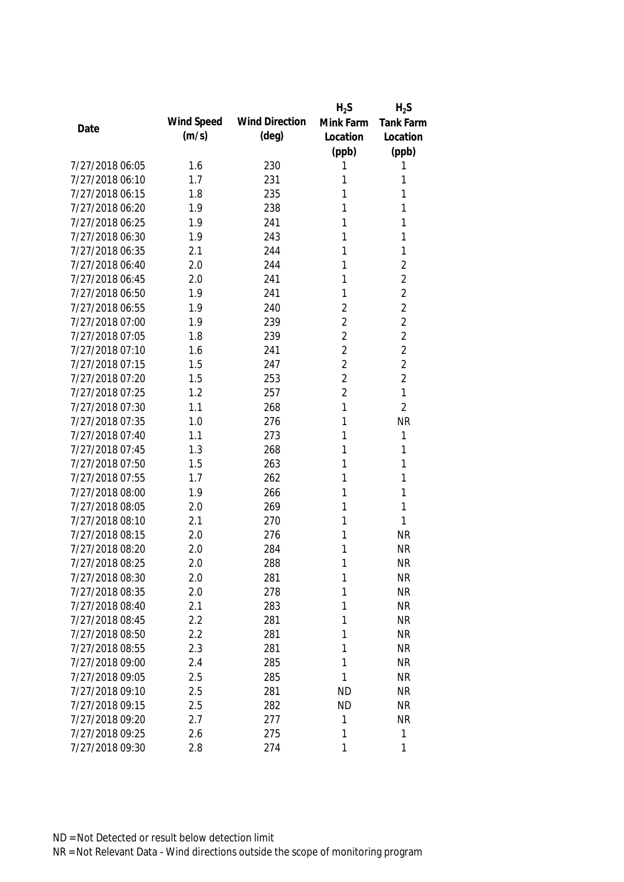|                 |            |                       | $H_2S$         | $H_2S$           |
|-----------------|------------|-----------------------|----------------|------------------|
| Date            | Wind Speed | <b>Wind Direction</b> | Mink Farm      | <b>Tank Farm</b> |
|                 | (m/s)      | $(\text{deg})$        | Location       | Location         |
|                 |            |                       | (ppb)          | (ppb)            |
| 7/27/2018 06:05 | 1.6        | 230                   | 1              | 1                |
| 7/27/2018 06:10 | 1.7        | 231                   | 1              | 1                |
| 7/27/2018 06:15 | 1.8        | 235                   | 1              | 1                |
| 7/27/2018 06:20 | 1.9        | 238                   | 1              | 1                |
| 7/27/2018 06:25 | 1.9        | 241                   | 1              | 1                |
| 7/27/2018 06:30 | 1.9        | 243                   | 1              | 1                |
| 7/27/2018 06:35 | 2.1        | 244                   | 1              | 1                |
| 7/27/2018 06:40 | 2.0        | 244                   | 1              | $\overline{2}$   |
| 7/27/2018 06:45 | 2.0        | 241                   | 1              | $\overline{2}$   |
| 7/27/2018 06:50 | 1.9        | 241                   | 1              | $\overline{2}$   |
| 7/27/2018 06:55 | 1.9        | 240                   | $\overline{2}$ | $\overline{2}$   |
| 7/27/2018 07:00 | 1.9        | 239                   | $\overline{2}$ | $\overline{2}$   |
| 7/27/2018 07:05 | 1.8        | 239                   | $\overline{2}$ | $\overline{2}$   |
| 7/27/2018 07:10 | 1.6        | 241                   | $\overline{2}$ | $\overline{2}$   |
| 7/27/2018 07:15 | 1.5        | 247                   | $\overline{2}$ | $\overline{2}$   |
| 7/27/2018 07:20 | 1.5        | 253                   | $\overline{2}$ | $\overline{2}$   |
| 7/27/2018 07:25 | 1.2        | 257                   | $\overline{2}$ | 1                |
| 7/27/2018 07:30 | 1.1        | 268                   | 1              | $\overline{2}$   |
| 7/27/2018 07:35 | 1.0        | 276                   | 1              | <b>NR</b>        |
| 7/27/2018 07:40 | 1.1        | 273                   | 1              | 1                |
| 7/27/2018 07:45 | 1.3        | 268                   | 1              | 1                |
| 7/27/2018 07:50 | 1.5        | 263                   | 1              | 1                |
| 7/27/2018 07:55 | 1.7        | 262                   | 1              | 1                |
| 7/27/2018 08:00 | 1.9        | 266                   | 1              | 1                |
| 7/27/2018 08:05 | 2.0        | 269                   | 1              | 1                |
| 7/27/2018 08:10 | 2.1        | 270                   | 1              | 1                |
| 7/27/2018 08:15 | 2.0        | 276                   | 1              | <b>NR</b>        |
| 7/27/2018 08:20 | 2.0        | 284                   | 1              | <b>NR</b>        |
| 7/27/2018 08:25 | 2.0        | 288                   | 1              | <b>NR</b>        |
| 7/27/2018 08:30 | 2.0        | 281                   | 1              | <b>NR</b>        |
| 7/27/2018 08:35 | 2.0        | 278                   | 1              | <b>NR</b>        |
| 7/27/2018 08:40 | 2.1        | 283                   | 1              | <b>NR</b>        |
| 7/27/2018 08:45 | 2.2        | 281                   | 1              | <b>NR</b>        |
| 7/27/2018 08:50 | 2.2        | 281                   | 1              | <b>NR</b>        |
| 7/27/2018 08:55 | 2.3        | 281                   | $\mathbf{1}$   | <b>NR</b>        |
| 7/27/2018 09:00 | 2.4        | 285                   | 1              | <b>NR</b>        |
| 7/27/2018 09:05 | 2.5        | 285                   | 1              | <b>NR</b>        |
| 7/27/2018 09:10 | 2.5        | 281                   | <b>ND</b>      | <b>NR</b>        |
| 7/27/2018 09:15 | 2.5        | 282                   | <b>ND</b>      | <b>NR</b>        |
| 7/27/2018 09:20 | 2.7        | 277                   | 1              | <b>NR</b>        |
| 7/27/2018 09:25 | 2.6        | 275                   | 1              | 1                |
| 7/27/2018 09:30 | 2.8        | 274                   | 1              | 1                |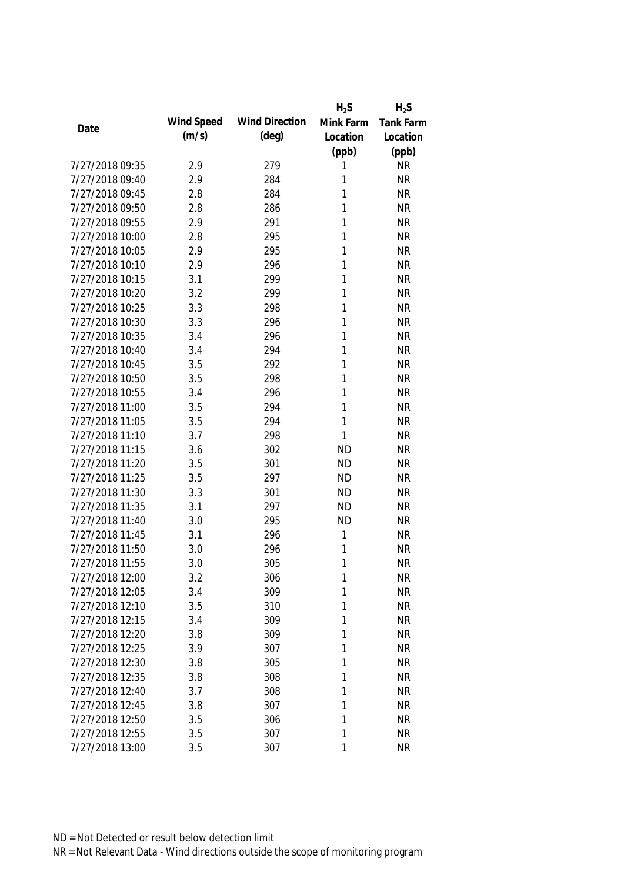|                 |            |                       | $H_2S$    | $H_2S$           |
|-----------------|------------|-----------------------|-----------|------------------|
| Date            | Wind Speed | <b>Wind Direction</b> | Mink Farm | <b>Tank Farm</b> |
|                 | (m/s)      | $(\text{deg})$        | Location  | Location         |
|                 |            |                       | (ppb)     | (ppb)            |
| 7/27/2018 09:35 | 2.9        | 279                   | 1         | <b>NR</b>        |
| 7/27/2018 09:40 | 2.9        | 284                   | 1         | <b>NR</b>        |
| 7/27/2018 09:45 | 2.8        | 284                   | 1         | <b>NR</b>        |
| 7/27/2018 09:50 | 2.8        | 286                   | 1         | <b>NR</b>        |
| 7/27/2018 09:55 | 2.9        | 291                   | 1         | <b>NR</b>        |
| 7/27/2018 10:00 | 2.8        | 295                   | 1         | <b>NR</b>        |
| 7/27/2018 10:05 | 2.9        | 295                   | 1         | <b>NR</b>        |
| 7/27/2018 10:10 | 2.9        | 296                   | 1         | <b>NR</b>        |
| 7/27/2018 10:15 | 3.1        | 299                   | 1         | <b>NR</b>        |
| 7/27/2018 10:20 | 3.2        | 299                   | 1         | <b>NR</b>        |
| 7/27/2018 10:25 | 3.3        | 298                   | 1         | <b>NR</b>        |
| 7/27/2018 10:30 | 3.3        | 296                   | 1         | <b>NR</b>        |
| 7/27/2018 10:35 | 3.4        | 296                   | 1         | <b>NR</b>        |
| 7/27/2018 10:40 | 3.4        | 294                   | 1         | <b>NR</b>        |
| 7/27/2018 10:45 | 3.5        | 292                   | 1         | <b>NR</b>        |
| 7/27/2018 10:50 | 3.5        | 298                   | 1         | <b>NR</b>        |
| 7/27/2018 10:55 | 3.4        | 296                   | 1         | <b>NR</b>        |
| 7/27/2018 11:00 | 3.5        | 294                   | 1         | <b>NR</b>        |
| 7/27/2018 11:05 | 3.5        | 294                   | 1         | <b>NR</b>        |
| 7/27/2018 11:10 | 3.7        | 298                   | 1         | <b>NR</b>        |
| 7/27/2018 11:15 | 3.6        | 302                   | <b>ND</b> | <b>NR</b>        |
| 7/27/2018 11:20 | 3.5        | 301                   | <b>ND</b> | <b>NR</b>        |
| 7/27/2018 11:25 | 3.5        | 297                   | <b>ND</b> | <b>NR</b>        |
| 7/27/2018 11:30 | 3.3        | 301                   | <b>ND</b> | <b>NR</b>        |
| 7/27/2018 11:35 | 3.1        | 297                   | <b>ND</b> | <b>NR</b>        |
| 7/27/2018 11:40 | 3.0        | 295                   | <b>ND</b> | <b>NR</b>        |
| 7/27/2018 11:45 | 3.1        | 296                   | 1         | <b>NR</b>        |
| 7/27/2018 11:50 | 3.0        | 296                   | 1         | <b>NR</b>        |
| 7/27/2018 11:55 | 3.0        | 305                   | 1         | <b>NR</b>        |
| 7/27/2018 12:00 | 3.2        | 306                   | 1         | NR               |
| 7/27/2018 12:05 | 3.4        | 309                   | 1         | <b>NR</b>        |
| 7/27/2018 12:10 | 3.5        | 310                   | 1         | <b>NR</b>        |
| 7/27/2018 12:15 | 3.4        | 309                   | 1         | <b>NR</b>        |
| 7/27/2018 12:20 | 3.8        | 309                   | 1         | <b>NR</b>        |
| 7/27/2018 12:25 | 3.9        | 307                   | 1         | <b>NR</b>        |
| 7/27/2018 12:30 | 3.8        | 305                   | 1         | <b>NR</b>        |
| 7/27/2018 12:35 | 3.8        | 308                   | 1         | <b>NR</b>        |
| 7/27/2018 12:40 | 3.7        | 308                   | 1         | <b>NR</b>        |
| 7/27/2018 12:45 | 3.8        | 307                   | 1         | <b>NR</b>        |
| 7/27/2018 12:50 | 3.5        | 306                   | 1         | <b>NR</b>        |
| 7/27/2018 12:55 | 3.5        | 307                   | 1         | <b>NR</b>        |
| 7/27/2018 13:00 | 3.5        | 307                   | 1         | <b>NR</b>        |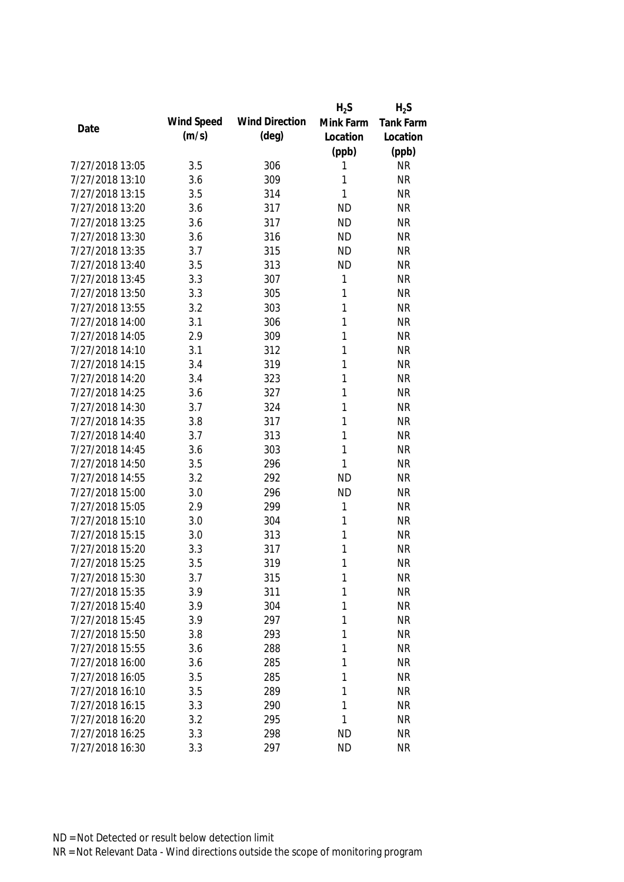|                 |            |                       | $H_2S$    | $H_2S$    |
|-----------------|------------|-----------------------|-----------|-----------|
| Date            | Wind Speed | <b>Wind Direction</b> | Mink Farm | Tank Farm |
|                 | (m/s)      | $(\text{deg})$        | Location  | Location  |
|                 |            |                       | (ppb)     | (ppb)     |
| 7/27/2018 13:05 | 3.5        | 306                   | 1         | <b>NR</b> |
| 7/27/2018 13:10 | 3.6        | 309                   | 1         | <b>NR</b> |
| 7/27/2018 13:15 | 3.5        | 314                   | 1         | <b>NR</b> |
| 7/27/2018 13:20 | 3.6        | 317                   | <b>ND</b> | <b>NR</b> |
| 7/27/2018 13:25 | 3.6        | 317                   | <b>ND</b> | <b>NR</b> |
| 7/27/2018 13:30 | 3.6        | 316                   | <b>ND</b> | <b>NR</b> |
| 7/27/2018 13:35 | 3.7        | 315                   | <b>ND</b> | <b>NR</b> |
| 7/27/2018 13:40 | 3.5        | 313                   | <b>ND</b> | <b>NR</b> |
| 7/27/2018 13:45 | 3.3        | 307                   | 1         | <b>NR</b> |
| 7/27/2018 13:50 | 3.3        | 305                   | 1         | <b>NR</b> |
| 7/27/2018 13:55 | 3.2        | 303                   | 1         | <b>NR</b> |
| 7/27/2018 14:00 | 3.1        | 306                   | 1         | <b>NR</b> |
| 7/27/2018 14:05 | 2.9        | 309                   | 1         | <b>NR</b> |
| 7/27/2018 14:10 | 3.1        | 312                   | 1         | <b>NR</b> |
| 7/27/2018 14:15 | 3.4        | 319                   | 1         | <b>NR</b> |
| 7/27/2018 14:20 | 3.4        | 323                   | 1         | <b>NR</b> |
| 7/27/2018 14:25 | 3.6        | 327                   | 1         | <b>NR</b> |
| 7/27/2018 14:30 | 3.7        | 324                   | 1         | <b>NR</b> |
| 7/27/2018 14:35 | 3.8        | 317                   | 1         | <b>NR</b> |
| 7/27/2018 14:40 | 3.7        | 313                   | 1         | <b>NR</b> |
| 7/27/2018 14:45 | 3.6        | 303                   | 1         | <b>NR</b> |
| 7/27/2018 14:50 | 3.5        | 296                   | 1         | <b>NR</b> |
| 7/27/2018 14:55 | 3.2        | 292                   | <b>ND</b> | <b>NR</b> |
| 7/27/2018 15:00 | 3.0        | 296                   | <b>ND</b> | <b>NR</b> |
| 7/27/2018 15:05 | 2.9        | 299                   | 1         | <b>NR</b> |
| 7/27/2018 15:10 | 3.0        | 304                   | 1         | <b>NR</b> |
| 7/27/2018 15:15 | 3.0        | 313                   | 1         | <b>NR</b> |
| 7/27/2018 15:20 | 3.3        | 317                   | 1         | <b>NR</b> |
| 7/27/2018 15:25 | 3.5        | 319                   | 1         | <b>NR</b> |
| 7/27/2018 15:30 | 3.7        | 315                   | 1         | <b>NR</b> |
| 7/27/2018 15:35 | 3.9        | 311                   | 1         | <b>NR</b> |
| 7/27/2018 15:40 | 3.9        | 304                   | 1         | <b>NR</b> |
| 7/27/2018 15:45 | 3.9        | 297                   | 1         | <b>NR</b> |
| 7/27/2018 15:50 | 3.8        | 293                   | 1         | <b>NR</b> |
| 7/27/2018 15:55 | 3.6        | 288                   | 1         | <b>NR</b> |
| 7/27/2018 16:00 | 3.6        | 285                   | 1         | <b>NR</b> |
| 7/27/2018 16:05 | 3.5        | 285                   | 1         | <b>NR</b> |
| 7/27/2018 16:10 | 3.5        | 289                   | 1         | <b>NR</b> |
| 7/27/2018 16:15 | 3.3        | 290                   | 1         | <b>NR</b> |
| 7/27/2018 16:20 | 3.2        | 295                   | 1         | <b>NR</b> |
| 7/27/2018 16:25 | 3.3        | 298                   | <b>ND</b> | <b>NR</b> |
|                 |            |                       |           |           |
| 7/27/2018 16:30 | 3.3        | 297                   | <b>ND</b> | <b>NR</b> |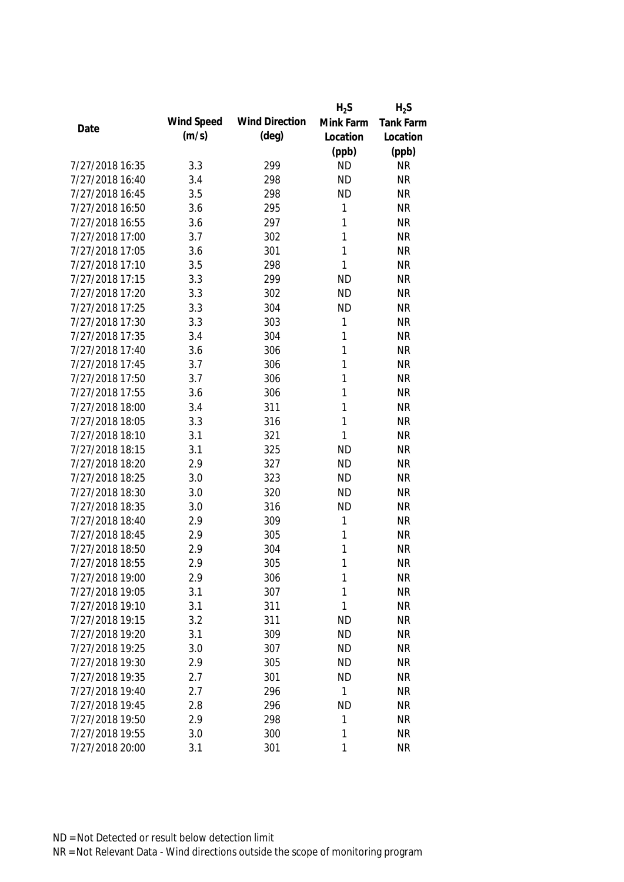|                 |            |                       | $H_2S$    | $H_2S$           |
|-----------------|------------|-----------------------|-----------|------------------|
| Date            | Wind Speed | <b>Wind Direction</b> | Mink Farm | <b>Tank Farm</b> |
|                 | (m/s)      | $(\text{deg})$        | Location  | Location         |
|                 |            |                       | (ppb)     | (ppb)            |
| 7/27/2018 16:35 | 3.3        | 299                   | <b>ND</b> | <b>NR</b>        |
| 7/27/2018 16:40 | 3.4        | 298                   | <b>ND</b> | <b>NR</b>        |
| 7/27/2018 16:45 | 3.5        | 298                   | <b>ND</b> | <b>NR</b>        |
| 7/27/2018 16:50 | 3.6        | 295                   | 1         | <b>NR</b>        |
| 7/27/2018 16:55 | 3.6        | 297                   | 1         | <b>NR</b>        |
| 7/27/2018 17:00 | 3.7        | 302                   | 1         | <b>NR</b>        |
| 7/27/2018 17:05 | 3.6        | 301                   | 1         | <b>NR</b>        |
| 7/27/2018 17:10 | 3.5        | 298                   | 1         | <b>NR</b>        |
| 7/27/2018 17:15 | 3.3        | 299                   | <b>ND</b> | <b>NR</b>        |
| 7/27/2018 17:20 | 3.3        | 302                   | <b>ND</b> | <b>NR</b>        |
| 7/27/2018 17:25 | 3.3        | 304                   | <b>ND</b> | <b>NR</b>        |
| 7/27/2018 17:30 | 3.3        | 303                   | 1         | <b>NR</b>        |
| 7/27/2018 17:35 | 3.4        | 304                   | 1         | <b>NR</b>        |
| 7/27/2018 17:40 | 3.6        | 306                   | 1         | <b>NR</b>        |
| 7/27/2018 17:45 | 3.7        | 306                   | 1         | <b>NR</b>        |
| 7/27/2018 17:50 | 3.7        | 306                   | 1         | <b>NR</b>        |
| 7/27/2018 17:55 | 3.6        | 306                   | 1         | <b>NR</b>        |
| 7/27/2018 18:00 | 3.4        | 311                   | 1         | <b>NR</b>        |
| 7/27/2018 18:05 | 3.3        | 316                   | 1         | <b>NR</b>        |
| 7/27/2018 18:10 | 3.1        | 321                   | 1         | <b>NR</b>        |
| 7/27/2018 18:15 | 3.1        | 325                   | <b>ND</b> | <b>NR</b>        |
| 7/27/2018 18:20 | 2.9        | 327                   | <b>ND</b> | <b>NR</b>        |
| 7/27/2018 18:25 | 3.0        | 323                   | <b>ND</b> | <b>NR</b>        |
| 7/27/2018 18:30 | 3.0        | 320                   | <b>ND</b> | <b>NR</b>        |
| 7/27/2018 18:35 | 3.0        | 316                   | <b>ND</b> | <b>NR</b>        |
| 7/27/2018 18:40 | 2.9        | 309                   | 1         | <b>NR</b>        |
| 7/27/2018 18:45 | 2.9        | 305                   | 1         | <b>NR</b>        |
| 7/27/2018 18:50 | 2.9        | 304                   | 1         | <b>NR</b>        |
| 7/27/2018 18:55 | 2.9        | 305                   | 1         | <b>NR</b>        |
| 7/27/2018 19:00 | 2.9        | 306                   | 1         | <b>NR</b>        |
| 7/27/2018 19:05 | 3.1        | 307                   | 1         | <b>NR</b>        |
| 7/27/2018 19:10 | 3.1        | 311                   | 1         | <b>NR</b>        |
| 7/27/2018 19:15 | 3.2        | 311                   | <b>ND</b> | <b>NR</b>        |
| 7/27/2018 19:20 | 3.1        | 309                   | <b>ND</b> | <b>NR</b>        |
| 7/27/2018 19:25 | 3.0        | 307                   | <b>ND</b> | <b>NR</b>        |
| 7/27/2018 19:30 | 2.9        | 305                   | <b>ND</b> | <b>NR</b>        |
| 7/27/2018 19:35 | 2.7        | 301                   | <b>ND</b> | <b>NR</b>        |
| 7/27/2018 19:40 | 2.7        | 296                   | 1         | <b>NR</b>        |
| 7/27/2018 19:45 | 2.8        | 296                   | <b>ND</b> | <b>NR</b>        |
| 7/27/2018 19:50 | 2.9        | 298                   | 1         | <b>NR</b>        |
| 7/27/2018 19:55 | 3.0        | 300                   | 1         | <b>NR</b>        |
| 7/27/2018 20:00 | 3.1        | 301                   | 1         | <b>NR</b>        |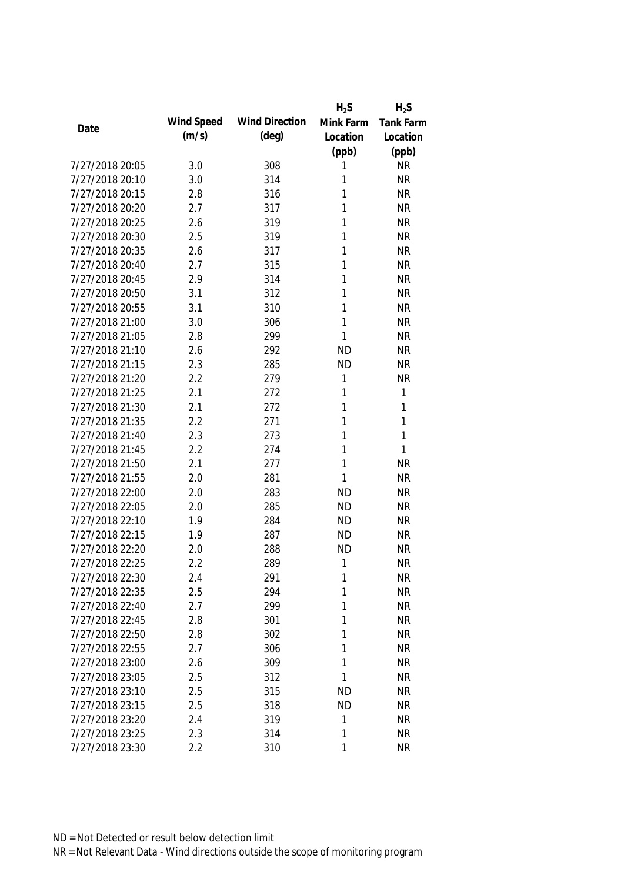|                 |            |                       | $H_2S$    | $H_2S$       |
|-----------------|------------|-----------------------|-----------|--------------|
|                 | Wind Speed | <b>Wind Direction</b> | Mink Farm | Tank Farm    |
| Date            | (m/s)      | (deg)                 | Location  | Location     |
|                 |            |                       | (ppb)     | (ppb)        |
| 7/27/2018 20:05 | 3.0        | 308                   | 1         | <b>NR</b>    |
| 7/27/2018 20:10 | 3.0        | 314                   | 1         | <b>NR</b>    |
| 7/27/2018 20:15 | 2.8        | 316                   | 1         | <b>NR</b>    |
| 7/27/2018 20:20 | 2.7        | 317                   | 1         | <b>NR</b>    |
| 7/27/2018 20:25 | 2.6        | 319                   | 1         | <b>NR</b>    |
| 7/27/2018 20:30 | 2.5        | 319                   | 1         | <b>NR</b>    |
| 7/27/2018 20:35 | 2.6        | 317                   | 1         | <b>NR</b>    |
| 7/27/2018 20:40 | 2.7        | 315                   | 1         | <b>NR</b>    |
| 7/27/2018 20:45 | 2.9        | 314                   | 1         | <b>NR</b>    |
| 7/27/2018 20:50 | 3.1        | 312                   | 1         | <b>NR</b>    |
| 7/27/2018 20:55 | 3.1        | 310                   | 1         | <b>NR</b>    |
| 7/27/2018 21:00 | 3.0        | 306                   | 1         | <b>NR</b>    |
| 7/27/2018 21:05 | 2.8        | 299                   | 1         | <b>NR</b>    |
| 7/27/2018 21:10 | 2.6        | 292                   | <b>ND</b> | <b>NR</b>    |
| 7/27/2018 21:15 | 2.3        | 285                   | <b>ND</b> | <b>NR</b>    |
| 7/27/2018 21:20 | 2.2        | 279                   | 1         | <b>NR</b>    |
| 7/27/2018 21:25 | 2.1        | 272                   | 1         | $\mathbf{1}$ |
| 7/27/2018 21:30 | 2.1        | 272                   | 1         | $\mathbf{1}$ |
| 7/27/2018 21:35 | 2.2        | 271                   | 1         | $\mathbf{1}$ |
| 7/27/2018 21:40 | 2.3        | 273                   | 1         | $\mathbf{1}$ |
| 7/27/2018 21:45 | 2.2        | 274                   | 1         | 1            |
| 7/27/2018 21:50 | 2.1        | 277                   | 1         | <b>NR</b>    |
| 7/27/2018 21:55 | 2.0        | 281                   | 1         | <b>NR</b>    |
| 7/27/2018 22:00 | 2.0        | 283                   | <b>ND</b> | <b>NR</b>    |
| 7/27/2018 22:05 | 2.0        | 285                   | <b>ND</b> | <b>NR</b>    |
| 7/27/2018 22:10 | 1.9        | 284                   | <b>ND</b> | <b>NR</b>    |
| 7/27/2018 22:15 | 1.9        | 287                   | <b>ND</b> | <b>NR</b>    |
| 7/27/2018 22:20 | 2.0        | 288                   | <b>ND</b> | <b>NR</b>    |
| 7/27/2018 22:25 | 2.2        | 289                   | 1         | <b>NR</b>    |
| 7/27/2018 22:30 | 2.4        | 291                   | 1         | <b>NR</b>    |
| 7/27/2018 22:35 | 2.5        | 294                   | 1         | <b>NR</b>    |
| 7/27/2018 22:40 | 2.7        | 299                   | 1         | <b>NR</b>    |
| 7/27/2018 22:45 | 2.8        | 301                   | 1         | <b>NR</b>    |
| 7/27/2018 22:50 | 2.8        | 302                   | 1         | <b>NR</b>    |
| 7/27/2018 22:55 | 2.7        | 306                   | 1         | <b>NR</b>    |
| 7/27/2018 23:00 | 2.6        | 309                   | 1         | <b>NR</b>    |
| 7/27/2018 23:05 | 2.5        | 312                   | 1         | <b>NR</b>    |
| 7/27/2018 23:10 | 2.5        | 315                   | <b>ND</b> | <b>NR</b>    |
| 7/27/2018 23:15 | 2.5        | 318                   | <b>ND</b> | <b>NR</b>    |
| 7/27/2018 23:20 | 2.4        | 319                   | 1         | <b>NR</b>    |
| 7/27/2018 23:25 | 2.3        | 314                   | 1         | <b>NR</b>    |
| 7/27/2018 23:30 | 2.2        | 310                   | 1         | <b>NR</b>    |
|                 |            |                       |           |              |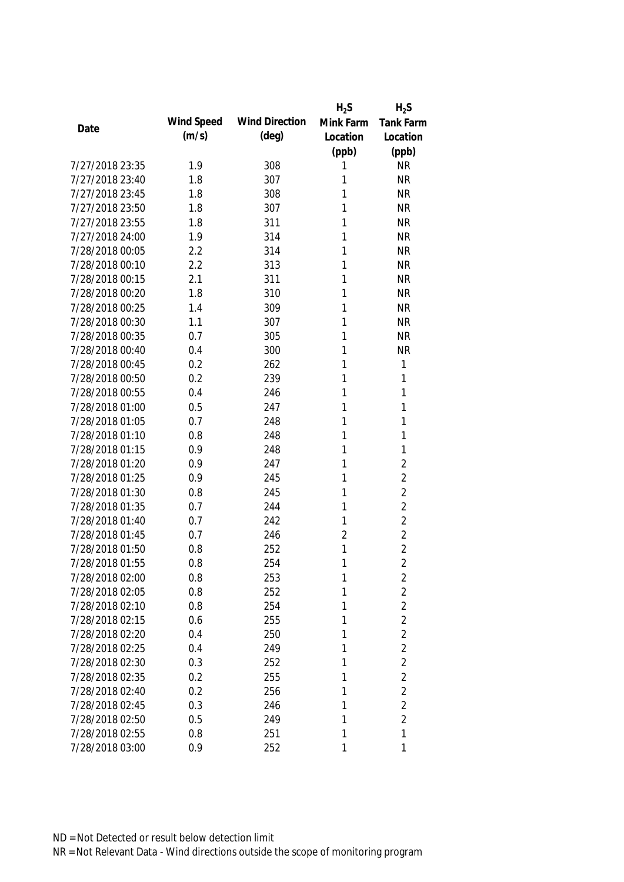|                 |            |                       | $H_2S$         | $H_2S$           |
|-----------------|------------|-----------------------|----------------|------------------|
| Date            | Wind Speed | <b>Wind Direction</b> | Mink Farm      | <b>Tank Farm</b> |
|                 | (m/s)      | $(\text{deg})$        | Location       | Location         |
|                 |            |                       | (ppb)          | (ppb)            |
| 7/27/2018 23:35 | 1.9        | 308                   | 1              | <b>NR</b>        |
| 7/27/2018 23:40 | 1.8        | 307                   | 1              | <b>NR</b>        |
| 7/27/2018 23:45 | 1.8        | 308                   | 1              | <b>NR</b>        |
| 7/27/2018 23:50 | 1.8        | 307                   | 1              | <b>NR</b>        |
| 7/27/2018 23:55 | 1.8        | 311                   | 1              | <b>NR</b>        |
| 7/27/2018 24:00 | 1.9        | 314                   | 1              | <b>NR</b>        |
| 7/28/2018 00:05 | 2.2        | 314                   | 1              | <b>NR</b>        |
| 7/28/2018 00:10 | 2.2        | 313                   | 1              | <b>NR</b>        |
| 7/28/2018 00:15 | 2.1        | 311                   | 1              | <b>NR</b>        |
| 7/28/2018 00:20 | 1.8        | 310                   | 1              | <b>NR</b>        |
| 7/28/2018 00:25 | 1.4        | 309                   | 1              | <b>NR</b>        |
| 7/28/2018 00:30 | 1.1        | 307                   | 1              | <b>NR</b>        |
| 7/28/2018 00:35 | 0.7        | 305                   | 1              | <b>NR</b>        |
| 7/28/2018 00:40 | 0.4        | 300                   | 1              | <b>NR</b>        |
| 7/28/2018 00:45 | 0.2        | 262                   | 1              | $\mathbf{1}$     |
| 7/28/2018 00:50 | 0.2        | 239                   | 1              | 1                |
| 7/28/2018 00:55 | 0.4        | 246                   | 1              | 1                |
| 7/28/2018 01:00 | 0.5        | 247                   | 1              | 1                |
| 7/28/2018 01:05 | 0.7        | 248                   | 1              | 1                |
| 7/28/2018 01:10 | 0.8        | 248                   | 1              | 1                |
| 7/28/2018 01:15 | 0.9        | 248                   | 1              | 1                |
| 7/28/2018 01:20 | 0.9        | 247                   | 1              | $\overline{2}$   |
| 7/28/2018 01:25 | 0.9        | 245                   | 1              | $\overline{2}$   |
| 7/28/2018 01:30 | 0.8        | 245                   | 1              | $\overline{2}$   |
| 7/28/2018 01:35 | 0.7        | 244                   | 1              | $\overline{2}$   |
| 7/28/2018 01:40 | 0.7        | 242                   | 1              | $\overline{2}$   |
| 7/28/2018 01:45 | 0.7        | 246                   | $\overline{2}$ | $\overline{2}$   |
| 7/28/2018 01:50 | 0.8        | 252                   | 1              | $\overline{2}$   |
| 7/28/2018 01:55 | 0.8        | 254                   | 1              | $\overline{2}$   |
| 7/28/2018 02:00 | 0.8        | 253                   | 1              | 2                |
| 7/28/2018 02:05 | 0.8        | 252                   | 1              | $\overline{2}$   |
| 7/28/2018 02:10 | 0.8        | 254                   | 1              | $\overline{2}$   |
| 7/28/2018 02:15 | 0.6        | 255                   | 1              | $\overline{2}$   |
| 7/28/2018 02:20 | 0.4        | 250                   | 1              | $\overline{2}$   |
| 7/28/2018 02:25 | 0.4        | 249                   | 1              | $\overline{2}$   |
| 7/28/2018 02:30 | 0.3        | 252                   | 1              | $\overline{2}$   |
| 7/28/2018 02:35 | 0.2        | 255                   | 1              | $\overline{2}$   |
| 7/28/2018 02:40 | 0.2        | 256                   | 1              | $\overline{2}$   |
| 7/28/2018 02:45 | 0.3        | 246                   | 1              | $\overline{2}$   |
| 7/28/2018 02:50 | 0.5        | 249                   | 1              | $\overline{2}$   |
| 7/28/2018 02:55 | 0.8        | 251                   | 1              | 1                |
| 7/28/2018 03:00 | 0.9        | 252                   | 1              | 1                |
|                 |            |                       |                |                  |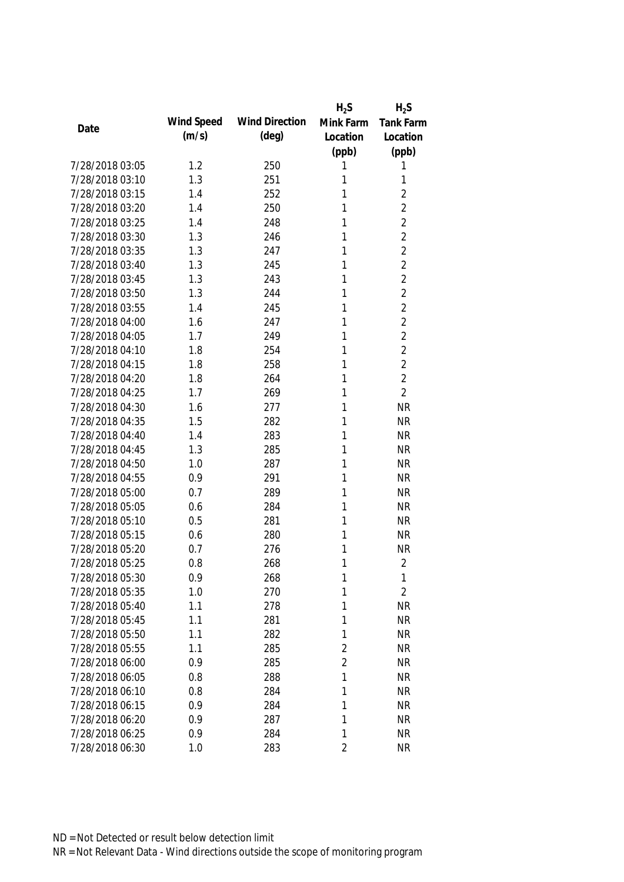|                 |            |                       | $H_2S$         | $H_2S$         |
|-----------------|------------|-----------------------|----------------|----------------|
| Date            | Wind Speed | <b>Wind Direction</b> | Mink Farm      | Tank Farm      |
|                 | (m/s)      | $(\text{deg})$        | Location       | Location       |
|                 |            |                       | (ppb)          | (ppb)          |
| 7/28/2018 03:05 | 1.2        | 250                   | 1              | 1              |
| 7/28/2018 03:10 | 1.3        | 251                   | 1              | 1              |
| 7/28/2018 03:15 | 1.4        | 252                   | 1              | $\overline{2}$ |
| 7/28/2018 03:20 | 1.4        | 250                   | 1              | $\overline{2}$ |
| 7/28/2018 03:25 | 1.4        | 248                   | 1              | $\overline{2}$ |
| 7/28/2018 03:30 | 1.3        | 246                   | 1              | $\overline{2}$ |
| 7/28/2018 03:35 | 1.3        | 247                   | 1              | $\overline{2}$ |
| 7/28/2018 03:40 | 1.3        | 245                   | 1              | $\overline{2}$ |
| 7/28/2018 03:45 | 1.3        | 243                   | 1              | $\overline{2}$ |
| 7/28/2018 03:50 | 1.3        | 244                   | 1              | $\overline{2}$ |
| 7/28/2018 03:55 | 1.4        | 245                   | 1              | 2              |
| 7/28/2018 04:00 | 1.6        | 247                   | 1              | $\overline{2}$ |
| 7/28/2018 04:05 | 1.7        | 249                   | 1              | $\overline{2}$ |
| 7/28/2018 04:10 | 1.8        | 254                   | 1              | $\overline{2}$ |
| 7/28/2018 04:15 | 1.8        | 258                   | 1              | $\overline{2}$ |
| 7/28/2018 04:20 | 1.8        | 264                   | 1              | $\overline{2}$ |
| 7/28/2018 04:25 | 1.7        | 269                   | 1              | $\overline{2}$ |
| 7/28/2018 04:30 | 1.6        | 277                   | 1              | <b>NR</b>      |
| 7/28/2018 04:35 | 1.5        | 282                   | 1              | <b>NR</b>      |
| 7/28/2018 04:40 | 1.4        | 283                   | 1              | <b>NR</b>      |
| 7/28/2018 04:45 | 1.3        | 285                   | 1              | <b>NR</b>      |
| 7/28/2018 04:50 | 1.0        | 287                   | 1              | <b>NR</b>      |
| 7/28/2018 04:55 | 0.9        | 291                   | 1              | <b>NR</b>      |
| 7/28/2018 05:00 | 0.7        | 289                   | 1              | <b>NR</b>      |
| 7/28/2018 05:05 | 0.6        | 284                   | 1              | <b>NR</b>      |
| 7/28/2018 05:10 | 0.5        | 281                   | 1              | <b>NR</b>      |
| 7/28/2018 05:15 | 0.6        | 280                   | 1              | <b>NR</b>      |
| 7/28/2018 05:20 | 0.7        | 276                   | 1              | <b>NR</b>      |
| 7/28/2018 05:25 | 0.8        | 268                   | 1              | $\overline{2}$ |
| 7/28/2018 05:30 | 0.9        | 268                   | 1              | 1              |
| 7/28/2018 05:35 | 1.0        | 270                   | 1              | $\overline{2}$ |
| 7/28/2018 05:40 | 1.1        | 278                   | 1              | <b>NR</b>      |
| 7/28/2018 05:45 | 1.1        | 281                   | 1              | <b>NR</b>      |
| 7/28/2018 05:50 | 1.1        | 282                   | 1              | <b>NR</b>      |
| 7/28/2018 05:55 | 1.1        | 285                   | $\overline{2}$ | <b>NR</b>      |
| 7/28/2018 06:00 | 0.9        | 285                   | $\overline{2}$ | <b>NR</b>      |
| 7/28/2018 06:05 | 0.8        | 288                   | 1              | <b>NR</b>      |
| 7/28/2018 06:10 | 0.8        | 284                   | 1              | <b>NR</b>      |
| 7/28/2018 06:15 | 0.9        | 284                   | 1              | <b>NR</b>      |
| 7/28/2018 06:20 | 0.9        | 287                   | 1              | <b>NR</b>      |
| 7/28/2018 06:25 | 0.9        | 284                   | 1              | <b>NR</b>      |
| 7/28/2018 06:30 | 1.0        | 283                   | $\overline{2}$ | <b>NR</b>      |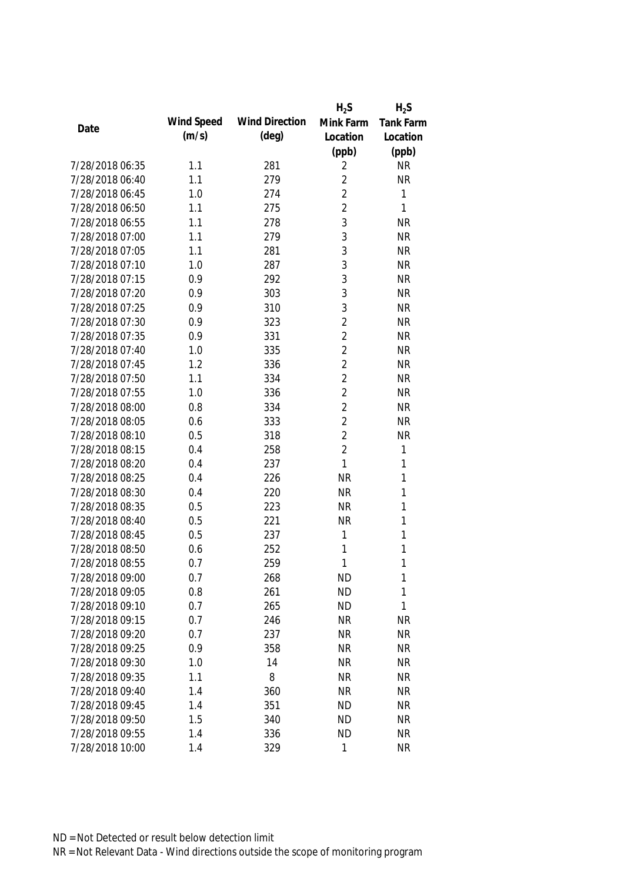|                 |            |                       | $H_2S$         | $H_2S$    |
|-----------------|------------|-----------------------|----------------|-----------|
| Date            | Wind Speed | <b>Wind Direction</b> | Mink Farm      | Tank Farm |
|                 | (m/s)      | $(\text{deg})$        | Location       | Location  |
|                 |            |                       | (ppb)          | (ppb)     |
| 7/28/2018 06:35 | 1.1        | 281                   | 2              | <b>NR</b> |
| 7/28/2018 06:40 | 1.1        | 279                   | $\overline{2}$ | <b>NR</b> |
| 7/28/2018 06:45 | 1.0        | 274                   | $\overline{2}$ | 1         |
| 7/28/2018 06:50 | 1.1        | 275                   | $\overline{2}$ | 1         |
| 7/28/2018 06:55 | 1.1        | 278                   | 3              | <b>NR</b> |
| 7/28/2018 07:00 | 1.1        | 279                   | 3              | <b>NR</b> |
| 7/28/2018 07:05 | 1.1        | 281                   | 3              | <b>NR</b> |
| 7/28/2018 07:10 | 1.0        | 287                   | 3              | <b>NR</b> |
| 7/28/2018 07:15 | 0.9        | 292                   | 3              | <b>NR</b> |
| 7/28/2018 07:20 | 0.9        | 303                   | 3              | <b>NR</b> |
| 7/28/2018 07:25 | 0.9        | 310                   | 3              | <b>NR</b> |
| 7/28/2018 07:30 | 0.9        | 323                   | $\overline{2}$ | <b>NR</b> |
| 7/28/2018 07:35 | 0.9        | 331                   | $\overline{2}$ | <b>NR</b> |
| 7/28/2018 07:40 | 1.0        | 335                   | $\overline{2}$ | <b>NR</b> |
| 7/28/2018 07:45 | 1.2        | 336                   | $\overline{2}$ | <b>NR</b> |
| 7/28/2018 07:50 | 1.1        | 334                   | $\overline{2}$ | <b>NR</b> |
| 7/28/2018 07:55 | 1.0        | 336                   | $\overline{2}$ | <b>NR</b> |
| 7/28/2018 08:00 | 0.8        | 334                   | $\overline{2}$ | <b>NR</b> |
| 7/28/2018 08:05 | 0.6        | 333                   | $\overline{2}$ | <b>NR</b> |
| 7/28/2018 08:10 | 0.5        | 318                   | $\overline{2}$ | <b>NR</b> |
| 7/28/2018 08:15 | 0.4        | 258                   | $\overline{2}$ | 1         |
| 7/28/2018 08:20 | 0.4        | 237                   | $\mathbf{1}$   | 1         |
| 7/28/2018 08:25 | 0.4        | 226                   | <b>NR</b>      | 1         |
| 7/28/2018 08:30 | 0.4        | 220                   | <b>NR</b>      | 1         |
| 7/28/2018 08:35 | 0.5        | 223                   | <b>NR</b>      | 1         |
| 7/28/2018 08:40 | 0.5        | 221                   | <b>NR</b>      | 1         |
| 7/28/2018 08:45 | 0.5        | 237                   | 1              | 1         |
| 7/28/2018 08:50 | 0.6        | 252                   | 1              | 1         |
| 7/28/2018 08:55 | 0.7        | 259                   | 1              | 1         |
| 7/28/2018 09:00 | 0.7        | 268                   | <b>ND</b>      | 1         |
| 7/28/2018 09:05 | 0.8        | 261                   | <b>ND</b>      | 1         |
| 7/28/2018 09:10 | 0.7        | 265                   | <b>ND</b>      | 1         |
| 7/28/2018 09:15 | 0.7        | 246                   | <b>NR</b>      | <b>NR</b> |
| 7/28/2018 09:20 | 0.7        | 237                   | <b>NR</b>      | <b>NR</b> |
| 7/28/2018 09:25 | 0.9        | 358                   | <b>NR</b>      | <b>NR</b> |
| 7/28/2018 09:30 | 1.0        | 14                    | <b>NR</b>      | <b>NR</b> |
| 7/28/2018 09:35 | 1.1        | 8                     | <b>NR</b>      | <b>NR</b> |
| 7/28/2018 09:40 | 1.4        | 360                   | <b>NR</b>      | <b>NR</b> |
| 7/28/2018 09:45 | 1.4        | 351                   | <b>ND</b>      | <b>NR</b> |
| 7/28/2018 09:50 | 1.5        | 340                   | <b>ND</b>      | <b>NR</b> |
| 7/28/2018 09:55 | 1.4        | 336                   | <b>ND</b>      | <b>NR</b> |
| 7/28/2018 10:00 | 1.4        | 329                   | 1              | <b>NR</b> |
|                 |            |                       |                |           |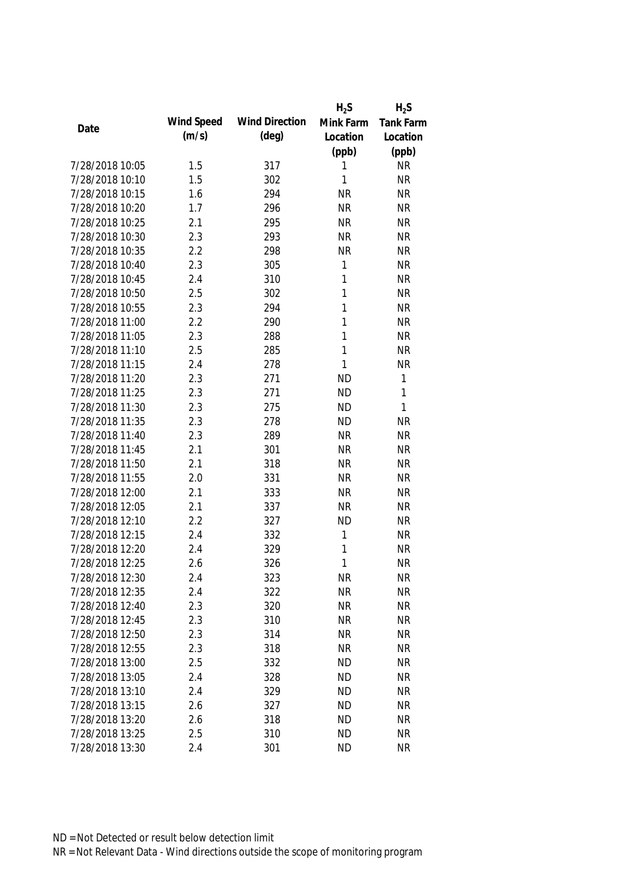|                                    |            |                       | $H_2S$       | $H_2S$           |
|------------------------------------|------------|-----------------------|--------------|------------------|
|                                    | Wind Speed | <b>Wind Direction</b> | Mink Farm    | <b>Tank Farm</b> |
| Date                               | (m/s)      | $(\text{deg})$        | Location     | Location         |
|                                    |            |                       | (ppb)        | (ppb)            |
| 7/28/2018 10:05                    | 1.5        | 317                   | 1            | <b>NR</b>        |
| 7/28/2018 10:10                    | 1.5        | 302                   | 1            | <b>NR</b>        |
| 7/28/2018 10:15                    | 1.6        | 294                   | <b>NR</b>    | <b>NR</b>        |
| 7/28/2018 10:20                    | 1.7        | 296                   | <b>NR</b>    | <b>NR</b>        |
| 7/28/2018 10:25                    | 2.1        | 295                   | <b>NR</b>    | <b>NR</b>        |
| 7/28/2018 10:30                    | 2.3        | 293                   | <b>NR</b>    | <b>NR</b>        |
| 7/28/2018 10:35                    | 2.2        | 298                   | <b>NR</b>    | <b>NR</b>        |
| 7/28/2018 10:40                    | 2.3        | 305                   | $\mathbf{1}$ | <b>NR</b>        |
| 7/28/2018 10:45                    | 2.4        | 310                   | 1            | <b>NR</b>        |
| 7/28/2018 10:50                    | 2.5        | 302                   | 1            | <b>NR</b>        |
| 7/28/2018 10:55                    | 2.3        | 294                   | 1            | <b>NR</b>        |
| 7/28/2018 11:00                    | 2.2        | 290                   | 1            | <b>NR</b>        |
| 7/28/2018 11:05                    | 2.3        | 288                   | 1            | <b>NR</b>        |
| 7/28/2018 11:10                    | 2.5        | 285                   | 1            | <b>NR</b>        |
| 7/28/2018 11:15                    | 2.4        | 278                   | 1            | <b>NR</b>        |
| 7/28/2018 11:20                    | 2.3        | 271                   | <b>ND</b>    | 1                |
| 7/28/2018 11:25                    | 2.3        | 271                   | <b>ND</b>    | 1                |
| 7/28/2018 11:30                    | 2.3        | 275                   | <b>ND</b>    | $\mathbf{1}$     |
| 7/28/2018 11:35                    | 2.3        | 278                   | <b>ND</b>    | <b>NR</b>        |
| 7/28/2018 11:40                    | 2.3        | 289                   | <b>NR</b>    | <b>NR</b>        |
| 7/28/2018 11:45                    | 2.1        | 301                   | <b>NR</b>    | <b>NR</b>        |
| 7/28/2018 11:50                    | 2.1        | 318                   | <b>NR</b>    | <b>NR</b>        |
| 7/28/2018 11:55                    | 2.0        | 331                   | <b>NR</b>    | <b>NR</b>        |
| 7/28/2018 12:00                    | 2.1        | 333                   | <b>NR</b>    | <b>NR</b>        |
| 7/28/2018 12:05                    | 2.1        | 337                   | <b>NR</b>    | <b>NR</b>        |
| 7/28/2018 12:10                    | 2.2        | 327                   | <b>ND</b>    | <b>NR</b>        |
| 7/28/2018 12:15                    | 2.4        | 332                   | 1            | <b>NR</b>        |
| 7/28/2018 12:20                    | 2.4        | 329                   | 1            | <b>NR</b>        |
| 7/28/2018 12:25                    | 2.6        | 326                   | 1            | <b>NR</b>        |
| 7/28/2018 12:30                    | 2.4        | 323                   | <b>NR</b>    | <b>NR</b>        |
| 7/28/2018 12:35                    | 2.4        | 322                   | <b>NR</b>    | <b>NR</b>        |
| 7/28/2018 12:40                    | 2.3        | 320                   | <b>NR</b>    | <b>NR</b>        |
| 7/28/2018 12:45                    | 2.3        | 310                   | <b>NR</b>    | <b>NR</b>        |
|                                    | 2.3        |                       | <b>NR</b>    | <b>NR</b>        |
| 7/28/2018 12:50<br>7/28/2018 12:55 |            | 314                   |              |                  |
|                                    | 2.3        | 318                   | <b>NR</b>    | <b>NR</b>        |
| 7/28/2018 13:00                    | 2.5        | 332                   | <b>ND</b>    | <b>NR</b>        |
| 7/28/2018 13:05                    | 2.4        | 328                   | <b>ND</b>    | <b>NR</b>        |
| 7/28/2018 13:10                    | 2.4        | 329                   | <b>ND</b>    | <b>NR</b>        |
| 7/28/2018 13:15                    | 2.6        | 327                   | <b>ND</b>    | <b>NR</b>        |
| 7/28/2018 13:20                    | 2.6        | 318                   | <b>ND</b>    | <b>NR</b>        |
| 7/28/2018 13:25                    | 2.5        | 310                   | <b>ND</b>    | <b>NR</b>        |
| 7/28/2018 13:30                    | 2.4        | 301                   | <b>ND</b>    | <b>NR</b>        |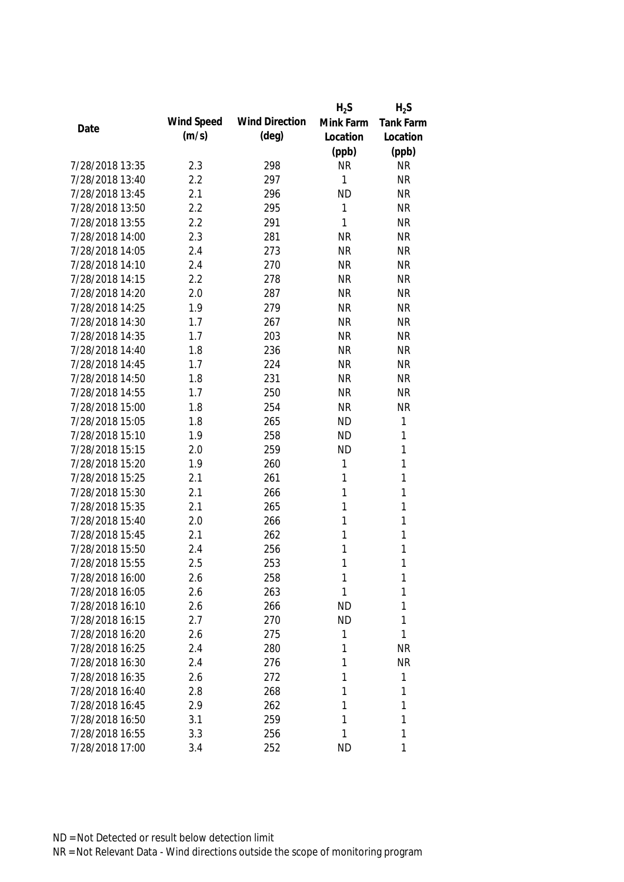|                 |            |                       | $H_2S$    | $H_2S$           |
|-----------------|------------|-----------------------|-----------|------------------|
| Date            | Wind Speed | <b>Wind Direction</b> | Mink Farm | <b>Tank Farm</b> |
|                 | (m/s)      | (deg)                 | Location  | Location         |
|                 |            |                       | (ppb)     | (ppb)            |
| 7/28/2018 13:35 | 2.3        | 298                   | <b>NR</b> | <b>NR</b>        |
| 7/28/2018 13:40 | 2.2        | 297                   | 1         | <b>NR</b>        |
| 7/28/2018 13:45 | 2.1        | 296                   | <b>ND</b> | <b>NR</b>        |
| 7/28/2018 13:50 | 2.2        | 295                   | 1         | <b>NR</b>        |
| 7/28/2018 13:55 | 2.2        | 291                   | 1         | <b>NR</b>        |
| 7/28/2018 14:00 | 2.3        | 281                   | <b>NR</b> | <b>NR</b>        |
| 7/28/2018 14:05 | 2.4        | 273                   | <b>NR</b> | <b>NR</b>        |
| 7/28/2018 14:10 | 2.4        | 270                   | <b>NR</b> | <b>NR</b>        |
| 7/28/2018 14:15 | 2.2        | 278                   | <b>NR</b> | <b>NR</b>        |
| 7/28/2018 14:20 | 2.0        | 287                   | <b>NR</b> | <b>NR</b>        |
| 7/28/2018 14:25 | 1.9        | 279                   | <b>NR</b> | <b>NR</b>        |
| 7/28/2018 14:30 | 1.7        | 267                   | <b>NR</b> | <b>NR</b>        |
| 7/28/2018 14:35 | 1.7        | 203                   | <b>NR</b> | <b>NR</b>        |
| 7/28/2018 14:40 | 1.8        | 236                   | <b>NR</b> | <b>NR</b>        |
| 7/28/2018 14:45 | 1.7        | 224                   | <b>NR</b> | <b>NR</b>        |
| 7/28/2018 14:50 | 1.8        | 231                   | <b>NR</b> | <b>NR</b>        |
| 7/28/2018 14:55 | 1.7        | 250                   | <b>NR</b> | <b>NR</b>        |
| 7/28/2018 15:00 | 1.8        | 254                   | <b>NR</b> | <b>NR</b>        |
| 7/28/2018 15:05 | 1.8        | 265                   | <b>ND</b> | $\mathbf{1}$     |
| 7/28/2018 15:10 | 1.9        | 258                   | <b>ND</b> | 1                |
| 7/28/2018 15:15 | 2.0        | 259                   | <b>ND</b> | $\mathbf{1}$     |
| 7/28/2018 15:20 | 1.9        | 260                   | 1         | $\mathbf{1}$     |
| 7/28/2018 15:25 | 2.1        | 261                   | 1         | $\mathbf{1}$     |
| 7/28/2018 15:30 | 2.1        | 266                   | 1         | 1                |
| 7/28/2018 15:35 | 2.1        | 265                   | 1         | $\mathbf{1}$     |
| 7/28/2018 15:40 | 2.0        | 266                   | 1         | $\mathbf{1}$     |
| 7/28/2018 15:45 | 2.1        | 262                   | 1         | $\mathbf{1}$     |
| 7/28/2018 15:50 | 2.4        | 256                   | 1         | 1                |
| 7/28/2018 15:55 | 2.5        | 253                   | 1         | 1                |
| 7/28/2018 16:00 | 2.6        | 258                   | 1         | 1                |
| 7/28/2018 16:05 | 2.6        | 263                   | 1         | 1                |
| 7/28/2018 16:10 | 2.6        | 266                   | <b>ND</b> | 1                |
| 7/28/2018 16:15 | 2.7        | 270                   | <b>ND</b> | 1                |
| 7/28/2018 16:20 | 2.6        | 275                   | 1         | 1                |
| 7/28/2018 16:25 | 2.4        | 280                   | 1         | <b>NR</b>        |
| 7/28/2018 16:30 | 2.4        | 276                   | 1         | <b>NR</b>        |
| 7/28/2018 16:35 | 2.6        | 272                   | 1         | 1                |
| 7/28/2018 16:40 | 2.8        | 268                   | 1         | 1                |
| 7/28/2018 16:45 | 2.9        | 262                   | 1         | 1                |
| 7/28/2018 16:50 | 3.1        | 259                   | 1         | 1                |
| 7/28/2018 16:55 | 3.3        | 256                   | 1         | 1                |
| 7/28/2018 17:00 | 3.4        | 252                   | <b>ND</b> | 1                |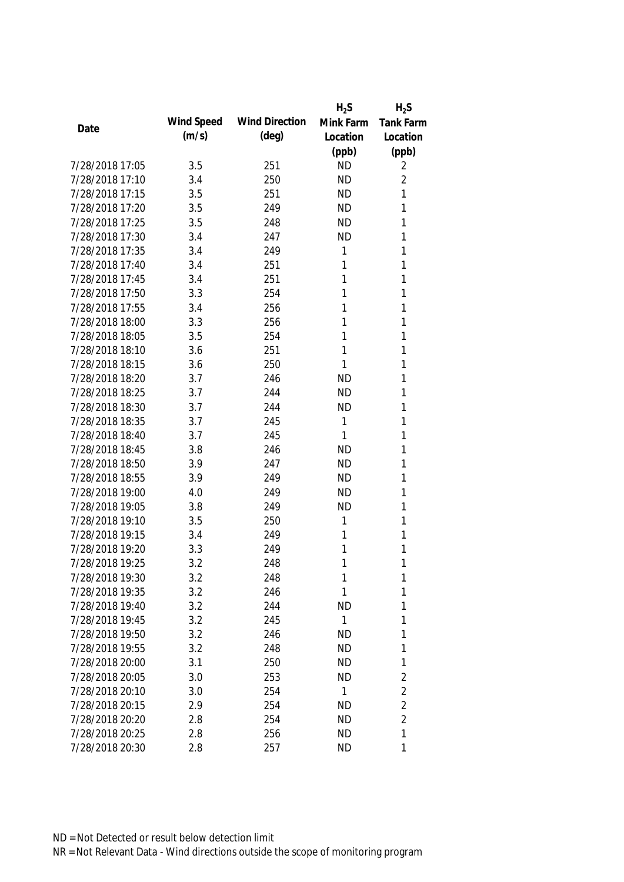|                 |            |                       | $H_2S$    | $H_2S$           |
|-----------------|------------|-----------------------|-----------|------------------|
| Date            | Wind Speed | <b>Wind Direction</b> | Mink Farm | <b>Tank Farm</b> |
|                 | (m/s)      | $(\text{deg})$        | Location  | Location         |
|                 |            |                       | (ppb)     | (ppb)            |
| 7/28/2018 17:05 | 3.5        | 251                   | <b>ND</b> | 2                |
| 7/28/2018 17:10 | 3.4        | 250                   | <b>ND</b> | $\overline{2}$   |
| 7/28/2018 17:15 | 3.5        | 251                   | <b>ND</b> | 1                |
| 7/28/2018 17:20 | 3.5        | 249                   | <b>ND</b> | 1                |
| 7/28/2018 17:25 | 3.5        | 248                   | <b>ND</b> | 1                |
| 7/28/2018 17:30 | 3.4        | 247                   | <b>ND</b> | 1                |
| 7/28/2018 17:35 | 3.4        | 249                   | 1         | 1                |
| 7/28/2018 17:40 | 3.4        | 251                   | 1         | 1                |
| 7/28/2018 17:45 | 3.4        | 251                   | 1         | 1                |
| 7/28/2018 17:50 | 3.3        | 254                   | 1         | 1                |
| 7/28/2018 17:55 | 3.4        | 256                   | 1         | 1                |
| 7/28/2018 18:00 | 3.3        | 256                   | 1         | 1                |
| 7/28/2018 18:05 | 3.5        | 254                   | 1         | 1                |
| 7/28/2018 18:10 | 3.6        | 251                   | 1         | 1                |
| 7/28/2018 18:15 | 3.6        | 250                   | 1         | 1                |
| 7/28/2018 18:20 | 3.7        | 246                   | <b>ND</b> | 1                |
| 7/28/2018 18:25 | 3.7        | 244                   | <b>ND</b> | 1                |
| 7/28/2018 18:30 | 3.7        | 244                   | <b>ND</b> | 1                |
| 7/28/2018 18:35 | 3.7        | 245                   | 1         | 1                |
| 7/28/2018 18:40 | 3.7        | 245                   | 1         | 1                |
| 7/28/2018 18:45 | 3.8        | 246                   | <b>ND</b> | 1                |
| 7/28/2018 18:50 | 3.9        | 247                   | <b>ND</b> | 1                |
| 7/28/2018 18:55 | 3.9        | 249                   | <b>ND</b> | 1                |
| 7/28/2018 19:00 | 4.0        | 249                   | <b>ND</b> | 1                |
| 7/28/2018 19:05 | 3.8        | 249                   | <b>ND</b> | 1                |
| 7/28/2018 19:10 | 3.5        | 250                   | 1         | 1                |
| 7/28/2018 19:15 | 3.4        | 249                   | 1         | 1                |
| 7/28/2018 19:20 | 3.3        | 249                   | 1         | 1                |
| 7/28/2018 19:25 | 3.2        | 248                   | 1         | 1                |
| 7/28/2018 19:30 | 3.2        | 248                   | 1         | 1                |
| 7/28/2018 19:35 | 3.2        | 246                   | 1         | $\mathbf{1}$     |
| 7/28/2018 19:40 | 3.2        | 244                   | <b>ND</b> | 1                |
| 7/28/2018 19:45 | 3.2        | 245                   | 1         | 1                |
| 7/28/2018 19:50 | 3.2        | 246                   | <b>ND</b> | 1                |
| 7/28/2018 19:55 | 3.2        | 248                   | <b>ND</b> | 1                |
| 7/28/2018 20:00 | 3.1        | 250                   | <b>ND</b> | 1                |
| 7/28/2018 20:05 | 3.0        | 253                   | <b>ND</b> | $\sqrt{2}$       |
| 7/28/2018 20:10 | 3.0        | 254                   | 1         | $\overline{2}$   |
| 7/28/2018 20:15 | 2.9        | 254                   | <b>ND</b> | $\overline{2}$   |
| 7/28/2018 20:20 | 2.8        | 254                   | <b>ND</b> | $\overline{2}$   |
| 7/28/2018 20:25 | 2.8        | 256                   | <b>ND</b> | 1                |
| 7/28/2018 20:30 | 2.8        | 257                   | <b>ND</b> | 1                |
|                 |            |                       |           |                  |